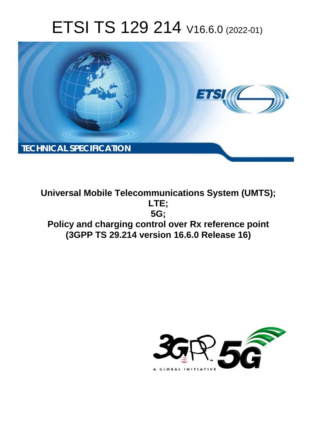# ETSI TS 129 214 V16.6.0 (2022-01)



**Universal Mobile Telecommunications System (UMTS); LTE; 5G; Policy and charging control over Rx reference point (3GPP TS 29.214 version 16.6.0 Release 16)** 

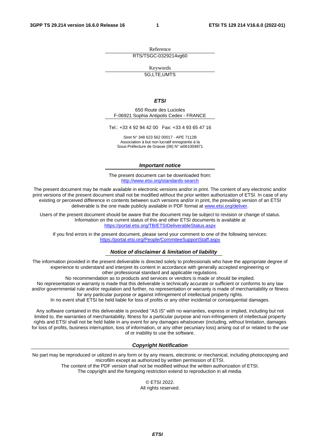Reference RTS/TSGC-0329214vg60

Keywords

5G,LTE,UMTS

#### *ETSI*

650 Route des Lucioles F-06921 Sophia Antipolis Cedex - FRANCE

Tel.: +33 4 92 94 42 00 Fax: +33 4 93 65 47 16

Siret N° 348 623 562 00017 - APE 7112B Association à but non lucratif enregistrée à la Sous-Préfecture de Grasse (06) N° w061004871

#### *Important notice*

The present document can be downloaded from: <http://www.etsi.org/standards-search>

The present document may be made available in electronic versions and/or in print. The content of any electronic and/or print versions of the present document shall not be modified without the prior written authorization of ETSI. In case of any existing or perceived difference in contents between such versions and/or in print, the prevailing version of an ETSI deliverable is the one made publicly available in PDF format at [www.etsi.org/deliver](http://www.etsi.org/deliver).

Users of the present document should be aware that the document may be subject to revision or change of status. Information on the current status of this and other ETSI documents is available at <https://portal.etsi.org/TB/ETSIDeliverableStatus.aspx>

If you find errors in the present document, please send your comment to one of the following services: <https://portal.etsi.org/People/CommiteeSupportStaff.aspx>

#### *Notice of disclaimer & limitation of liability*

The information provided in the present deliverable is directed solely to professionals who have the appropriate degree of experience to understand and interpret its content in accordance with generally accepted engineering or other professional standard and applicable regulations.

No recommendation as to products and services or vendors is made or should be implied.

No representation or warranty is made that this deliverable is technically accurate or sufficient or conforms to any law and/or governmental rule and/or regulation and further, no representation or warranty is made of merchantability or fitness for any particular purpose or against infringement of intellectual property rights.

In no event shall ETSI be held liable for loss of profits or any other incidental or consequential damages.

Any software contained in this deliverable is provided "AS IS" with no warranties, express or implied, including but not limited to, the warranties of merchantability, fitness for a particular purpose and non-infringement of intellectual property rights and ETSI shall not be held liable in any event for any damages whatsoever (including, without limitation, damages for loss of profits, business interruption, loss of information, or any other pecuniary loss) arising out of or related to the use of or inability to use the software.

#### *Copyright Notification*

No part may be reproduced or utilized in any form or by any means, electronic or mechanical, including photocopying and microfilm except as authorized by written permission of ETSI. The content of the PDF version shall not be modified without the written authorization of ETSI.

The copyright and the foregoing restriction extend to reproduction in all media.

© ETSI 2022. All rights reserved.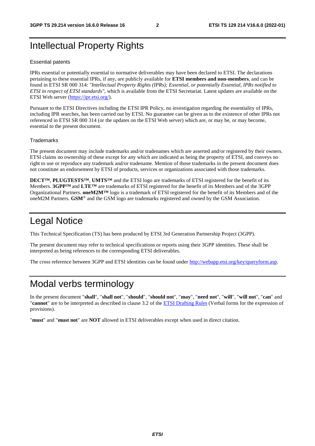# Intellectual Property Rights

#### Essential patents

IPRs essential or potentially essential to normative deliverables may have been declared to ETSI. The declarations pertaining to these essential IPRs, if any, are publicly available for **ETSI members and non-members**, and can be found in ETSI SR 000 314: *"Intellectual Property Rights (IPRs); Essential, or potentially Essential, IPRs notified to ETSI in respect of ETSI standards"*, which is available from the ETSI Secretariat. Latest updates are available on the ETSI Web server [\(https://ipr.etsi.org/](https://ipr.etsi.org/)).

Pursuant to the ETSI Directives including the ETSI IPR Policy, no investigation regarding the essentiality of IPRs, including IPR searches, has been carried out by ETSI. No guarantee can be given as to the existence of other IPRs not referenced in ETSI SR 000 314 (or the updates on the ETSI Web server) which are, or may be, or may become, essential to the present document.

#### **Trademarks**

The present document may include trademarks and/or tradenames which are asserted and/or registered by their owners. ETSI claims no ownership of these except for any which are indicated as being the property of ETSI, and conveys no right to use or reproduce any trademark and/or tradename. Mention of those trademarks in the present document does not constitute an endorsement by ETSI of products, services or organizations associated with those trademarks.

**DECT™**, **PLUGTESTS™**, **UMTS™** and the ETSI logo are trademarks of ETSI registered for the benefit of its Members. **3GPP™** and **LTE™** are trademarks of ETSI registered for the benefit of its Members and of the 3GPP Organizational Partners. **oneM2M™** logo is a trademark of ETSI registered for the benefit of its Members and of the oneM2M Partners. **GSM**® and the GSM logo are trademarks registered and owned by the GSM Association.

# Legal Notice

This Technical Specification (TS) has been produced by ETSI 3rd Generation Partnership Project (3GPP).

The present document may refer to technical specifications or reports using their 3GPP identities. These shall be interpreted as being references to the corresponding ETSI deliverables.

The cross reference between 3GPP and ETSI identities can be found under<http://webapp.etsi.org/key/queryform.asp>.

# Modal verbs terminology

In the present document "**shall**", "**shall not**", "**should**", "**should not**", "**may**", "**need not**", "**will**", "**will not**", "**can**" and "**cannot**" are to be interpreted as described in clause 3.2 of the [ETSI Drafting Rules](https://portal.etsi.org/Services/editHelp!/Howtostart/ETSIDraftingRules.aspx) (Verbal forms for the expression of provisions).

"**must**" and "**must not**" are **NOT** allowed in ETSI deliverables except when used in direct citation.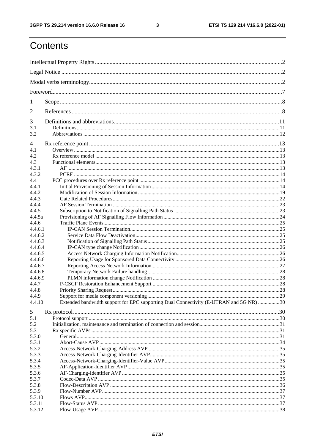$\mathbf{3}$ 

# Contents

| 1              |                                                                                        |  |  |  |  |
|----------------|----------------------------------------------------------------------------------------|--|--|--|--|
| $\overline{2}$ |                                                                                        |  |  |  |  |
| 3              |                                                                                        |  |  |  |  |
| 3.1<br>3.2     |                                                                                        |  |  |  |  |
| 4              |                                                                                        |  |  |  |  |
| 4.1            |                                                                                        |  |  |  |  |
| 4.2            |                                                                                        |  |  |  |  |
| 4.3            |                                                                                        |  |  |  |  |
| 4.3.1          |                                                                                        |  |  |  |  |
| 4.3.2          |                                                                                        |  |  |  |  |
|                |                                                                                        |  |  |  |  |
| 4.4            |                                                                                        |  |  |  |  |
| 4.4.1          |                                                                                        |  |  |  |  |
| 4.4.2          |                                                                                        |  |  |  |  |
| 4.4.3          |                                                                                        |  |  |  |  |
| 4.4.4          |                                                                                        |  |  |  |  |
| 4.4.5          |                                                                                        |  |  |  |  |
| 4.4.5a         |                                                                                        |  |  |  |  |
| 4.4.6          |                                                                                        |  |  |  |  |
| 4.4.6.1        |                                                                                        |  |  |  |  |
| 4.4.6.2        |                                                                                        |  |  |  |  |
| 4.4.6.3        |                                                                                        |  |  |  |  |
| 4.4.6.4        |                                                                                        |  |  |  |  |
| 4.4.6.5        |                                                                                        |  |  |  |  |
| 4.4.6.6        |                                                                                        |  |  |  |  |
| 4.4.6.7        |                                                                                        |  |  |  |  |
| 4.4.6.8        |                                                                                        |  |  |  |  |
| 4.4.6.9        |                                                                                        |  |  |  |  |
|                |                                                                                        |  |  |  |  |
| 4.4.7          |                                                                                        |  |  |  |  |
| 4.4.8          |                                                                                        |  |  |  |  |
| 4.4.9          |                                                                                        |  |  |  |  |
| 4.4.10         | Extended bandwidth support for EPC supporting Dual Connectivity (E-UTRAN and 5G NR) 30 |  |  |  |  |
| 5              |                                                                                        |  |  |  |  |
| 5.1            |                                                                                        |  |  |  |  |
| 5.2            |                                                                                        |  |  |  |  |
| 5.3            |                                                                                        |  |  |  |  |
| 5.3.0          |                                                                                        |  |  |  |  |
| 5.3.1          |                                                                                        |  |  |  |  |
| 5.3.2          |                                                                                        |  |  |  |  |
| 5.3.3          |                                                                                        |  |  |  |  |
| 5.3.4          |                                                                                        |  |  |  |  |
| 5.3.5          |                                                                                        |  |  |  |  |
| 5.3.6          |                                                                                        |  |  |  |  |
| 5.3.7          |                                                                                        |  |  |  |  |
| 5.3.8          |                                                                                        |  |  |  |  |
| 5.3.9          |                                                                                        |  |  |  |  |
|                |                                                                                        |  |  |  |  |
| 5.3.10         |                                                                                        |  |  |  |  |
| 5.3.11         |                                                                                        |  |  |  |  |
| 5.3.12         |                                                                                        |  |  |  |  |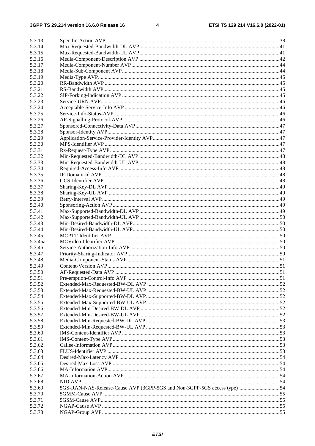$\overline{\mathbf{4}}$ 

| 5.3.13  |                                                                         |  |
|---------|-------------------------------------------------------------------------|--|
| 5.3.14  |                                                                         |  |
| 5.3.15  |                                                                         |  |
| 5.3.16  |                                                                         |  |
| 5.3.17  |                                                                         |  |
| 5.3.18  |                                                                         |  |
| 5.3.19  |                                                                         |  |
| 5.3.20  |                                                                         |  |
| 5.3.21  |                                                                         |  |
| 5.3.22  |                                                                         |  |
| 5.3.23  |                                                                         |  |
| 5.3.24  |                                                                         |  |
| 5.3.25  |                                                                         |  |
| 5.3.26  |                                                                         |  |
| 5.3.27  |                                                                         |  |
| 5.3.28  |                                                                         |  |
| 5.3.29  |                                                                         |  |
|         |                                                                         |  |
| 5.3.30  |                                                                         |  |
| 5.3.31  |                                                                         |  |
| 5.3.32  |                                                                         |  |
| 5.3.33  |                                                                         |  |
| 5.3.34  |                                                                         |  |
| 5.3.35  |                                                                         |  |
| 5.3.36  |                                                                         |  |
| 5.3.37  |                                                                         |  |
| 5.3.38  |                                                                         |  |
| 5.3.39  |                                                                         |  |
| 5.3.40  |                                                                         |  |
| 5.3.41  |                                                                         |  |
| 5.3.42  |                                                                         |  |
| 5.3.43  |                                                                         |  |
| 5.3.44  |                                                                         |  |
| 5.3.45  |                                                                         |  |
| 5.3.45a |                                                                         |  |
| 5.3.46  |                                                                         |  |
| 5.3.47  |                                                                         |  |
|         |                                                                         |  |
| 5.3.48  |                                                                         |  |
| 5.3.49  |                                                                         |  |
| 5.3.50  |                                                                         |  |
| 5.3.51  |                                                                         |  |
| 5.3.52  |                                                                         |  |
| 5.3.53  |                                                                         |  |
| 5.3.54  |                                                                         |  |
| 5.3.55  |                                                                         |  |
| 5.3.56  |                                                                         |  |
| 5.3.57  |                                                                         |  |
| 5.3.58  |                                                                         |  |
| 5.3.59  |                                                                         |  |
| 5.3.60  |                                                                         |  |
| 5.3.61  |                                                                         |  |
| 5.3.62  |                                                                         |  |
| 5.3.63  |                                                                         |  |
| 5.3.64  |                                                                         |  |
| 5.3.65  |                                                                         |  |
|         |                                                                         |  |
| 5.3.66  |                                                                         |  |
| 5.3.67  |                                                                         |  |
| 5.3.68  |                                                                         |  |
| 5.3.69  | 5GS-RAN-NAS-Release-Cause AVP (3GPP-5GS and Non-3GPP-5GS access type)54 |  |
| 5.3.70  |                                                                         |  |
| 5.3.71  |                                                                         |  |
| 5.3.72  |                                                                         |  |
| 5.3.73  |                                                                         |  |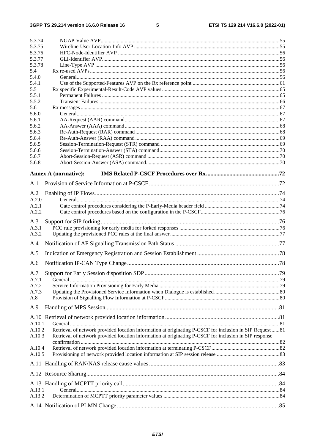#### $5\phantom{a}$

| 5.3.74         |                                                                                                          |  |
|----------------|----------------------------------------------------------------------------------------------------------|--|
| 5.3.75         |                                                                                                          |  |
| 5.3.76         |                                                                                                          |  |
| 5.3.77         |                                                                                                          |  |
| 5.3.78         |                                                                                                          |  |
| 5.4            |                                                                                                          |  |
| 5.4.0<br>5.4.1 |                                                                                                          |  |
| 5.5            |                                                                                                          |  |
| 5.5.1          |                                                                                                          |  |
| 5.5.2          |                                                                                                          |  |
| 5.6            |                                                                                                          |  |
| 5.6.0          |                                                                                                          |  |
| 5.6.1          |                                                                                                          |  |
| 5.6.2          |                                                                                                          |  |
| 5.6.3          |                                                                                                          |  |
| 5.6.4          |                                                                                                          |  |
| 5.6.5          |                                                                                                          |  |
| 5.6.6          |                                                                                                          |  |
| 5.6.7          |                                                                                                          |  |
| 5.6.8          |                                                                                                          |  |
|                | <b>Annex A (normative):</b>                                                                              |  |
| A.1            |                                                                                                          |  |
| A.2            |                                                                                                          |  |
| A.2.0          |                                                                                                          |  |
| A.2.1          |                                                                                                          |  |
| A.2.2          |                                                                                                          |  |
|                |                                                                                                          |  |
| A.3            |                                                                                                          |  |
| A.3.1          |                                                                                                          |  |
| A.3.2          |                                                                                                          |  |
| A.4            |                                                                                                          |  |
| A.5            |                                                                                                          |  |
| A.6            |                                                                                                          |  |
| A.7            |                                                                                                          |  |
| A.7.1          |                                                                                                          |  |
| A.7.2          |                                                                                                          |  |
| A.7.3          |                                                                                                          |  |
| A.8            |                                                                                                          |  |
| A.9            |                                                                                                          |  |
|                |                                                                                                          |  |
|                |                                                                                                          |  |
| A.10.1         |                                                                                                          |  |
| A.10.2         | Retrieval of network provided location information at originating P-CSCF for inclusion in SIP Request 81 |  |
| A.10.3         | Retrieval of network provided location information at originating P-CSCF for inclusion in SIP response   |  |
|                |                                                                                                          |  |
| A.10.4         |                                                                                                          |  |
| A.10.5         |                                                                                                          |  |
|                |                                                                                                          |  |
|                |                                                                                                          |  |
|                |                                                                                                          |  |
| A.13.1         |                                                                                                          |  |
| A.13.2         |                                                                                                          |  |
|                |                                                                                                          |  |
|                |                                                                                                          |  |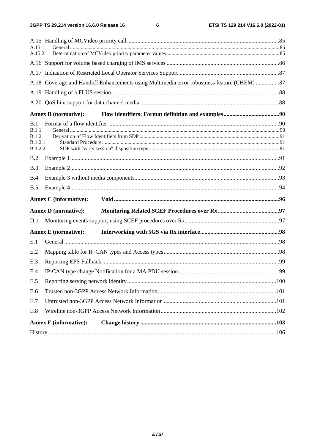$\bf 6$ 

| A.15.1<br>A.15.2      |                                                                                            |      |  |  |  |  |  |
|-----------------------|--------------------------------------------------------------------------------------------|------|--|--|--|--|--|
|                       |                                                                                            |      |  |  |  |  |  |
|                       |                                                                                            |      |  |  |  |  |  |
|                       | A.18 Coverage and Handoff Enhancements using Multimedia error robustness feature (CHEM) 87 |      |  |  |  |  |  |
|                       |                                                                                            |      |  |  |  |  |  |
|                       |                                                                                            |      |  |  |  |  |  |
|                       | <b>Annex B</b> (normative):                                                                |      |  |  |  |  |  |
| B.1                   |                                                                                            |      |  |  |  |  |  |
| B.1.1<br><b>B.1.2</b> |                                                                                            |      |  |  |  |  |  |
| B.1.2.1               |                                                                                            |      |  |  |  |  |  |
| <b>B.1.2.2</b>        |                                                                                            |      |  |  |  |  |  |
| B.2                   |                                                                                            |      |  |  |  |  |  |
| B.3                   |                                                                                            |      |  |  |  |  |  |
| B.4                   |                                                                                            |      |  |  |  |  |  |
| B.5                   |                                                                                            |      |  |  |  |  |  |
|                       | <b>Annex C</b> (informative):                                                              |      |  |  |  |  |  |
|                       | <b>Annex D</b> (normative):                                                                |      |  |  |  |  |  |
| D.1                   |                                                                                            |      |  |  |  |  |  |
|                       | <b>Annex E</b> (normative):                                                                |      |  |  |  |  |  |
| E.1                   |                                                                                            |      |  |  |  |  |  |
| E.2                   |                                                                                            |      |  |  |  |  |  |
| E.3                   |                                                                                            |      |  |  |  |  |  |
| E.4                   |                                                                                            |      |  |  |  |  |  |
| E.5                   |                                                                                            |      |  |  |  |  |  |
| E.6                   |                                                                                            |      |  |  |  |  |  |
| E.7                   |                                                                                            |      |  |  |  |  |  |
| E.8                   |                                                                                            |      |  |  |  |  |  |
|                       | <b>Annex F</b> (informative):                                                              |      |  |  |  |  |  |
|                       |                                                                                            | .106 |  |  |  |  |  |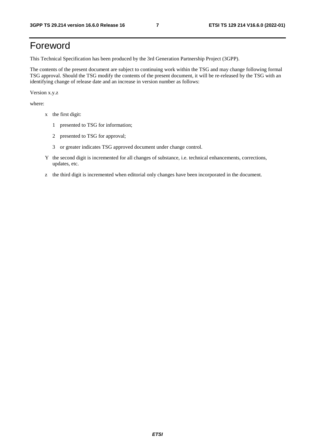# Foreword

This Technical Specification has been produced by the 3rd Generation Partnership Project (3GPP).

The contents of the present document are subject to continuing work within the TSG and may change following formal TSG approval. Should the TSG modify the contents of the present document, it will be re-released by the TSG with an identifying change of release date and an increase in version number as follows:

Version x.y.z

where:

- x the first digit:
	- 1 presented to TSG for information;
	- 2 presented to TSG for approval;
	- 3 or greater indicates TSG approved document under change control.
- Y the second digit is incremented for all changes of substance, i.e. technical enhancements, corrections, updates, etc.
- z the third digit is incremented when editorial only changes have been incorporated in the document.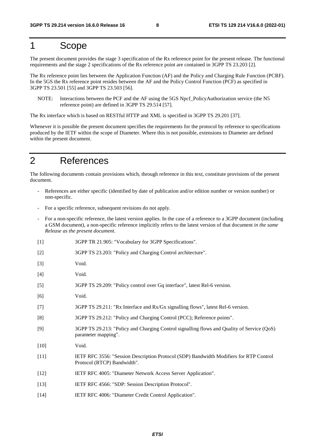# 1 Scope

The present document provides the stage 3 specification of the Rx reference point for the present release. The functional requirements and the stage 2 specifications of the Rx reference point are contained in 3GPP TS 23.203 [2].

The Rx reference point lies between the Application Function (AF) and the Policy and Charging Rule Function (PCRF). In the 5GS the Rx reference point resides between the AF and the Policy Control Function (PCF) as specified in 3GPP TS 23.501 [55] and 3GPP TS 23.503 [56].

NOTE: Interactions between the PCF and the AF using the 5GS Npcf\_PolicyAuthorization service (the N5 reference point) are defined in 3GPP TS 29.514 [57].

The Rx interface which is based on RESTful HTTP and XML is specified in 3GPP TS 29.201 [37].

Whenever it is possible the present document specifies the requirements for the protocol by reference to specifications produced by the IETF within the scope of Diameter. Where this is not possible, extensions to Diameter are defined within the present document.

# 2 References

The following documents contain provisions which, through reference in this text, constitute provisions of the present document.

- References are either specific (identified by date of publication and/or edition number or version number) or non-specific.
- For a specific reference, subsequent revisions do not apply.
- For a non-specific reference, the latest version applies. In the case of a reference to a 3GPP document (including a GSM document), a non-specific reference implicitly refers to the latest version of that document *in the same Release as the present document*.
- [1] 3GPP TR 21.905: "Vocabulary for 3GPP Specifications".
- [2] 3GPP TS 23.203: "Policy and Charging Control architecture".
- [3] Void.
- [4] Void.
- [5] 3GPP TS 29.209: "Policy control over Gq interface", latest Rel-6 version.
- [6] Void.
- [7] 3GPP TS 29.211: "Rx Interface and Rx/Gx signalling flows", latest Rel-6 version.
- [8] 3GPP TS 29.212: "Policy and Charging Control (PCC); Reference points".
- [9] 3GPP TS 29.213: "Policy and Charging Control signalling flows and Quality of Service (QoS) parameter mapping".
- [10] **Void.**
- [11] IETF RFC 3556: "Session Description Protocol (SDP) Bandwidth Modifiers for RTP Control Protocol (RTCP) Bandwidth".
- [12] IETF RFC 4005: "Diameter Network Access Server Application".
- [13] IETF RFC 4566: "SDP: Session Description Protocol".
- [14] IETF RFC 4006: "Diameter Credit Control Application".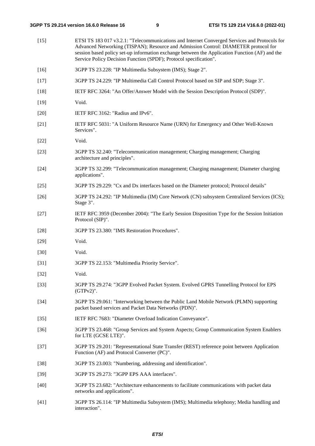| $[15]$ | ETSI TS 183 017 v3.2.1: "Telecommunications and Internet Converged Services and Protocols for<br>Advanced Networking (TISPAN); Resource and Admission Control: DIAMETER protocol for<br>session based policy set-up information exchange between the Application Function (AF) and the<br>Service Policy Decision Function (SPDF); Protocol specification". |
|--------|-------------------------------------------------------------------------------------------------------------------------------------------------------------------------------------------------------------------------------------------------------------------------------------------------------------------------------------------------------------|
| $[16]$ | 3GPP TS 23.228: "IP Multimedia Subsystem (IMS); Stage 2".                                                                                                                                                                                                                                                                                                   |
| $[17]$ | 3GPP TS 24.229: "IP Multimedia Call Control Protocol based on SIP and SDP; Stage 3".                                                                                                                                                                                                                                                                        |
| $[18]$ | IETF RFC 3264: "An Offer/Answer Model with the Session Description Protocol (SDP)".                                                                                                                                                                                                                                                                         |
| $[19]$ | Void.                                                                                                                                                                                                                                                                                                                                                       |
| $[20]$ | IETF RFC 3162: "Radius and IPv6".                                                                                                                                                                                                                                                                                                                           |
| $[21]$ | IETF RFC 5031: "A Uniform Resource Name (URN) for Emergency and Other Well-Known<br>Services".                                                                                                                                                                                                                                                              |
| $[22]$ | Void.                                                                                                                                                                                                                                                                                                                                                       |
| $[23]$ | 3GPP TS 32.240: "Telecommunication management; Charging management; Charging<br>architecture and principles".                                                                                                                                                                                                                                               |
| $[24]$ | 3GPP TS 32.299: "Telecommunication management; Charging management; Diameter charging<br>applications".                                                                                                                                                                                                                                                     |
| $[25]$ | 3GPP TS 29.229: "Cx and Dx interfaces based on the Diameter protocol; Protocol details"                                                                                                                                                                                                                                                                     |
| $[26]$ | 3GPP TS 24.292: "IP Multimedia (IM) Core Network (CN) subsystem Centralized Services (ICS);<br>Stage 3".                                                                                                                                                                                                                                                    |
| $[27]$ | IETF RFC 3959 (December 2004): "The Early Session Disposition Type for the Session Initiation<br>Protocol (SIP)".                                                                                                                                                                                                                                           |
| $[28]$ | 3GPP TS 23.380: "IMS Restoration Procedures".                                                                                                                                                                                                                                                                                                               |
| $[29]$ | Void.                                                                                                                                                                                                                                                                                                                                                       |
| $[30]$ | Void.                                                                                                                                                                                                                                                                                                                                                       |
| $[31]$ | 3GPP TS 22.153: "Multimedia Priority Service".                                                                                                                                                                                                                                                                                                              |
| $[32]$ | Void.                                                                                                                                                                                                                                                                                                                                                       |
| $[33]$ | 3GPP TS 29.274: "3GPP Evolved Packet System. Evolved GPRS Tunnelling Protocol for EPS<br>$(GTPv2)$ ".                                                                                                                                                                                                                                                       |
| $[34]$ | 3GPP TS 29.061: "Interworking between the Public Land Mobile Network (PLMN) supporting<br>packet based services and Packet Data Networks (PDN)".                                                                                                                                                                                                            |
| $[35]$ | IETF RFC 7683: "Diameter Overload Indication Conveyance".                                                                                                                                                                                                                                                                                                   |
| $[36]$ | 3GPP TS 23.468: "Group Services and System Aspects; Group Communication System Enablers<br>for LTE (GCSE LTE)".                                                                                                                                                                                                                                             |
| $[37]$ | 3GPP TS 29.201: "Representational State Transfer (REST) reference point between Application<br>Function (AF) and Protocol Converter (PC)".                                                                                                                                                                                                                  |
| $[38]$ | 3GPP TS 23.003: "Numbering, addressing and identification".                                                                                                                                                                                                                                                                                                 |
| $[39]$ | 3GPP TS 29.273: "3GPP EPS AAA interfaces".                                                                                                                                                                                                                                                                                                                  |
| $[40]$ | 3GPP TS 23.682: "Architecture enhancements to facilitate communications with packet data<br>networks and applications".                                                                                                                                                                                                                                     |
| $[41]$ | 3GPP TS 26.114: "IP Multimedia Subsystem (IMS); Multimedia telephony; Media handling and<br>interaction".                                                                                                                                                                                                                                                   |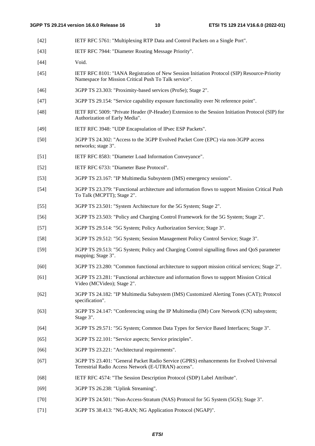- [42] IETF RFC 5761: "Multiplexing RTP Data and Control Packets on a Single Port".
- [43] IETF RFC 7944: "Diameter Routing Message Priority".
- [44] **Void.**
- [45] IETF RFC 8101: "IANA Registration of New Session Initiation Protocol (SIP) Resource-Priority Namespace for Mission Critical Push To Talk service".
- [46] 3GPP TS 23.303: "Proximity-based services (ProSe); Stage 2".
- [47] 3GPP TS 29.154: "Service capability exposure functionality over Nt reference point".
- [48] IETF RFC 5009: "Private Header (P-Header) Extension to the Session Initiation Protocol (SIP) for Authorization of Early Media".
- [49] IETF RFC 3948: "UDP Encapsulation of IPsec ESP Packets".
- [50] 3GPP TS 24.302: "Access to the 3GPP Evolved Packet Core (EPC) via non-3GPP access networks; stage 3".
- [51] IETF RFC 8583: "Diameter Load Information Conveyance".
- [52] IETF RFC 6733: "Diameter Base Protocol".
- [53] 3GPP TS 23.167: "IP Multimedia Subsystem (IMS) emergency sessions".
- [54] 3GPP TS 23.379: "Functional architecture and information flows to support Mission Critical Push To Talk (MCPTT); Stage 2".
- [55] 3GPP TS 23.501: "System Architecture for the 5G System; Stage 2".
- [56] 3GPP TS 23.503: "Policy and Charging Control Framework for the 5G System; Stage 2".
- [57] 3GPP TS 29.514: "5G System; Policy Authorization Service; Stage 3".
- [58] 3GPP TS 29.512: "5G System; Session Management Policy Control Service; Stage 3".
- [59] 3GPP TS 29.513: "5G System; Policy and Charging Control signalling flows and QoS parameter mapping; Stage 3".
- [60] 3GPP TS 23.280: "Common functional architecture to support mission critical services; Stage 2".
- [61] 3GPP TS 23.281: "Functional architecture and information flows to support Mission Critical Video (MCVideo); Stage 2".
- [62] 3GPP TS 24.182: "IP Multimedia Subsystem (IMS) Customized Alerting Tones (CAT); Protocol specification".
- [63] 3GPP TS 24.147: "Conferencing using the IP Multimedia (IM) Core Network (CN) subsystem; Stage 3".
- [64] 3GPP TS 29.571: "5G System; Common Data Types for Service Based Interfaces; Stage 3".
- [65] 3GPP TS 22.101: "Service aspects; Service principles".
- [66] 3GPP TS 23.221: "Architectural requirements".
- [67] 3GPP TS 23.401: "General Packet Radio Service (GPRS) enhancements for Evolved Universal Terrestrial Radio Access Network (E-UTRAN) access".
- [68] IETF RFC 4574: "The Session Description Protocol (SDP) Label Attribute".
- [69] 3GPP TS 26.238: "Uplink Streaming".
- [70] 3GPP TS 24.501: "Non-Access-Stratum (NAS) Protocol for 5G System (5GS); Stage 3".
- [71] 3GPP TS 38.413: "NG-RAN; NG Application Protocol (NGAP)".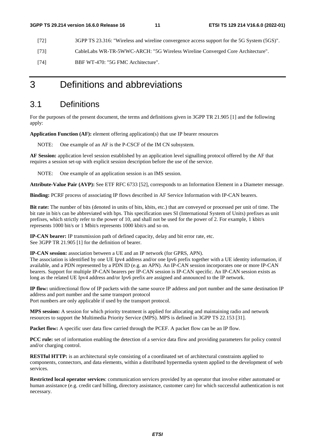- [72] 3GPP TS 23.316: "Wireless and wireline convergence access support for the 5G System (5GS)".
- [73] CableLabs WR-TR-5WWC-ARCH: "5G Wireless Wireline Converged Core Architecture".
- [74] BBF WT-470: "5G FMC Architecture".

# 3 Definitions and abbreviations

# 3.1 Definitions

For the purposes of the present document, the terms and definitions given in 3GPP TR 21.905 [1] and the following apply:

**Application Function (AF):** element offering application(s) that use IP bearer resources

NOTE: One example of an AF is the P-CSCF of the IM CN subsystem.

**AF Session:** application level session established by an application level signalling protocol offered by the AF that requires a session set-up with explicit session description before the use of the service.

NOTE: One example of an application session is an IMS session.

**Attribute-Value Pair (AVP):** See ETF RFC 6733 [52], corresponds to an Information Element in a Diameter message.

**Binding:** PCRF process of associating IP flows described in AF Service Information with IP-CAN bearers.

**Bit rate:** The number of bits (denoted in units of bits, kbits, etc.) that are conveyed or processed per unit of time. The bit rate in bit/s can be abbreviated with bps. This specification uses SI (International System of Units) prefixes as unit prefixes, which strictly refer to the power of 10, and shall not be used for the power of 2. For example, 1 kbit/s represents 1000 bit/s or 1 Mbit/s represents 1000 kbit/s and so on.

**IP-CAN bearer:** IP transmission path of defined capacity, delay and bit error rate, etc. See 3GPP TR 21.905 [1] for the definition of bearer.

**IP-CAN session:** association between a UE and an IP network (for GPRS, APN).

The association is identified by one UE Ipv4 address and/or one Ipv6 prefix together with a UE identity information, if available, and a PDN represented by a PDN ID (e.g. an APN). An IP-CAN session incorporates one or more IP-CAN bearers. Support for multiple IP-CAN bearers per IP-CAN session is IP-CAN specific. An IP-CAN session exists as long as the related UE Ipv4 address and/or Ipv6 prefix are assigned and announced to the IP network.

**IP flow:** unidirectional flow of IP packets with the same source IP address and port number and the same destination IP address and port number and the same transport protocol Port numbers are only applicable if used by the transport protocol.

**MPS session:** A session for which priority treatment is applied for allocating and maintaining radio and network resources to support the Multimedia Priority Service (MPS). MPS is defined in 3GPP TS 22.153 [31].

**Packet flow:** A specific user data flow carried through the PCEF. A packet flow can be an IP flow.

**PCC rule:** set of information enabling the detection of a service data flow and providing parameters for policy control and/or charging control.

**RESTful HTTP:** is an architectural style consisting of a coordinated set of architectural constraints applied to components, connectors, and data elements, within a distributed hypermedia system applied to the development of web services.

**Restricted local operator services**: communication services provided by an operator that involve either automated or human assistance (e.g. credit card billing, directory assistance, customer care) for which successful authentication is not necessary.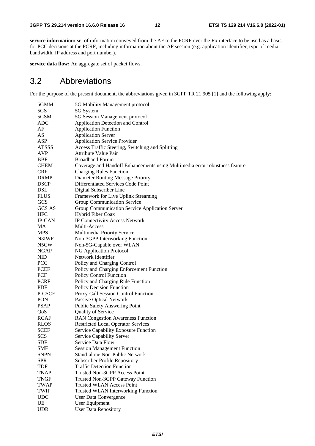**service information:** set of information conveyed from the AF to the PCRF over the Rx interface to be used as a basis for PCC decisions at the PCRF, including information about the AF session (e.g. application identifier, type of media, bandwidth, IP address and port number).

**service data flow:** An aggregate set of packet flows.

# 3.2 Abbreviations

For the purpose of the present document, the abbreviations given in 3GPP TR 21.905 [1] and the following apply:

| 5GMM          | 5G Mobility Management protocol                                             |
|---------------|-----------------------------------------------------------------------------|
| 5GS           | 5G System                                                                   |
| 5GSM          | 5G Session Management protocol                                              |
| <b>ADC</b>    | <b>Application Detection and Control</b>                                    |
| AF            | <b>Application Function</b>                                                 |
| AS            | <b>Application Server</b>                                                   |
| ASP           | <b>Application Service Provider</b>                                         |
| <b>ATSSS</b>  | Access Traffic Steering, Switching and Splitting                            |
| AVP           | <b>Attribute Value Pair</b>                                                 |
| <b>BBF</b>    | <b>Broadband Forum</b>                                                      |
| <b>CHEM</b>   | Coverage and Handoff Enhancements using Multimedia error robustness feature |
| <b>CRF</b>    | <b>Charging Rules Function</b>                                              |
| <b>DRMP</b>   | Diameter Routing Message Priority                                           |
| <b>DSCP</b>   | Differentiated Services Code Point                                          |
| DSL           | Digital Subscriber Line                                                     |
| <b>FLUS</b>   | Framework for Live Uplink Streaming                                         |
| GCS           | Group Communication Service                                                 |
| <b>GCS AS</b> | Group Communication Service Application Server                              |
| <b>HFC</b>    | Hybrid Fiber Coax                                                           |
| <b>IP-CAN</b> | IP Connectivity Access Network                                              |
| MA            | Multi-Access                                                                |
| <b>MPS</b>    |                                                                             |
|               | Multimedia Priority Service                                                 |
| N3IWF         | Non-3GPP Interworking Function                                              |
| N5CW          | Non-5G-Capable over WLAN                                                    |
| <b>NGAP</b>   | NG Application Protocol                                                     |
| <b>NID</b>    | Network Identifier                                                          |
| PCC           | Policy and Charging Control                                                 |
| PCEF          | Policy and Charging Enforcement Function                                    |
| PCF           | Policy Control Function                                                     |
| <b>PCRF</b>   | Policy and Charging Rule Function                                           |
| PDF           | Policy Decision Function                                                    |
| P-CSCF        | Proxy-Call Session Control Function                                         |
| PON           | <b>Passive Optical Network</b>                                              |
| <b>PSAP</b>   | <b>Public Safety Answering Point</b>                                        |
| QoS           | Quality of Service                                                          |
| <b>RCAF</b>   | <b>RAN Congestion Awareness Function</b>                                    |
| <b>RLOS</b>   | <b>Restricted Local Operator Services</b>                                   |
| <b>SCEF</b>   | Service Capability Exposure Function                                        |
| <b>SCS</b>    | Service Capability Server                                                   |
| SDF           | Service Data Flow                                                           |
| SMF           | <b>Session Management Function</b>                                          |
| <b>SNPN</b>   | <b>Stand-alone Non-Public Network</b>                                       |
| <b>SPR</b>    | <b>Subscriber Profile Repository</b>                                        |
| <b>TDF</b>    | <b>Traffic Detection Function</b>                                           |
| <b>TNAP</b>   | Trusted Non-3GPP Access Point                                               |
| <b>TNGF</b>   | Trusted Non-3GPP Gateway Function                                           |
| <b>TWAP</b>   | <b>Trusted WLAN Access Point</b>                                            |
| <b>TWIF</b>   | <b>Trusted WLAN Interworking Function</b>                                   |
| <b>UDC</b>    |                                                                             |
|               | <b>User Data Convergence</b>                                                |
| UE            | User Equipment                                                              |
| <b>UDR</b>    | <b>User Data Repository</b>                                                 |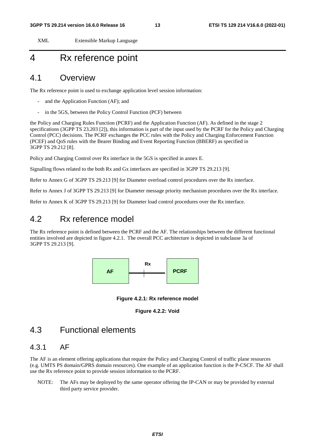XML Extensible Markup Language

# 4 Rx reference point

# 4.1 Overview

The Rx reference point is used to exchange application level session information:

- and the Application Function (AF); and
- in the 5GS, between the Policy Control Function (PCF) between

the Policy and Charging Rules Function (PCRF) and the Application Function (AF). As defined in the stage 2 specifications (3GPP TS 23.203 [2]), this information is part of the input used by the PCRF for the Policy and Charging Control (PCC) decisions. The PCRF exchanges the PCC rules with the Policy and Charging Enforcement Function (PCEF) and QoS rules with the Bearer Binding and Event Reporting Function (BBERF) as specified in 3GPP TS 29.212 [8].

Policy and Charging Control over Rx interface in the 5GS is specified in annex E.

Signalling flows related to the both Rx and Gx interfaces are specified in 3GPP TS 29.213 [9].

Refer to Annex G of 3GPP TS 29.213 [9] for Diameter overload control procedures over the Rx interface.

Refer to Annex J of 3GPP TS 29.213 [9] for Diameter message priority mechanism procedures over the Rx interface.

Refer to Annex K of 3GPP TS 29.213 [9] for Diameter load control procedures over the Rx interface.

# 4.2 Rx reference model

The Rx reference point is defined between the PCRF and the AF. The relationships between the different functional entities involved are depicted in figure 4.2.1. The overall PCC architecture is depicted in subclause 3a of 3GPP TS 29.213 [9].



**Figure 4.2.1: Rx reference model** 



# 4.3 Functional elements

### 4.3.1 AF

The AF is an element offering applications that require the Policy and Charging Control of traffic plane resources (e.g. UMTS PS domain/GPRS domain resources). One example of an application function is the P-CSCF. The AF shall use the Rx reference point to provide session information to the PCRF.

NOTE: The AFs may be deployed by the same operator offering the IP-CAN or may be provided by external third party service provider.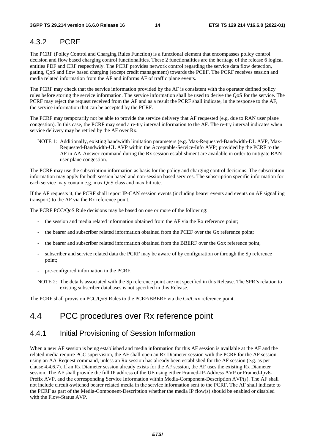### 4.3.2 PCRF

The PCRF (Policy Control and Charging Rules Function) is a functional element that encompasses policy control decision and flow based charging control functionalities. These 2 functionalities are the heritage of the release 6 logical entities PDF and CRF respectively. The PCRF provides network control regarding the service data flow detection, gating, QoS and flow based charging (except credit management) towards the PCEF. The PCRF receives session and media related information from the AF and informs AF of traffic plane events.

The PCRF may check that the service information provided by the AF is consistent with the operator defined policy rules before storing the service information. The service information shall be used to derive the QoS for the service. The PCRF may reject the request received from the AF and as a result the PCRF shall indicate, in the response to the AF, the service information that can be accepted by the PCRF.

The PCRF may temporarily not be able to provide the service delivery that AF requested (e.g. due to RAN user plane congestion). In this case, the PCRF may send a re-try interval information to the AF. The re-try interval indicates when service delivery may be retried by the AF over Rx.

NOTE 1: Additionally, existing bandwidth limitation parameters (e.g. Max-Requested-Bandwidth-DL AVP, Max-Requested-Bandwidth-UL AVP within the Acceptable-Service-Info AVP) provided by the PCRF to the AF in AA-Answer command during the Rx session establishment are available in order to mitigate RAN user plane congestion.

The PCRF may use the subscription information as basis for the policy and charging control decisions. The subscription information may apply for both session based and non-session based services. The subscription specific information for each service may contain e.g. max QoS class and max bit rate.

If the AF requests it, the PCRF shall report IP-CAN session events (including bearer events and events on AF signalling transport) to the AF via the Rx reference point.

The PCRF PCC/QoS Rule decisions may be based on one or more of the following:

- the session and media related information obtained from the AF via the Rx reference point;
- the bearer and subscriber related information obtained from the PCEF over the Gx reference point;
- the bearer and subscriber related information obtained from the BBERF over the Gxx reference point;
- subscriber and service related data the PCRF may be aware of by configuration or through the Sp reference point;
- pre-configured information in the PCRF.

NOTE 2: The details associated with the Sp reference point are not specified in this Release. The SPR's relation to existing subscriber databases is not specified in this Release.

The PCRF shall provision PCC/QoS Rules to the PCEF/BBERF via the Gx/Gxx reference point.

# 4.4 PCC procedures over Rx reference point

### 4.4.1 Initial Provisioning of Session Information

When a new AF session is being established and media information for this AF session is available at the AF and the related media require PCC supervision, the AF shall open an Rx Diameter session with the PCRF for the AF session using an AA-Request command, unless an Rx session has already been established for the AF session (e.g. as per clause 4.4.6.7). If an Rx Diameter session already exists for the AF session, the AF uses the existing Rx Diameter session. The AF shall provide the full IP address of the UE using either Framed-IP-Address AVP or Framed-Ipv6- Prefix AVP, and the corresponding Service Information within Media-Component-Description AVP(s). The AF shall not include circuit-switched bearer related media in the service information sent to the PCRF. The AF shall indicate to the PCRF as part of the Media-Component-Description whether the media IP flow(s) should be enabled or disabled with the Flow-Status AVP.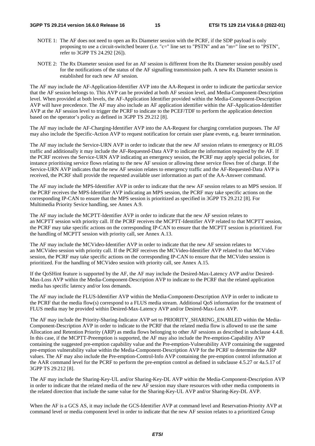- NOTE 1: The AF does not need to open an Rx Diameter session with the PCRF, if the SDP payload is only proposing to use a circuit-switched bearer (i.e. "c=" line set to "PSTN" and an "m=" line set to "PSTN", refer to 3GPP TS 24.292 [26]).
- NOTE 2: The Rx Diameter session used for an AF session is different from the Rx Diameter session possibly used for the notifications of the status of the AF signalling transmission path. A new Rx Diameter session is established for each new AF session.

The AF may include the AF-Application-Identifier AVP into the AA-Request in order to indicate the particular service that the AF session belongs to. This AVP can be provided at both AF session level, and Media-Component-Description level. When provided at both levels, the AF-Application Identifier provided within the Media-Component-Description AVP will have precedence. The AF may also include an AF application identifier within the AF-Application-Identifier AVP at the AF session level to trigger the PCRF to indicate to the PCEF/TDF to perform the application detection based on the operator's policy as defined in 3GPP TS 29.212 [8].

The AF may include the AF-Charging-Identifier AVP into the AA-Request for charging correlation purposes. The AF may also include the Specific-Action AVP to request notification for certain user plane events, e.g. bearer termination.

The AF may include the Service-URN AVP in order to indicate that the new AF session relates to emergency or RLOS traffic and additionally it may include the AF-Requested-Data AVP to indicate the information required by the AF. If the PCRF receives the Service-URN AVP indicating an emergency session, the PCRF may apply special policies, for instance prioritising service flows relating to the new AF session or allowing these service flows free of charge. If the Service-URN AVP indicates that the new AF session relates to emergency traffic and the AF-Requested-Data AVP is received, the PCRF shall provide the requested available user information as part of the AA-Answer command.

The AF may include the MPS-Identifier AVP in order to indicate that the new AF session relates to an MPS session. If the PCRF receives the MPS-Identifier AVP indicating an MPS session, the PCRF may take specific actions on the corresponding IP-CAN to ensure that the MPS session is prioritized as specified in 3GPP TS 29.212 [8]. For Multimedia Priority Sevice handling, see Annex A.9.

The AF may include the MCPTT-Identifier AVP in order to indicate that the new AF session relates to an MCPTT session with priority call. If the PCRF receives the MCPTT-Identifier AVP related to that MCPTT session, the PCRF may take specific actions on the corresponding IP-CAN to ensure that the MCPTT session is prioritized. For the handling of MCPTT session with priority call, see Annex A.13.

The AF may include the MCVideo-Identifier AVP in order to indicate that the new AF session relates to an MCVideo session with priority call. If the PCRF receives the MCVideo-Identifier AVP related to that MCVideo session, the PCRF may take specific actions on the corresponding IP-CAN to ensure that the MCVideo session is prioritized. For the handling of MCVideo session with priority call, see Annex A.15.

If the QoSHint feature is supported by the AF, the AF may include the Desired-Max-Latency AVP and/or Desired-Max-Loss AVP within the Media-Component-Description AVP to indicate to the PCRF that the related application media has specific latency and/or loss demands.

The AF may include the FLUS-Identifier AVP within the Media-Component-Description AVP in order to indicate to the PCRF that the media flow(s) correspond to a FLUS media stream. Additional QoS information for the treatment of FLUS media may be provided within Desired-Max-Latency AVP and/or Desired-Max-Loss AVP.

The AF may include the Priority-Sharing-Indicator AVP set to PRIORITY\_SHARING\_ENABLED within the Media-Component-Description AVP in order to indicate to the PCRF that the related media flow is allowed to use the same Allocation and Retention Priority (ARP) as media flows belonging to other AF sessions as described in subclause 4.4.8. In this case, if the MCPTT-Preemption is supported, the AF may also include the Pre-emption-Capability AVP containing the suggested pre-emption capability value and the Pre-emption-Vulnerability AVP containing the suggested pre-emption vulnerability value within the Media-Component-Description AVP for the PCRF to determine the ARP values. The AF may also include the Pre-emption-Control-Info AVP containing the pre-emption control information at the AAR command level for the PCRF to perform the pre-emption control as defined in subclause 4.5.27 or 4a.5.17 of 3GPP TS 29.212 [8].

The AF may include the Sharing-Key-UL and/or Sharing-Key-DL AVP within the Media-Component-Description AVP in order to indicate that the related media of the new AF session may share resources with other media components in the related direction that include the same value for the Sharing-Key-UL AVP and/or Sharing-Key-DL AVP.

When the AF is a GCS AS, it may include the GCS-Identifier AVP at command level and Reservation-Priority AVP at command level or media component level in order to indicate that the new AF session relates to a prioritized Group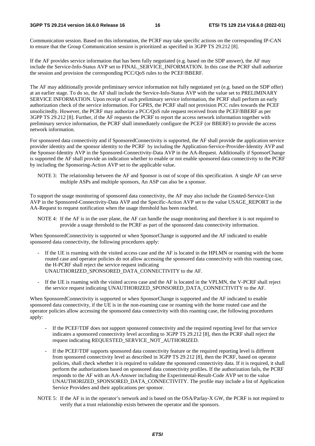#### **3GPP TS 29.214 version 16.6.0 Release 16 16 ETSI TS 129 214 V16.6.0 (2022-01)**

Communication session. Based on this information, the PCRF may take specific actions on the corresponding IP-CAN to ensure that the Group Communication session is prioritized as specified in 3GPP TS 29.212 [8].

If the AF provides service information that has been fully negotiated (e.g. based on the SDP answer), the AF may include the Service-Info-Status AVP set to FINAL\_SERVICE\_INFORMATION. In this case the PCRF shall authorize the session and provision the corresponding PCC/QoS rules to the PCEF/BBERF.

The AF may additionally provide preliminary service information not fully negotiated yet (e.g. based on the SDP offer) at an earlier stage. To do so, the AF shall include the Service-Info-Status AVP with the value set to PRELIMINARY SERVICE INFORMATION. Upon receipt of such preliminary service information, the PCRF shall perform an early authorization check of the service information. For GPRS, the PCRF shall not provision PCC rules towards the PCEF unsolicitedly. However, the PCRF may authorize a PCC/QoS rule request received from the PCEF/BBERF as per 3GPP TS 29.212 [8]. Further, if the AF requests the PCRF to report the access network information together with preliminary service information, the PCRF shall immediately configure the PCEF (or BBERF) to provide the access network information.

For sponsored data connectivity and if SponsoredConnectivity is supported, the AF shall provide the application service provider identity and the sponsor identity to the PCRF by including the Application-Service-Provider-Identity AVP and the Sponsor-Identity AVP in the Sponsored-Connectivity-Data AVP in the AA-Request. Additionally if SponsorChange is supported the AF shall provide an indication whether to enable or not enable sponsored data connectivity to the PCRF by including the Sponsoring-Action AVP set to the applicable value.

NOTE 3: The relationship between the AF and Sponsor is out of scope of this specification. A single AF can serve multiple ASPs and multiple sponsors, An ASP can also be a sponsor.

To support the usage monitoring of sponsored data connectivity, the AF may also include the Granted-Service-Unit AVP in the Sponsored-Connectivity-Data AVP and the Specific-Action AVP set to the value USAGE\_REPORT in the AA-Request to request notification when the usage threshold has been reached.

NOTE 4: If the AF is in the user plane, the AF can handle the usage monitoring and therefore it is not required to provide a usage threshold to the PCRF as part of the sponsored data connectivity information.

When SponsoredConnectivity is supported or when SponsorChange is supported and the AF indicated to enable sponsored data connectivity, the following procedures apply:

- If the UE is roaming with the visited access case and the AF is located in the HPLMN or roaming with the home routed case and operator policies do not allow accessing the sponsored data connectivity with this roaming case, the H-PCRF shall reject the service request indicating UNAUTHORIZED\_SPONSORED\_DATA\_CONNECTIVITY to the AF.
- If the UE is roaming with the visited access case and the AF is located in the VPLMN, the V-PCRF shall reject the service request indicating UNAUTHORIZED\_SPONSORED\_DATA\_CONNECTIVITY to the AF.

When SponsoredConnectivity is supported or when SponsorChange is supported and the AF indicated to enable sponsored data connectivity, if the UE is in the non-roaming case or roaming with the home routed case and the operator policies allow accessing the sponsored data connectivity with this roaming case, the following procedures apply:

- If the PCEF/TDF does not support sponsored connectivity and the required reporting level for that service indicates a sponsored connectivity level according to 3GPP TS 29.212 [8], then the PCRF shall reject the request indicating REQUESTED\_SERVICE\_NOT\_AUTHORIZED.
- If the PCEF/TDF supports sponsored data connectivity feature or the required reporting level is different from sponsored connectivity level as described in 3GPP TS 29.212 [8], then the PCRF, based on operator policies, shall check whether it is required to validate the sponsored connectivity data. If it is required, it shall perform the authorizations based on sponsored data connectivity profiles. If the authorization fails, the PCRF responds to the AF with an AA-Answer including the Experimental-Result-Code AVP set to the value UNAUTHORIZED\_SPONSORED\_DATA\_CONNECTIVITY. The profile may include a list of Application Service Providers and their applications per sponsor.
- NOTE 5: If the AF is in the operator's network and is based on the OSA/Parlay-X GW, the PCRF is not required to verify that a trust relationship exists between the operator and the sponsors.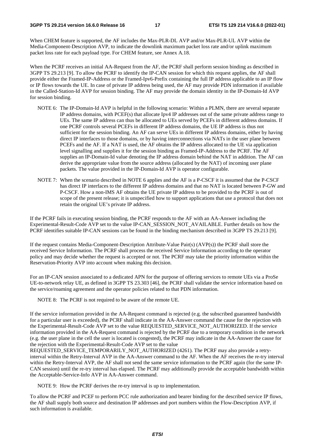When CHEM feature is supported, the AF includes the Max-PLR-DL AVP and/or Max-PLR-UL AVP within the Media-Component-Description AVP, to indicate the downlink maximum packet loss rate and/or uplink maximum packet loss rate for each payload type. For CHEM feature, see Annex A.18.

When the PCRF receives an initial AA-Request from the AF, the PCRF shall perform session binding as described in 3GPP TS 29.213 [9]. To allow the PCRF to identify the IP-CAN session for which this request applies, the AF shall provide either the Framed-IP-Address or the Framed-Ipv6-Prefix containing the full IP address applicable to an IP flow or IP flows towards the UE. In case of private IP address being used, the AF may provide PDN information if available in the Called-Station-Id AVP for session binding. The AF may provide the domain identity in the IP-Domain-Id AVP for session binding.

- NOTE 6: The IP-Domain-Id AVP is helpful in the following scenario: Within a PLMN, there are several separate IP address domains, with PCEF(s) that allocate Ipv4 IP addresses out of the same private address range to UEs. The same IP address can thus be allocated to UEs served by PCEFs in different address domains. If one PCRF controls several PCEFs in different IP address domains, the UE IP address is thus not sufficient for the session binding. An AF can serve UEs in different IP address domains, either by having direct IP interfaces to those domains, or by having interconnections via NATs in the user plane between PCEFs and the AF. If a NAT is used, the AF obtains the IP address allocated to the UE via application level signalling and supplies it for the session binding as Framed-IP-Address to the PCRF. The AF supplies an IP-Domain-Id value denoting the IP address domain behind the NAT in addition. The AF can derive the appropriate value from the source address (allocated by the NAT) of incoming user plane packets. The value provided in the IP-Domain-Id AVP is operator configurable.
- NOTE 7: When the scenario described in NOTE 6 applies and the AF is a P-CSCF it is assumed that the P-CSCF has direct IP interfaces to the different IP address domains and that no NAT is located between P-GW and P-CSCF. How a non-IMS AF obtains the UE private IP address to be provided to the PCRF is out of scope of the present release; it is unspecified how to support applications that use a protocol that does not retain the original UE's private IP address.

If the PCRF fails in executing session binding, the PCRF responds to the AF with an AA-Answer including the Experimental-Result-Code AVP set to the value IP-CAN\_SESSION\_NOT\_AVAILABLE. Further details on how the PCRF identifies suitable IP-CAN sessions can be found in the binding mechanism described in 3GPP TS 29.213 [9].

If the request contains Media-Component-Description Attribute-Value Pair(s) (AVP(s)) the PCRF shall store the received Service Information. The PCRF shall process the received Service Information according to the operator policy and may decide whether the request is accepted or not. The PCRF may take the priority information within the Reservation-Priority AVP into account when making this decision.

For an IP-CAN session associated to a dedicated APN for the purpose of offering services to remote UEs via a ProSe UE-to-network relay UE, as defined in 3GPP TS 23.303 [46], the PCRF shall validate the service information based on the service/roaming agreement and the operator policies related to that PDN information.

NOTE 8: The PCRF is not required to be aware of the remote UE.

If the service information provided in the AA-Request command is rejected (e.g. the subscribed guaranteed bandwidth for a particular user is exceeded), the PCRF shall indicate in the AA-Answer command the cause for the rejection with the Experimental-Result-Code AVP set to the value REQUESTED\_SERVICE\_NOT\_AUTHORIZED. If the service information provided in the AA-Request command is rejected by the PCRF due to a temporary condition in the network (e.g. the user plane in the cell the user is located is congested), the PCRF may indicate in the AA-Answer the cause for the rejection with the Experimental-Result-Code AVP set to the value

REQUESTED\_SERVICE\_TEMPORARILY\_NOT\_AUTHORIZED (4261). The PCRF may also provide a retryinterval within the Retry-Interval AVP in the AA-Answer command to the AF. When the AF receives the re-try interval within the Retry-Interval AVP, the AF shall not send the same service information to the PCRF again (for the same IP-CAN session) until the re-try interval has elapsed. The PCRF may additionally provide the acceptable bandwidth within the Acceptable-Service-Info AVP in AA-Answer command.

NOTE 9: How the PCRF derives the re-try interval is up to implementation.

To allow the PCRF and PCEF to perform PCC rule authorization and bearer binding for the described service IP flows, the AF shall supply both source and destination IP addresses and port numbers within the Flow-Description AVP, if such information is available.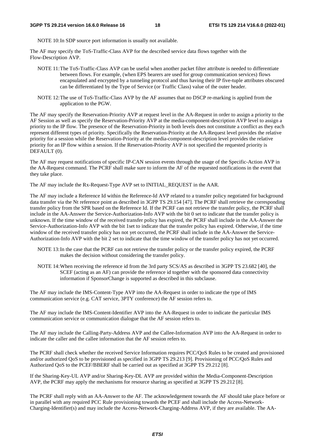NOTE 10: In SDP source port information is usually not available.

The AF may specify the ToS-Traffic-Class AVP for the described service data flows together with the Flow-Description AVP.

- NOTE 11: The ToS-Traffic-Class AVP can be useful when another packet filter attribute is needed to differentiate between flows. For example, (when EPS bearers are used for group communication services) flows encapsulated and encrypted by a tunneling protocol and thus having their IP five-tuple attributes obscured can be differentiated by the Type of Service (or Traffic Class) value of the outer header.
- NOTE 12: The use of ToS-Traffic-Class AVP by the AF assumes that no DSCP re-marking is applied from the application to the PGW.

The AF may specify the Reservation-Priority AVP at request level in the AA-Request in order to assign a priority to the AF Session as well as specify the Reservation-Priority AVP at the media-component-description AVP level to assign a priority to the IP flow. The presence of the Reservation-Priority in both levels does not constitute a conflict as they each represent different types of priority. Specifically the Reservation-Priority at the AA-Request level provides the relative priority for a session while the Reservation-Priority at the media-component-description level provides the relative priority for an IP flow within a session. If the Reservation-Priority AVP is not specified the requested priority is DEFAULT (0).

The AF may request notifications of specific IP-CAN session events through the usage of the Specific-Action AVP in the AA-Request command. The PCRF shall make sure to inform the AF of the requested notifications in the event that they take place.

The AF may include the Rx-Request-Type AVP set to INITIAL\_REQUEST in the AAR.

The AF may include a Reference Id within the Reference-Id AVP related to a transfer policy negotiated for background data transfer via the Nt reference point as described in 3GPP TS 29.154 [47]. The PCRF shall retrieve the corresponding transfer policy from the SPR based on the Reference Id. If the PCRF can not retrieve the transfer policy, the PCRF shall include in the AA-Answer the Service-Authorization-Info AVP with the bit 0 set to indicate that the transfer policy is unknown. If the time window of the received transfer policy has expired, the PCRF shall include in the AA-Answer the Service-Authorization-Info AVP with the bit 1set to indicate that the transfer policy has expired. Otherwise, if the time window of the received transfer policy has not yet occurred, the PCRF shall include in the AA-Answer the Service-Authorization-Info AVP with the bit 2 set to indicate that the time window of the transfer policy has not yet occurred.

- NOTE 13: In the case that the PCRF can not retrieve the transfer policy or the transfer policy expired, the PCRF makes the decision without considering the transfer policy.
- NOTE 14: When receiving the reference id from the 3rd party SCS/AS as described in 3GPP TS 23.682 [40], the SCEF (acting as an AF) can provide the reference id together with the sponsored data connectivity information if SponsorChange is supported as described in this subclause.

The AF may include the IMS-Content-Type AVP into the AA-Request in order to indicate the type of IMS communication service (e.g. CAT service, 3PTY conference) the AF session refers to.

The AF may include the IMS-Content-Identifier AVP into the AA-Request in order to indicate the particular IMS communication service or communication dialogue that the AF session refers to.

The AF may include the Calling-Party-Address AVP and the Callee-Information AVP into the AA-Request in order to indicate the caller and the callee information that the AF session refers to.

The PCRF shall check whether the received Service Information requires PCC/QoS Rules to be created and provisioned and/or authorized QoS to be provisioned as specified in 3GPP TS 29.213 [9]. Provisioning of PCC/QoS Rules and Authorized QoS to the PCEF/BBERF shall be carried out as specified at 3GPP TS 29.212 [8].

If the Sharing-Key-UL AVP and/or Sharing-Key-DL AVP are provided within the Media-Component-Description AVP, the PCRF may apply the mechanisms for resource sharing as specified at 3GPP TS 29.212 [8].

The PCRF shall reply with an AA-Answer to the AF. The acknowledgement towards the AF should take place before or in parallel with any required PCC Rule provisioning towards the PCEF and shall include the Access-Network-Charging-Identifier(s) and may include the Access-Network-Charging-Address AVP, if they are available. The AA-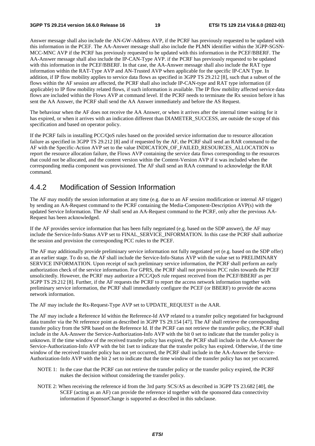Answer message shall also include the AN-GW-Address AVP, if the PCRF has previously requested to be updated with this information in the PCEF. The AA-Answer message shall also include the PLMN identifier within the 3GPP-SGSN-MCC-MNC AVP if the PCRF has previously requested to be updated with this information in the PCEF/BBERF. The AA-Answer message shall also include the IP-CAN-Type AVP. if the PCRF has previously requested to be updated with this information in the PCEF/BBERF. In that case, the AA-Answer message shall also include the RAT type information within the RAT-Type AVP and AN-Trusted AVP when applicable for the specific IP-CAN Type. In addition, if IP flow mobility applies to service data flows as specified in 3GPP TS 29.212 [8], such that a subset of the flows within the AF session are affected, the PCRF shall also include IP-CAN-type and RAT type information (if applicable) to IP flow mobility related flows, if such information is available. The IP flow mobility affected service data flows are included within the Flows AVP at command level. If the PCRF needs to terminate the Rx session before it has sent the AA Answer, the PCRF shall send the AA Answer immediately and before the AS Request.

The behaviour when the AF does not receive the AA Answer, or when it arrives after the internal timer waiting for it has expired, or when it arrives with an indication different than DIAMETER\_SUCCESS, are outside the scope of this specification and based on operator policy.

If the PCRF fails in installing PCC/QoS rules based on the provided service information due to resource allocation failure as specified in 3GPP TS 29.212 [8] and if requested by the AF, the PCRF shall send an RAR command to the AF with the Specific-Action AVP set to the value INDICATION\_OF\_FAILED\_RESOURCES\_ALLOCATION to report the resource allocation failure, the Flows AVP containing the service data flows corresponding to the resources that could not be allocated, and the content version within the Content-Version AVP if it was included when the corresponding media component was provisioned. The AF shall send an RAA command to acknowledge the RAR command.

# 4.4.2 Modification of Session Information

The AF may modify the session information at any time (e.g. due to an AF session modification or internal AF trigger) by sending an AA-Request command to the PCRF containing the Media-Component-Description AVP(s) with the updated Service Information. The AF shall send an AA-Request command to the PCRF, only after the previous AA-Request has been acknowledged.

If the AF provides service information that has been fully negotiated (e.g. based on the SDP answer), the AF may include the Service-Info-Status AVP set to FINAL\_SERVICE\_INFORMATION. In this case the PCRF shall authorize the session and provision the corresponding PCC rules to the PCEF.

The AF may additionally provide preliminary service information not fully negotiated yet (e.g. based on the SDP offer) at an earlier stage. To do so, the AF shall include the Service-Info-Status AVP with the value set to PRELIMINARY SERVICE INFORMATION. Upon receipt of such preliminary service information, the PCRF shall perform an early authorization check of the service information. For GPRS, the PCRF shall not provision PCC rules towards the PCEF unsolicitedly. However, the PCRF may authorize a PCC/QoS rule request received from the PCEF/BBERF as per 3GPP TS 29.212 [8]. Further, if the AF requests the PCRF to report the access network information together with preliminary service information, the PCRF shall immediately configure the PCEF (or BBERF) to provide the access network information.

The AF may include the Rx-Request-Type AVP set to UPDATE\_REQUEST in the AAR.

The AF may include a Reference Id within the Reference-Id AVP related to a transfer policy negotiated for background data transfer via the Nt reference point as described in 3GPP TS 29.154 [47]. The AF shall retrieve the corresponding transfer policy from the SPR based on the Reference Id. If the PCRF can not retrieve the transfer policy, the PCRF shall include in the AA-Answer the Service-Authorization-Info AVP with the bit 0 set to indicate that the transfer policy is unknown. If the time window of the received transfer policy has expired, the PCRF shall include in the AA-Answer the Service-Authorization-Info AVP with the bit 1set to indicate that the transfer policy has expired. Otherwise, if the time window of the received transfer policy has not yet occurred, the PCRF shall include in the AA-Answer the Service-Authorization-Info AVP with the bit 2 set to indicate that the time window of the transfer policy has not yet occurred.

- NOTE 1: In the case that the PCRF can not retrieve the transfer policy or the transfer policy expired, the PCRF makes the decision without considering the transfer policy.
- NOTE 2: When receiving the reference id from the 3rd party SCS/AS as described in 3GPP TS 23.682 [40], the SCEF (acting as an AF) can provide the reference id together with the sponsored data connectivity information if SponsorChange is supported as described in this subclause.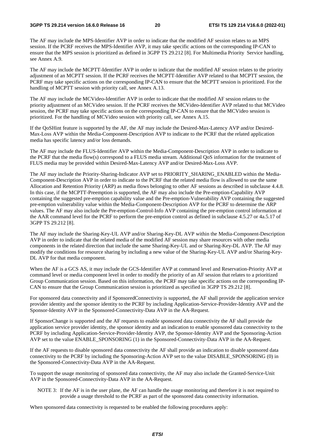The AF may include the MPS-Identifier AVP in order to indicate that the modified AF session relates to an MPS session. If the PCRF receives the MPS-Identifier AVP, it may take specific actions on the corresponding IP-CAN to ensure that the MPS session is prioritized as defined in 3GPP TS 29.212 [8]. For Multimedia Priority Service handling, see Annex A.9.

The AF may include the MCPTT-Identifier AVP in order to indicate that the modified AF session relates to the priority adjustment of an MCPTT session. If the PCRF receives the MCPTT-Identifier AVP related to that MCPTT session, the PCRF may take specific actions on the corresponding IP-CAN to ensure that the MCPTT session is prioritized. For the handling of MCPTT session with priority call, see Annex A.13.

The AF may include the MCVideo-Identifier AVP in order to indicate that the modified AF session relates to the priority adjustment of an MCVideo session. If the PCRF receives the MCVideo-Identifier AVP related to that MCVideo session, the PCRF may take specific actions on the corresponding IP-CAN to ensure that the MCVideo session is prioritized. For the handling of MCVideo session with priority call, see Annex A.15.

If the QoSHint feature is supported by the AF, the AF may include the Desired-Max-Latency AVP and/or Desired-Max-Loss AVP within the Media-Component-Description AVP to indicate to the PCRF that the related application media has specific latency and/or loss demands.

The AF may include the FLUS-Identifier AVP within the Media-Component-Description AVP in order to indicate to the PCRF that the media flow(s) correspond to a FLUS media stream. Additional QoS information for the treatment of FLUS media may be provided within Desired-Max-Latency AVP and/or Desired-Max-Loss AVP.

The AF may include the Priority-Sharing-Indicator AVP set to PRIORITY\_SHARING\_ENABLED within the Media-Component-Description AVP in order to indicate to the PCRF that the related media flow is allowed to use the same Allocation and Retention Priority (ARP) as media flows belonging to other AF sessions as described in subclause 4.4.8. In this case, if the MCPTT-Preemption is supported, the AF may also include the Pre-emption-Capability AVP containing the suggested pre-emption capability value and the Pre-emption-Vulnerability AVP containing the suggested pre-emption vulnerability value within the Media-Component-Description AVP for the PCRF to determine the ARP values. The AF may also include the Pre-emption-Control-Info AVP containing the pre-emption control information at the AAR command level for the PCRF to perform the pre-emption control as defined in subclause 4.5.27 or 4a.5.17 of 3GPP TS 29.212 [8].

The AF may include the Sharing-Key-UL AVP and/or Sharing-Key-DL AVP within the Media-Component-Description AVP in order to indicate that the related media of the modified AF session may share resources with other media components in the related direction that include the same Sharing-Key-UL and or Sharing-Key-DL AVP. The AF may modify the conditions for resource sharing by including a new value of the Sharing-Key-UL AVP and/or Sharing-Key-DL AVP for that media component.

When the AF is a GCS AS, it may include the GCS-Identifier AVP at command level and Reservation-Priority AVP at command level or media component level in order to modify the priority of an AF session that relates to a prioritized Group Communication session. Based on this information, the PCRF may take specific actions on the corresponding IP-CAN to ensure that the Group Communication session is prioritized as specified in 3GPP TS 29.212 [8].

For sponsored data connectivity and if SponsoredConnectivity is supported, the AF shall provide the application service provider identity and the sponsor identity to the PCRF by including Application-Service-Provider-Identity AVP and the Sponsor-Identity AVP in the Sponsored-Connectivity-Data AVP in the AA-Request.

If SponsorChange is supported and the AF requests to enable sponsored data connectivity the AF shall provide the application service provider identity, the sponsor identity and an indication to enable sponsored data connectivity to the PCRF by including Application-Service-Provider-Identity AVP, the Sponsor-Identity AVP and the Sponsoring-Action AVP set to the value ENABLE\_SPONSORING (1) in the Sponsored-Connectivity-Data AVP in the AA-Request.

If the AF requests to disable sponsored data connectivity the AF shall provide an indication to disable sponsored data connectivity to the PCRF by including the Sponsoring-Action AVP set to the value DISABLE\_SPONSORING (0) in the Sponsored-Connectivity-Data AVP in the AA-Request.

To support the usage monitoring of sponsored data connectivity, the AF may also include the Granted-Service-Unit AVP in the Sponsored-Connectivity-Data AVP in the AA-Request.

NOTE 3: If the AF is in the user plane, the AF can handle the usage monitoring and therefore it is not required to provide a usage threshold to the PCRF as part of the sponsored data connectivity information.

When sponsored data connectivity is requested to be enabled the following procedures apply: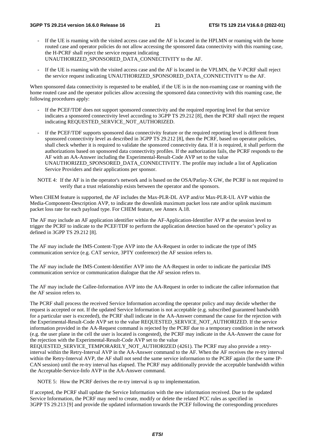- If the UE is roaming with the visited access case and the AF is located in the HPLMN or roaming with the home routed case and operator policies do not allow accessing the sponsored data connectivity with this roaming case, the H-PCRF shall reject the service request indicating UNAUTHORIZED\_SPONSORED\_DATA\_CONNECTIVITY to the AF.
- If the UE is roaming with the visited access case and the AF is located in the VPLMN, the V-PCRF shall reject the service request indicating UNAUTHORIZED\_SPONSORED\_DATA\_CONNECTIVITY to the AF.

When sponsored data connectivity is requested to be enabled, if the UE is in the non-roaming case or roaming with the home routed case and the operator policies allow accessing the sponsored data connectivity with this roaming case, the following procedures apply:

- If the PCEF/TDF does not support sponsored connectivity and the required reporting level for that service indicates a sponsored connectivity level according to 3GPP TS 29.212 [8], then the PCRF shall reject the request indicating REQUESTED\_SERVICE\_NOT\_AUTHORIZED.
- If the PCEF/TDF supports sponsored data connectivity feature or the required reporting level is different from sponsored connectivity level as described in 3GPP TS 29.212 [8], then the PCRF, based on operator policies, shall check whether it is required to validate the sponsored connectivity data. If it is required, it shall perform the authorizations based on sponsored data connectivity profiles. If the authorization fails, the PCRF responds to the AF with an AA-Answer including the Experimental-Result-Code AVP set to the value UNAUTHORIZED\_SPONSORED\_DATA\_CONNECTIVITY. The profile may include a list of Application Service Providers and their applications per sponsor.
- NOTE 4: If the AF is in the operator's network and is based on the OSA/Parlay-X GW, the PCRF is not required to verify that a trust relationship exists between the operator and the sponsors.

When CHEM feature is supported, the AF includes the Max-PLR-DL AVP and/or Max-PLR-UL AVP within the Media-Component-Description AVP, to indicate the downlink maximum packet loss rate and/or uplink maximum packet loss rate for each payload type. For CHEM feature, see Annex A.18.

The AF may include an AF application identifier within the AF-Application-Identifier AVP at the session level to trigger the PCRF to indicate to the PCEF/TDF to perform the application detection based on the operator's policy as defined in 3GPP TS 29.212 [8].

The AF may include the IMS-Content-Type AVP into the AA-Request in order to indicate the type of IMS communication service (e.g. CAT service, 3PTY conference) the AF session refers to.

The AF may include the IMS-Content-Identifier AVP into the AA-Request in order to indicate the particular IMS communication service or communication dialogue that the AF session refers to.

The AF may include the Callee-Information AVP into the AA-Request in order to indicate the callee information that the AF session refers to.

The PCRF shall process the received Service Information according the operator policy and may decide whether the request is accepted or not. If the updated Service Information is not acceptable (e.g. subscribed guaranteed bandwidth for a particular user is exceeded), the PCRF shall indicate in the AA-Answer command the cause for the rejection with the Experimental-Result-Code AVP set to the value REQUESTED\_SERVICE\_NOT\_AUTHORIZED. If the service information provided in the AA-Request command is rejected by the PCRF due to a temporary condition in the network (e.g. the user plane in the cell the user is located is congested), the PCRF may indicate in the AA-Answer the cause for the rejection with the Experimental-Result-Code AVP set to the value

REQUESTED\_SERVICE\_TEMPORARILY\_NOT\_AUTHORIZED (4261). The PCRF may also provide a retryinterval within the Retry-Interval AVP in the AA-Answer command to the AF. When the AF receives the re-try interval within the Retry-Interval AVP, the AF shall not send the same service information to the PCRF again (for the same IP-CAN session) until the re-try interval has elapsed. The PCRF may additionally provide the acceptable bandwidth within the Acceptable-Service-Info AVP in the AA-Answer command.

NOTE 5: How the PCRF derives the re-try interval is up to implementation.

If accepted, the PCRF shall update the Service Information with the new information received. Due to the updated Service Information, the PCRF may need to create, modify or delete the related PCC rules as specified in 3GPP TS 29.213 [9] and provide the updated information towards the PCEF following the corresponding procedures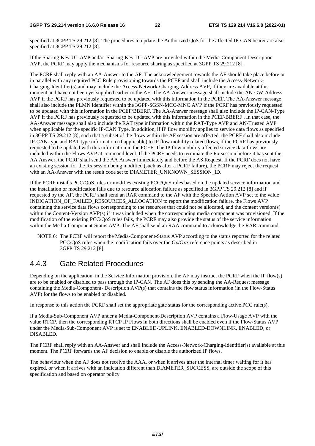specified at 3GPP TS 29.212 [8]. The procedures to update the Authorized QoS for the affected IP-CAN bearer are also specified at 3GPP TS 29.212 [8].

If the Sharing-Key-UL AVP and/or Sharing-Key-DL AVP are provided within the Media-Component-Description AVP, the PCRF may apply the mechanisms for resource sharing as specified at 3GPP TS 29.212 [8].

The PCRF shall reply with an AA-Answer to the AF. The acknowledgement towards the AF should take place before or in parallel with any required PCC Rule provisioning towards the PCEF and shall include the Access-Network-Charging-Identifier(s) and may include the Access-Network-Charging-Address AVP, if they are available at this moment and have not been yet supplied earlier to the AF. The AA-Answer message shall include the AN-GW-Address AVP if the PCRF has previously requested to be updated with this information in the PCEF. The AA-Answer message shall also include the PLMN identifier within the 3GPP-SGSN-MCC-MNC AVP if the PCRF has previously requested to be updated with this information in the PCEF/BBERF. The AA-Answer message shall also include the IP-CAN-Type AVP if the PCRF has previously requested to be updated with this information in the PCEF/BBERF . In that case, the AA-Answer message shall also include the RAT type information within the RAT-Type AVP and AN-Trusted AVP when applicable for the specific IP-CAN Type. In addition, if IP flow mobility applies to service data flows as specified in 3GPP TS 29.212 [8], such that a subset of the flows within the AF session are affected, the PCRF shall also include IP-CAN-type and RAT type information (if applicable) to IP flow mobility related flows, if the PCRF has previously requested to be updated with this information in the PCEF. The IP flow mobility affected service data flows are included within the Flows AVP at command level. If the PCRF needs to terminate the Rx session before it has sent the AA Answer, the PCRF shall send the AA Answer immediately and before the AS Request. If the PCRF does not have an existing session for the Rx session being modified (such as after a PCRF failure), the PCRF may reject the request with an AA-Answer with the result code set to DIAMETER\_UNKNOWN\_SESSION\_ID.

If the PCRF installs PCC/QoS rules or modifies existing PCC/QoS rules based on the updated service information and the installation or modification fails due to resource allocation failure as specified in 3GPP TS 29.212 [8] and if requested by the AF, the PCRF shall send an RAR command to the AF with the Specific-Action AVP set to the value INDICATION\_OF\_FAILED\_RESOURCES\_ALLOCATION to report the modification failure, the Flows AVP containing the service data flows corresponding to the resources that could not be allocated, and the content version(s) within the Content-Version AVP(s) if it was included when the corresponding media component was provisioned. If the modification of the existing PCC/QoS rules fails, the PCRF may also provide the status of the service information within the Media-Component-Status AVP. The AF shall send an RAA command to acknowledge the RAR command.

NOTE 6: The PCRF will report the Media-Component-Status AVP according to the status reported for the related PCC/QoS rules when the modification fails over the Gx/Gxx reference points as described in 3GPP TS 29.212 [8].

# 4.4.3 Gate Related Procedures

Depending on the application, in the Service Information provision, the AF may instruct the PCRF when the IP flow(s) are to be enabled or disabled to pass through the IP-CAN. The AF does this by sending the AA-Request message containing the Media-Component- Description AVP(s) that contains the flow status information (in the Flow-Status AVP) for the flows to be enabled or disabled.

In response to this action the PCRF shall set the appropriate gate status for the corresponding active PCC rule(s).

If a Media-Sub-Component AVP under a Media-Component-Description AVP contains a Flow-Usage AVP with the value RTCP, then the corresponding RTCP IP Flows in both directions shall be enabled even if the Flow-Status AVP under the Media-Sub-Component AVP is set to ENABLED-UPLINK, ENABLED-DOWNLINK, ENABLED, or DISABLED.

The PCRF shall reply with an AA-Answer and shall include the Access-Network-Charging-Identifier(s) available at this moment. The PCRF forwards the AF decision to enable or disable the authorized IP flows.

The behaviour when the AF does not receive the AAA, or when it arrives after the internal timer waiting for it has expired, or when it arrives with an indication different than DIAMETER\_SUCCESS, are outside the scope of this specification and based on operator policy.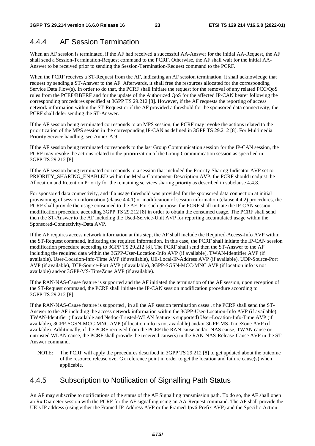# 4.4.4 AF Session Termination

When an AF session is terminated, if the AF had received a successful AA-Answer for the initial AA-Request, the AF shall send a Session-Termination-Request command to the PCRF. Otherwise, the AF shall wait for the initial AA-Answer to be received prior to sending the Session-Termination-Request command to the PCRF.

When the PCRF receives a ST-Request from the AF, indicating an AF session termination, it shall acknowledge that request by sending a ST-Answer to the AF. Afterwards, it shall free the resources allocated for the corresponding Service Data Flow(s). In order to do that, the PCRF shall initiate the request for the removal of any related PCC/QoS rules from the PCEF/BBERF and for the update of the Authorized QoS for the affected IP-CAN bearer following the corresponding procedures specified at 3GPP TS 29.212 [8]. However, if the AF requests the reporting of access network information within the ST-Request or if the AF provided a threshold for the sponsored data connectivity, the PCRF shall defer sending the ST-Answer.

If the AF session being terminated corresponds to an MPS session, the PCRF may revoke the actions related to the prioritization of the MPS session in the corresponding IP-CAN as defined in 3GPP TS 29.212 [8]. For Multimedia Priority Service handling, see Annex A.9.

If the AF session being terminated corresponds to the last Group Communication session for the IP-CAN session, the PCRF may revoke the actions related to the prioritization of the Group Communication session as specified in 3GPP TS 29.212 [8].

If the AF session being terminated corresponds to a session that included the Priority-Sharing-Indicator AVP set to PRIORITY\_SHARING\_ENABLED within the Media-Component-Description AVP, the PCRF should readjust the Allocation and Retention Priority for the remaining services sharing priority as described in subclause 4.4.8.

For sponsored data connectivity, and if a usage threshold was provided for the sponsored data connection at initial provisioning of session information (clause 4.4.1) or modification of session information (clause 4.4.2) procedures, the PCRF shall provide the usage consumed to the AF. For such purpose, the PCRF shall initiate the IP-CAN session modification procedure according 3GPP TS 29.212 [8] in order to obtain the consumed usage. The PCRF shall send then the ST-Answer to the AF including the Used-Service-Unit AVP for reporting accumulated usage within the Sponsored-Connectivity-Data AVP.

If the AF requires access network information at this step, the AF shall include the Required-Access-Info AVP within the ST-Request command, indicating the required information. In this case, the PCRF shall initiate the IP-CAN session modification procedure according to 3GPP TS 29.212 [8]. The PCRF shall send then the ST-Answer to the AF including the required data within the 3GPP-User-Location-Info AVP (if available), TWAN-Identifier AVP (if available), User-Location-Info-Time AVP (if available), UE-Local-IP-Address AVP (if available), UDP-Source-Port AVP (if available), TCP-Source-Port AVP (if available), 3GPP-SGSN-MCC-MNC AVP (if location info is not available) and/or 3GPP-MS-TimeZone AVP (if available).

If the RAN-NAS-Cause feature is supported and the AF initiated the termination of the AF session, upon reception of the ST-Request command, the PCRF shall initiate the IP-CAN session modification procedure according to 3GPP TS 29.212 [8].

If the RAN-NAS-Cause feature is supported , in all the AF session termination cases , t he PCRF shall send the ST-Answer to the AF including the access network information within the 3GPP-User-Location-Info AVP (if available), TWAN-Identifier (if available and Netloc-Trusted-WLAN feature is supported) User-Location-Info-Time AVP (if available), 3GPP-SGSN-MCC-MNC AVP (if location info is not available) and/or 3GPP-MS-TimeZone AVP (if available). Additionally, if the PCRF received from the PCEF the RAN cause and/or NAS cause, TWAN cause or untrusted WLAN cause, the PCRF shall provide the received cause(s) in the RAN-NAS-Release-Cause AVP in the ST-Answer command.

NOTE: The PCRF will apply the procedures described in 3GPP TS 29.212 [8] to get updated about the outcome of the resource release over Gx reference point in order to get the location and failure cause(s) when applicable.

# 4.4.5 Subscription to Notification of Signalling Path Status

An AF may subscribe to notifications of the status of the AF Signalling transmission path. To do so, the AF shall open an Rx Diameter session with the PCRF for the AF signalling using an AA-Request command. The AF shall provide the UE's IP address (using either the Framed-IP-Address AVP or the Framed-Ipv6-Prefix AVP) and the Specific-Action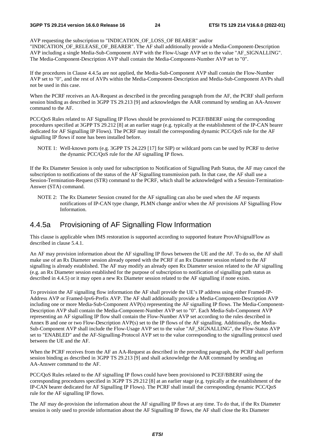AVP requesting the subscription to "INDICATION OF LOSS OF BEARER" and/or

"INDICATION\_OF\_RELEASE\_OF\_BEARER". The AF shall additionally provide a Media-Component-Description AVP including a single Media-Sub-Component AVP with the Flow-Usage AVP set to the value "AF\_SIGNALLING". The Media-Component-Description AVP shall contain the Media-Component-Number AVP set to "0".

If the procedures in Clause 4.4.5a are not applied, the Media-Sub-Component AVP shall contain the Flow-Number AVP set to "0", and the rest of AVPs within the Media-Component-Description and Media-Sub-Component AVPs shall not be used in this case.

When the PCRF receives an AA-Request as described in the preceding paragraph from the AF, the PCRF shall perform session binding as described in 3GPP TS 29.213 [9] and acknowledges the AAR command by sending an AA-Answer command to the AF.

PCC/QoS Rules related to AF Signalling IP Flows should be provisioned to PCEF/BBERF using the corresponding procedures specified at 3GPP TS 29.212 [8] at an earlier stage (e.g. typically at the establishment of the IP-CAN bearer dedicated for AF Signalling IP Flows). The PCRF may install the corresponding dynamic PCC/QoS rule for the AF signalling IP flows if none has been installed before.

NOTE 1: Well-known ports (e.g. 3GPP TS 24.229 [17] for SIP) or wildcard ports can be used by PCRF to derive the dynamic PCC/QoS rule for the AF signalling IP flows.

If the Rx Diameter Session is only used for subscription to Notification of Signalling Path Status, the AF may cancel the subscription to notifications of the status of the AF Signalling transmission path. In that case, the AF shall use a Session-Termination-Request (STR) command to the PCRF, which shall be acknowledged with a Session-Termination-Answer (STA) command.

NOTE 2: The Rx Diameter Session created for the AF signalling can also be used when the AF requests notifications of IP-CAN type change, PLMN change and/or when the AF provisions AF Signalling Flow Information.

# 4.4.5a Provisioning of AF Signalling Flow Information

This clause is applicable when IMS restoration is supported according to supported feature ProvAFsignalFlow as described in clause 5.4.1.

An AF may provision information about the AF signalling IP flows between the UE and the AF. To do so, the AF shall make use of an Rx Diameter session already opened with the PCRF if an Rx Diameter session related to the AF signalling is already established. The AF may modify an already open Rx Diameter session related to the AF signalling (e.g. an Rx Diameter session established for the purpose of subscription to notification of signalling path status as described in 4.4.5) or it may open a new Rx Diameter session related to the AF signalling if none exists.

To provision the AF signalling flow information the AF shall provide the UE's IP address using either Framed-IP-Address AVP or Framed-Ipv6-Prefix AVP. The AF shall additionally provide a Media-Component-Description AVP including one or more Media-Sub-Component AVP(s) representing the AF signalling IP flows. The Media-Component-Description AVP shall contain the Media-Component-Number AVP set to "0". Each Media-Sub-Component AVP representing an AF signalling IP flow shall contain the Flow-Number AVP set according to the rules described in Annex B and one or two Flow-Description AVP(s) set to the IP flows of the AF signalling. Additionally, the Media-Sub-Component AVP shall include the Flow-Usage AVP set to the value "AF\_SIGNALLING", the Flow-Status AVP set to "ENABLED" and the AF-Signalling-Protocol AVP set to the value corresponding to the signalling protocol used between the UE and the AF.

When the PCRF receives from the AF an AA-Request as described in the preceding paragraph, the PCRF shall perform session binding as described in 3GPP TS 29.213 [9] and shall acknowledge the AAR command by sending an AA-Answer command to the AF.

PCC/QoS Rules related to the AF signalling IP flows could have been provisioned to PCEF/BBERF using the corresponding procedures specified in 3GPP TS 29.212 [8] at an earlier stage (e.g. typically at the establishment of the IP-CAN bearer dedicated for AF Signalling IP Flows). The PCRF shall install the corresponding dynamic PCC/QoS rule for the AF signalling IP flows.

The AF may de-provision the information about the AF signalling IP flows at any time. To do that, if the Rx Diameter session is only used to provide information about the AF Signalling IP flows, the AF shall close the Rx Diameter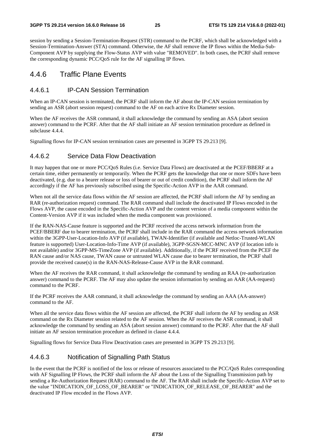session by sending a Session-Termination-Request (STR) command to the PCRF, which shall be acknowledged with a Session-Termination-Answer (STA) command. Otherwise, the AF shall remove the IP flows within the Media-Sub-Component AVP by supplying the Flow-Status AVP with value "REMOVED". In both cases, the PCRF shall remove the corresponding dynamic PCC/QoS rule for the AF signalling IP flows.

### 4.4.6 Traffic Plane Events

#### 4.4.6.1 IP-CAN Session Termination

When an IP-CAN session is terminated, the PCRF shall inform the AF about the IP-CAN session termination by sending an ASR (abort session request) command to the AF on each active Rx Diameter session.

When the AF receives the ASR command, it shall acknowledge the command by sending an ASA (abort session answer) command to the PCRF. After that the AF shall initiate an AF session termination procedure as defined in subclause 4.4.4.

Signalling flows for IP-CAN session termination cases are presented in 3GPP TS 29.213 [9].

#### 4.4.6.2 Service Data Flow Deactivation

It may happen that one or more PCC/QoS Rules (i.e. Service Data Flows) are deactivated at the PCEF/BBERF at a certain time, either permanently or temporarily. When the PCRF gets the knowledge that one or more SDFs have been deactivated, (e.g. due to a bearer release or loss of bearer or out of credit condition), the PCRF shall inform the AF accordingly if the AF has previously subscribed using the Specific-Action AVP in the AAR command.

When not all the service data flows within the AF session are affected, the PCRF shall inform the AF by sending an RAR (re-authorization request) command. The RAR command shall include the deactivated IP Flows encoded in the Flows AVP, the cause encoded in the Specific-Action AVP and the content version of a media component within the Content-Version AVP if it was included when the media component was provisioned.

If the RAN-NAS-Cause feature is supported and the PCRF received the access network information from the PCEF/BBERF due to bearer termination, the PCRF shall include in the RAR command the access network information within the 3GPP-User-Location-Info AVP (if available), TWAN-Identifier (if available and Netloc-Trusted-WLAN feature is supported) User-Location-Info-Time AVP (if available), 3GPP-SGSN-MCC-MNC AVP (if location info is not available) and/or 3GPP-MS-TimeZone AVP (if available). Additionally, if the PCRF received from the PCEF the RAN cause and/or NAS cause, TWAN cause or untrusted WLAN cause due to bearer termination, the PCRF shall provide the received cause(s) in the RAN-NAS-Release-Cause AVP in the RAR command.

When the AF receives the RAR command, it shall acknowledge the command by sending an RAA (re-authorization answer) command to the PCRF. The AF may also update the session information by sending an AAR (AA-request) command to the PCRF.

If the PCRF receives the AAR command, it shall acknowledge the command by sending an AAA (AA-answer) command to the AF.

When all the service data flows within the AF session are affected, the PCRF shall inform the AF by sending an ASR command on the Rx Diameter session related to the AF session. When the AF receives the ASR command, it shall acknowledge the command by sending an ASA (abort session answer) command to the PCRF. After that the AF shall initiate an AF session termination procedure as defined in clause 4.4.4.

Signalling flows for Service Data Flow Deactivation cases are presented in 3GPP TS 29.213 [9].

#### 4.4.6.3 Notification of Signalling Path Status

In the event that the PCRF is notified of the loss or release of resources associated to the PCC/QoS Rules corresponding with AF Signalling IP Flows, the PCRF shall inform the AF about the Loss of the Signalling Transmission path by sending a Re-Authorization Request (RAR) command to the AF. The RAR shall include the Specific-Action AVP set to the value "INDICATION\_OF\_LOSS\_OF\_BEARER" or "INDICATION\_OF\_RELEASE\_OF\_BEARER" and the deactivated IP Flow encoded in the Flows AVP.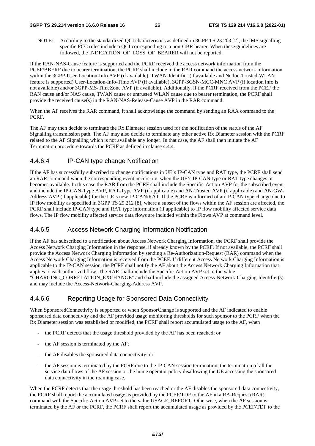NOTE: According to the standardized QCI characteristics as defined in 3GPP TS 23.203 [2], the IMS signalling specific PCC rules include a QCI corresponding to a non-GBR bearer. When these guidelines are followed, the INDICATION OF LOSS OF BEARER will not be reported.

If the RAN-NAS-Cause feature is supported and the PCRF received the access network information from the PCEF/BBERF due to bearer termination, the PCRF shall include in the RAR command the access network information within the 3GPP-User-Location-Info AVP (if available), TWAN-Identifier (if available and Netloc-Trusted-WLAN feature is supported) User-Location-Info-Time AVP (if available), 3GPP-SGSN-MCC-MNC AVP (if location info is not available) and/or 3GPP-MS-TimeZone AVP (if available). Additionally, if the PCRF received from the PCEF the RAN cause and/or NAS cause, TWAN cause or untrusted WLAN cause due to bearer termination, the PCRF shall provide the received cause(s) in the RAN-NAS-Release-Cause AVP in the RAR command.

When the AF receives the RAR command, it shall acknowledge the command by sending an RAA command to the PCRF.

The AF may then decide to terminate the Rx Diameter session used for the notification of the status of the AF Signalling transmission path. The AF may also decide to terminate any other active Rx Diameter session with the PCRF related to the AF Signalling which is not available any longer. In that case, the AF shall then initiate the AF Termination procedure towards the PCRF as defined in clause 4.4.4.

#### 4.4.6.4 IP-CAN type change Notification

If the AF has successfully subscribed to change notifications in UE's IP-CAN type and RAT type, the PCRF shall send an RAR command when the corresponding event occurs, i.e. when the UE's IP-CAN type or RAT type changes or becomes available. In this case the RAR from the PCRF shall include the Specific-Action AVP for the subscribed event and include the IP-CAN-Type AVP, RAT-Type AVP (if applicable) and AN-Trusted AVP (if applicable) and AN-GW-Address AVP (if applicable) for the UE's new IP-CAN/RAT. If the PCRF is informed of an IP-CAN type change due to IP flow mobility as specified in 3GPP TS 29.212 [8], where a subset of the flows within the AF session are affected, the PCRF shall include IP-CAN type and RAT type information (if applicable) to IP flow mobility affected service data flows. The IP flow mobility affected service data flows are included within the Flows AVP at command level.

#### 4.4.6.5 Access Network Charging Information Notification

If the AF has subscribed to a notification about Access Network Charging Information, the PCRF shall provide the Access Network Charging Information in the response, if already known by the PCRF. If not available, the PCRF shall provide the Access Network Charging Information by sending a Re-Authorization-Request (RAR) command when the Access Network Charging Information is received from the PCEF. If different Access Network Charging Information is applicable to the IP-CAN session, the PCRF shall notify the AF about the Access Network Charging Information that applies to each authorized flow. The RAR shall include the Specific-Action AVP set to the value "CHARGING\_CORRELATION\_EXCHANGE" and shall include the assigned Access-Network-Charging-Identifier(s) and may include the Access-Network-Charging-Address AVP.

#### 4.4.6.6 Reporting Usage for Sponsored Data Connectivity

When SponsoredConnectivity is supported or when SponsorChange is supported and the AF indicated to enable sponsored data connectivity and the AF provided usage monitoring thresholds for such sponsor to the PCRF when the Rx Diameter session was established or modified, the PCRF shall report accumulated usage to the AF, when

- the PCRF detects that the usage threshold provided by the AF has been reached; or
- the AF session is terminated by the AF;
- the AF disables the sponsored data connectivity; or
- the AF session is terminated by the PCRF due to the IP-CAN session termination, the termination of all the service data flows of the AF session or the home operator policy disallowing the UE accessing the sponsored data connectivity in the roaming case.

When the PCRF detects that the usage threshold has been reached or the AF disables the sponsored data connectivity, the PCRF shall report the accumulated usage as provided by the PCEF/TDF to the AF in a RA-Request (RAR) command with the Specific-Action AVP set to the value USAGE\_REPORT; Otherwise, when the AF session is terminated by the AF or the PCRF, the PCRF shall report the accumulated usage as provided by the PCEF/TDF to the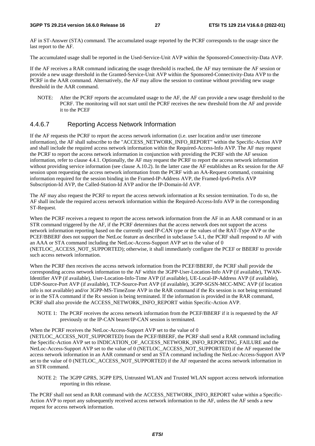AF in ST-Answer (STA) command. The accumulated usage reported by the PCRF corresponds to the usage since the last report to the AF.

The accumulated usage shall be reported in the Used-Service-Unit AVP within the Sponsored-Connectivity-Data AVP.

If the AF receives a RAR command indicating the usage threshold is reached, the AF may terminate the AF session or provide a new usage threshold in the Granted-Service-Unit AVP within the Sponsored-Connectivity-Data AVP to the PCRF in the AAR command. Alternatively, the AF may allow the session to continue without providing new usage threshold in the AAR command.

NOTE: After the PCRF reports the accumulated usage to the AF, the AF can provide a new usage threshold to the PCRF. The monitoring will not start until the PCRF receives the new threshold from the AF and provide it to the PCEF

#### 4.4.6.7 Reporting Access Network Information

If the AF requests the PCRF to report the access network information (i.e. user location and/or user timezone information), the AF shall subscribe to the "ACCESS\_NETWORK\_INFO\_REPORT" within the Specific-Action AVP and shall include the required access network information within the Required-Access-Info AVP. The AF may request the PCRF to report the access network information in conjunction with providing the PCRF with the AF session information, refer to clause 4.4.1. Optionally, the AF may request the PCRF to report the access network information without providing service information (see clause A.10.2). In the latter case the AF establishes an Rx session for the AF session upon requesting the access network information from the PCRF with an AA-Request command, containing information required for the session binding in the Framed-IP-Address AVP, the Framed-Ipv6-Prefix AVP Subscription-Id AVP, the Called-Station-Id AVP and/or the IP-Domain-Id AVP.

The AF may also request the PCRF to report the access network information at Rx session termination. To do so, the AF shall include the required access network information within the Required-Access-Info AVP in the corresponding ST-Request.

When the PCRF receives a request to report the access network information from the AF in an AAR command or in an STR command triggered by the AF, if the PCRF determines that the access network does not support the access network information reporting based on the currently used IP-CAN type or the values of the RAT-Type AVP or the PCEF/BBERF does not support the NetLoc feature as described in subclause 5.4.1, the PCRF shall respond to AF with an AAA or STA command including the NetLoc-Access-Support AVP set to the value of 0 (NETLOC ACCESS NOT SUPPORTED); otherwise, it shall immediately configure the PCEF or BBERF to provide such access network information.

When the PCRF then receives the access network information from the PCEF/BBERF, the PCRF shall provide the corresponding access network information to the AF within the 3GPP-User-Location-Info AVP (if available), TWAN-Identifier AVP (if available), User-Location-Info-Time AVP (if available), UE-Local-IP-Address AVP (if available), UDP-Source-Port AVP (if available), TCP-Source-Port AVP (if available), 3GPP-SGSN-MCC-MNC AVP (if location info is not available) and/or 3GPP-MS-TimeZone AVP in the RAR command if the Rx session is not being terminated or in the STA command if the Rx session is being terminated. If the information is provided in the RAR command, PCRF shall also provide the ACCESS\_NETWORK\_INFO\_REPORT within Specific-Action AVP.

NOTE 1: The PCRF receives the access network information from the PCEF/BBERF if it is requested by the AF previously or the IP-CAN bearer/IP-CAN session is terminated.

When the PCRF receives the NetLoc-Access-Support AVP set to the value of 0 (NETLOC ACCESS NOT SUPPORTED) from the PCEF/BBERF, the PCRF shall send a RAR command including the Specific-Action AVP set to INDICATION\_OF\_ACCESS\_NETWORK\_INFO\_REPORTING\_FAILURE and the NetLoc-Access-Support AVP set to the value of 0 (NETLOC\_ACCESS\_NOT\_SUPPORTED) if the AF requested the access network information in an AAR command or send an STA command including the NetLoc-Access-Support AVP set to the value of 0 (NETLOC\_ACCESS\_NOT\_SUPPORTED) if the AF requested the access network information in an STR command.

NOTE 2: The 3GPP GPRS, 3GPP EPS, Untrusted WLAN and Trusted WLAN support access network information reporting in this release.

The PCRF shall not send an RAR command with the ACCESS\_NETWORK\_INFO\_REPORT value within a Specific-Action AVP to report any subsequently received access network information to the AF, unless the AF sends a new request for access network information.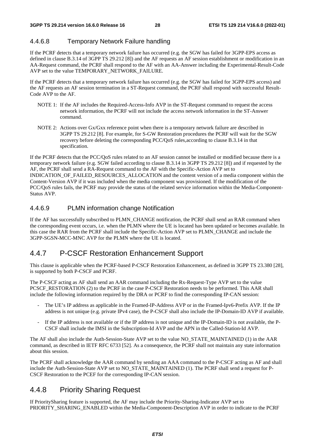# 4.4.6.8 Temporary Network Failure handling

If the PCRF detects that a temporary network failure has occurred (e.g. the SGW has failed for 3GPP-EPS access as defined in clause B.3.14 of 3GPP TS 29.212 [8]) and the AF requests an AF session establishment or modification in an AA-Request command, the PCRF shall respond to the AF with an AA-Answer including the Experimental-Result-Code AVP set to the value TEMPORARY\_NETWORK\_FAILURE.

If the PCRF detects that a temporary network failure has occurred (e.g. the SGW has failed for 3GPP-EPS access) and the AF requests an AF session termination in a ST-Request command, the PCRF shall respond with successful Result-Code AVP to the AF.

- NOTE 1: If the AF includes the Required-Access-Info AVP in the ST-Request command to request the access network information, the PCRF will not include the access network information in the ST-Answer command.
- NOTE 2: Actions over Gx/Gxx reference point when there is a temporary network failure are described in 3GPP TS 29.212 [8]. For example, for S-GW Restoration procedures the PCRF will wait for the SGW recovery before deleting the corresponding PCC/QoS rules,according to clause B.3.14 in that specification.

If the PCRF detects that the PCC/QoS rules related to an AF session cannot be installed or modified because there is a temporary network failure (e.g. SGW failed according to clause B.3.14 in 3GPP TS 29.212 [8]) and if requested by the AF, the PCRF shall send a RA-Request command to the AF with the Specific-Action AVP set to INDICATION OF FAILED RESOURCES ALLOCATION and the content version of a media component within the Content-Version AVP if it was included when the media component was provisioned. If the modification of the PCC/QoS rules fails, the PCRF may provide the status of the related service information within the Media-Component-Status AVP.

# 4.4.6.9 PLMN information change Notification

If the AF has successfully subscribed to PLMN\_CHANGE notification, the PCRF shall send an RAR command when the corresponding event occurs, i.e. when the PLMN where the UE is located has been updated or becomes available. In this case the RAR from the PCRF shall include the Specific-Action AVP set to PLMN\_CHANGE and include the 3GPP-SGSN-MCC-MNC AVP for the PLMN where the UE is located.

# 4.4.7 P-CSCF Restoration Enhancement Support

This clause is applicable when the PCRF-based P-CSCF Restoration Enhancement, as defined in 3GPP TS 23.380 [28], is supported by both P-CSCF and PCRF.

The P-CSCF acting as AF shall send an AAR command including the Rx-Request-Type AVP set to the value PCSCF\_RESTORATION (2) to the PCRF in the case P-CSCF Restoration needs to be performed. This AAR shall include the following information required by the DRA or PCRF to find the corresponding IP-CAN session:

- The UE's IP address as applicable in the Framed-IP-Address AVP or in the Framed-Ipv6-Prefix AVP. If the IP address is not unique (e.g. private IPv4 case), the P-CSCF shall also include the IP-Domain-ID AVP if available.
- If the IP address is not available or if the IP address is not unique and the IP-Domain-ID is not available, the P-CSCF shall include the IMSI in the Subscription-Id AVP and the APN in the Called-Station-Id AVP.

The AF shall also include the Auth-Session-State AVP set to the value NO\_STATE\_MAINTAINED (1) in the AAR command, as described in IETF RFC 6733 [52]. As a consequence, the PCRF shall not maintain any state information about this session.

The PCRF shall acknowledge the AAR command by sending an AAA command to the P-CSCF acting as AF and shall include the Auth-Session-State AVP set to NO\_STATE\_MAINTAINED (1). The PCRF shall send a request for P-CSCF Restoration to the PCEF for the corresponding IP-CAN session.

# 4.4.8 Priority Sharing Request

If PrioritySharing feature is supported, the AF may include the Priority-Sharing-Indicator AVP set to PRIORITY\_SHARING\_ENABLED within the Media-Component-Description AVP in order to indicate to the PCRF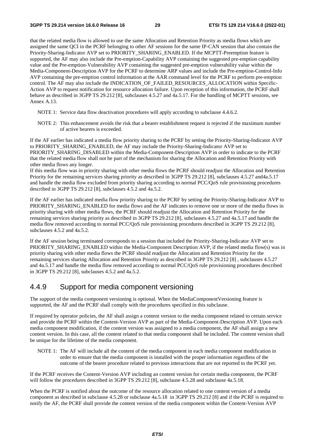that the related media flow is allowed to use the same Allocation and Retention Priority as media flows which are assigned the same QCI in the PCRF belonging to other AF sessions for the same IP-CAN session that also contain the Priority-Sharing-Indicator AVP set to PRIORITY\_SHARING\_ENABLED. If the MCPTT-Preemption feature is supported, the AF may also include the Pre-emption-Capability AVP containing the suggested pre-emption capability value and the Pre-emption-Vulnerability AVP containing the suggested pre-emption vulnerability value within the Media-Component-Description AVP for the PCRF to determine ARP values and include the Pre-emption-Control-Info AVP containing the pre-emption control information at the AAR command level for the PCRF to perform pre-emption control. The AF may also include the INDICATION OF FAILED RESOURCES ALLOCATION within Specific-Action AVP to request notification for resource allocation failure. Upon reception of this information, the PCRF shall behave as described in 3GPP TS 29.212 [8], subclauses 4.5.27 and 4a.5.17. For the handling of MCPTT sessions, see Annex A.13.

- NOTE 1: Service data flow deactivation procedures will apply according to subclause 4.4.6.2.
- NOTE 2: This enhancement avoids the risk that a bearer establishment request is rejected if the maximum number of active bearers is exceeded.

If the AF earlier has indicated a media flow priority sharing to the PCRF by setting the Priority-Sharing-Indicator AVP to PRIORITY\_SHARING\_ENABLED, the AF may include the Priority-Sharing-Indicator AVP set to PRIORITY\_SHARING\_DISABLED within the Media-Component-Description AVP in order to indicate to the PCRF that the related media flow shall not be part of the mechanism for sharing the Allocation and Retention Priority with other media flows any longer.

If this media flow was in priority sharing with other media flows the PCRF should readjust the Allocation and Retention Priority for the remaining services sharing priority as described in 3GPP TS 29.212 [8], subclauses 4.5.27 and4a.5.17 and handle the media flow excluded from priority sharing according to normal PCC/QoS rule provisioning procedures described in 3GPP TS 29.212 [8], subclauses 4.5.2 and 4a.5.2.

If the AF earlier has indicated media flow priority sharing to the PCRF by setting the Priority-Sharing-Indicator AVP to PRIORITY\_SHARING\_ENABLED for media flows and the AF indicates to remove one or more of the media flows in priority sharing with other media flows, the PCRF should readjust the Allocation and Retention Priority for the remaining services sharing priority as described in 3GPP TS 29.212 [8], subclauses 4.5.27 and 4a.5.17 and handle the media flow removed according to normal PCC/QoS rule provisioning procedures described in 3GPP TS 29.212 [8], subclauses 4.5.2 and 4a.5.2.

If the AF session being terminated corresponds to a session that included the Priority-Sharing-Indicator AVP set to PRIORITY\_SHARING\_ENABLED within the Media-Component Description AVP, if the related media flow(s) was in priority sharing with other media flows the PCRF should readjust the Allocation and Retention Priority for the remaining services sharing Allocation and Retention Priority as described in 3GPP TS 29.212 [8] , subclauses 4.5.27 and 4a.5.17 and handle the media flow removed according to normal PCC/QoS rule provisioning procedures described in 3GPP TS 29.212 [8], subclauses 4.5.2 and 4a.5.2.

### 4.4.9 Support for media component versioning

The support of the media component versioning is optional. When the MediaComponentVersioning feature is supported, the AF and the PCRF shall comply with the procedures specified in this subclause.

If required by operator policies, the AF shall assign a content version to the media component related to certain service and provide the PCRF within the Content-Version AVP as part of the Media-Component-Description AVP. Upon each media component modification, if the content version was assigned to a media component, the AF shall assign a new content version. In this case, all the content related to that media component shall be included. The content version shall be unique for the lifetime of the media component.

NOTE 1: The AF will include all the content of the media component in each media component modification in order to ensure that the media component is installed with the proper information regardless of the outcome of the bearer procedure related to previous interactions that are not reported to the PCRF yet.

If the PCRF receives the Content-Version AVP including an content version for certain media component, the PCRF will follow the procedures described in 3GPP TS 29.212 [8], subclause 4.5.28 and subclause 4a.5.18.

When the PCRF is notified about the outcome of the resource allocation related to one content version of a media component as described in subclause 4.5.28 or subclause 4a.5.18 in 3GPP TS 29.212 [8] and if the PCRF is required to notify the AF, the PCRF shall provide the content version of the media component within the Content-Version AVP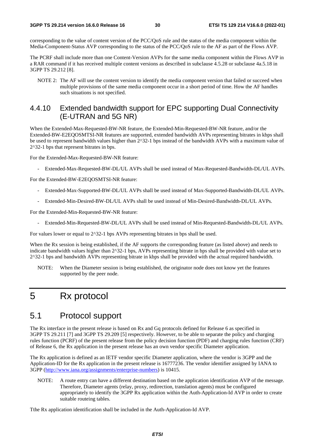corresponding to the value of content version of the PCC/QoS rule and the status of the media component within the Media-Component-Status AVP corresponding to the status of the PCC/QoS rule to the AF as part of the Flows AVP.

The PCRF shall include more than one Content-Version AVPs for the same media component within the Flows AVP in a RAR command if it has received multiple content versions as described in subclause 4.5.28 or subclause 4a.5.18 in 3GPP TS 29.212 [8].

NOTE 2: The AF will use the content version to identify the media component version that failed or succeed when multiple provisions of the same media component occur in a short period of time. How the AF handles such situations is not specified.

### 4.4.10 Extended bandwidth support for EPC supporting Dual Connectivity (E-UTRAN and 5G NR)

When the Extended-Max-Requested-BW-NR feature, the Extended-Min-Requested-BW-NR feature, and/or the Extended-BW-E2EQOSMTSI-NR features are supported, extended bandwidth AVPs representing bitrates in kbps shall be used to represent bandwidth values higher than 2^32-1 bps instead of the bandwidth AVPs with a maximum value of 2^32-1 bps that represent bitrates in bps.

For the Extended-Max-Requested-BW-NR feature:

- Extended-Max-Requested-BW-DL/UL AVPs shall be used instead of Max-Requested-Bandwidth-DL/UL AVPs.

For the Extended-BW-E2EQOSMTSI-NR feature:

- Extended-Max-Supported-BW-DL/UL AVPs shall be used instead of Max-Supported-Bandwidth-DL/UL AVPs.
- Extended-Min-Desired-BW-DL/UL AVPs shall be used instead of Min-Desired-Bandwidth-DL/UL AVPs.

For the Extended-Min-Requested-BW-NR feature:

- Extended-Min-Requested-BW-DL/UL AVPs shall be used instead of Min-Requested-Bandwidth-DL/UL AVPs.

For values lower or equal to  $2^{\wedge}32$ -1 bps AVPs representing bitrates in bps shall be used.

When the Rx session is being established, if the AF supports the corresponding feature (as listed above) and needs to indicate bandwidth values higher than 2^32-1 bps, AVPs representing bitrate in bps shall be provided with value set to 2^32-1 bps and bandwidth AVPs representing bitrate in kbps shall be provided with the actual required bandwidth.

NOTE: When the Diameter session is being established, the originator node does not know yet the features supported by the peer node.

# 5 Rx protocol

# 5.1 Protocol support

The Rx interface in the present release is based on Rx and Gq protocols defined for Release 6 as specified in 3GPP TS 29.211 [7] and 3GPP TS 29.209 [5] respectively. However, to be able to separate the policy and charging rules function (PCRF) of the present release from the policy decision function (PDF) and charging rules function (CRF) of Release 6, the Rx application in the present release has an own vendor specific Diameter application.

The Rx application is defined as an IETF vendor specific Diameter application, where the vendor is 3GPP and the Application-ID for the Rx application in the present release is 16777236. The vendor identifier assigned by IANA to 3GPP [\(http://www.iana.org/assignments/enterprise-numbers](http://www.iana.org/assignments/enterprise-numbers)) is 10415.

NOTE: A route entry can have a different destination based on the application identification AVP of the message. Therefore, Diameter agents (relay, proxy, redirection, translation agents) must be configured appropriately to identify the 3GPP Rx application within the Auth-Application-Id AVP in order to create suitable routeing tables.

Tthe Rx application identification shall be included in the Auth-Application-Id AVP.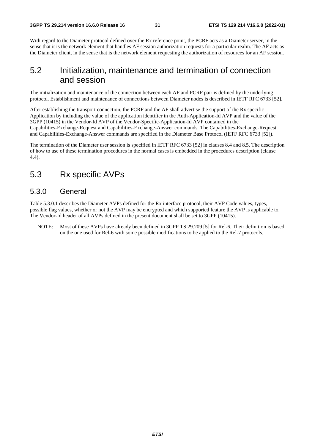With regard to the Diameter protocol defined over the Rx reference point, the PCRF acts as a Diameter server, in the sense that it is the network element that handles AF session authorization requests for a particular realm. The AF acts as the Diameter client, in the sense that is the network element requesting the authorization of resources for an AF session.

# 5.2 Initialization, maintenance and termination of connection and session

The initialization and maintenance of the connection between each AF and PCRF pair is defined by the underlying protocol. Establishment and maintenance of connections between Diameter nodes is described in IETF RFC 6733 [52].

After establishing the transport connection, the PCRF and the AF shall advertise the support of the Rx specific Application by including the value of the application identifier in the Auth-Application-Id AVP and the value of the 3GPP (10415) in the Vendor-Id AVP of the Vendor-Specific-Application-Id AVP contained in the Capabilities-Exchange-Request and Capabilities-Exchange-Answer commands. The Capabilities-Exchange-Request and Capabilities-Exchange-Answer commands are specified in the Diameter Base Protocol (IETF RFC 6733 [52]).

The termination of the Diameter user session is specified in IETF RFC 6733 [52] in clauses 8.4 and 8.5. The description of how to use of these termination procedures in the normal cases is embedded in the procedures description (clause 4.4).

# 5.3 Rx specific AVPs

### 5.3.0 General

Table 5.3.0.1 describes the Diameter AVPs defined for the Rx interface protocol, their AVP Code values, types, possible flag values, whether or not the AVP may be encrypted and which supported feature the AVP is applicable to. The Vendor-Id header of all AVPs defined in the present document shall be set to 3GPP (10415).

NOTE: Most of these AVPs have already been defined in 3GPP TS 29.209 [5] for Rel-6. Their definition is based on the one used for Rel-6 with some possible modifications to be applied to the Rel-7 protocols.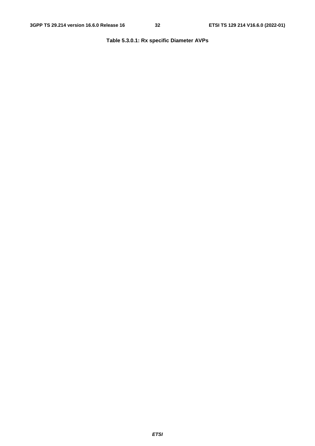#### **Table 5.3.0.1: Rx specific Diameter AVPs**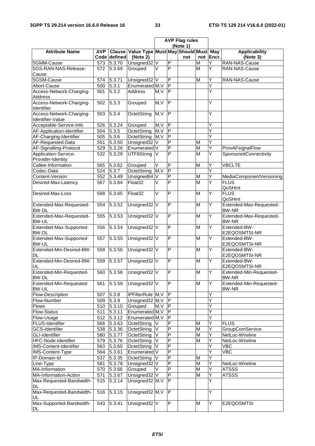Ē

|                                              |                                                 |                               |                         | <b>AVP Flag rules</b>   |                         |     |                         |           |                                         |
|----------------------------------------------|-------------------------------------------------|-------------------------------|-------------------------|-------------------------|-------------------------|-----|-------------------------|-----------|-----------------------------------------|
| <b>Attribute Name</b>                        | (Note 1)<br>Value Type Must May Should Must May |                               |                         |                         |                         |     |                         |           |                                         |
|                                              | <b>AVP</b>                                      | <b>Clause</b><br>Code defined | (Note 2)                |                         |                         | not |                         | not Encr. | <b>Applicability</b><br>(Note 3)        |
| 5GMM-Cause                                   | 573                                             | $\overline{5.3.70}$           | Unsigned32 <sub>V</sub> |                         | $\overline{P}$          |     | M                       | Y         | RAN-NAS-Cause                           |
| 5GS-RAN-NAS-Release-                         | 572                                             | 5.3.69                        | Grouped                 | V                       | $\overline{\mathsf{P}}$ |     | M                       | Y         | RAN-NAS-Cause                           |
| Cause                                        |                                                 |                               |                         |                         |                         |     |                         |           |                                         |
| 5GSM-Cause                                   | 574                                             | 5.3.71                        | Unsigned32 V            |                         | $\overline{P}$          |     | M                       | Y         | RAN-NAS-Cause                           |
| Abort-Cause                                  | 500                                             | 5.3.1                         | Enumerated M, V         |                         | $\overline{\mathsf{P}}$ |     |                         | Ý         |                                         |
| Access-Network-Charging-                     | 501                                             | $\overline{5.3.2}$            | <b>Address</b>          | M, V                    | $\overline{\mathsf{P}}$ |     |                         | Y         |                                         |
| Address                                      |                                                 |                               |                         |                         |                         |     |                         |           |                                         |
| Access-Network-Charging-<br>Identifier       | 502                                             | 5.3.3                         | Grouped                 | M, V                    | $\overline{P}$          |     |                         | Y         |                                         |
| Access-Network-Charging-<br>Identifier-Value | 503                                             | 5.3.4                         | OctetString             | M, V                    | $\overline{\mathsf{P}}$ |     |                         | Y         |                                         |
| Acceptable-Service-Info                      | 526                                             | 5.3.24                        | Grouped                 | M, V                    | $\overline{P}$          |     |                         | Y         |                                         |
| AF-Application-Identifier                    | 504                                             | 5.3.5                         | OctetString             | M, V                    | $\overline{\mathsf{P}}$ |     |                         | Y         |                                         |
| AF-Charging-Identifier                       | 505                                             | 5.3.6                         | OctetString             | M, V                    | $\overline{P}$          |     |                         |           |                                         |
| AF-Requested-Data                            | 551                                             | 5.3.50                        | Unsigned32              | V                       | $\overline{P}$          |     | M                       | Υ         |                                         |
| AF-Signalling-Protocol                       | 529                                             | 5.3.26                        | Enumerated V            |                         | $\overline{P}$          |     | $\overline{\mathsf{M}}$ | Y         | ProvAFsignalFlow                        |
| Application-Service-                         | 532                                             | 5.3.29                        | UTF8String              | V                       | $\overline{\mathsf{P}}$ |     | $\overline{M}$          | Y         | SponsoredConnectivity                   |
| Provider-Identity                            |                                                 |                               |                         |                         |                         |     |                         |           |                                         |
| Callee-Information                           | 565                                             | 5.3.62                        | Grouped                 | V                       | $\overline{\mathsf{P}}$ |     | M                       | Y         | <b>VBCLTE</b>                           |
| Codec-Data                                   | 524                                             | 5.3.7                         | OctetString             | M, V                    | $\overline{P}$          |     |                         | Ý         |                                         |
| Content-Version                              | 552                                             | 5.3.49                        | Unsigned64              | V                       | $\overline{\mathsf{P}}$ |     | M                       | Y         | MediaComponentVersioning                |
| Desired-Max-Latency                          | 567                                             | 5.3.64                        | Float32                 | V                       | $\overline{P}$          |     | M                       | Y         | <b>FLUS</b>                             |
|                                              |                                                 |                               |                         |                         |                         |     |                         |           | QoSHint                                 |
| Desired-Max-Loss                             | 568                                             | 5.3.65                        | Float32                 | $\overline{\mathsf{v}}$ | P                       |     | M                       | Ÿ         | <b>FLUS</b><br>QoSHint                  |
| Extended-Max-Requested-<br><b>BW-DL</b>      | 554                                             | 5.3.52                        | Unsigned32 V            |                         | $\overline{P}$          |     | M                       | Υ         | Extended-Max-Requested-<br><b>BW-NR</b> |
| Extended-Max-Requested-<br><b>BW-UL</b>      | 555                                             | 5.3.53                        | Unsigned32 V            |                         | $\overline{P}$          |     | M                       | Ÿ         | Extended-Max-Requested-<br><b>BW-NR</b> |
| Extended-Max-Supported-<br><b>BW-DL</b>      | 556                                             | 5.3.54                        | Unsigned32 V            |                         | P                       |     | M                       | Y         | Extended-BW-<br>E2EQOSMTSI-NR           |
| Extended-Max-Supported-<br><b>BW-UL</b>      | 557                                             | 5.3.55                        | Unsigned32 V            |                         | $\overline{P}$          |     | M                       | Ÿ         | Extended-BW-<br>E2EQOSMTSI-NR           |
| Extended-Min-Desired-BW-<br><b>DL</b>        | 558                                             | 5.3.56                        | Unsigned32 V            |                         | $\overline{P}$          |     | M                       | Υ         | Extended-BW-<br>E2EQOSMTSI-NR           |
| Extended-Min-Desired-BW-<br>UL               | 559                                             | 5.3.57                        | Unsigned32 V            |                         | P                       |     | M                       | Y         | Extended-BW-<br>E2EQOSMTSI-NR           |
| Extended-Min-Requested-<br>BW-DL             | 560                                             | 5.3.58                        | Unsigned32 V            |                         | $\overline{P}$          |     | $\overline{M}$          | Y         | Extended-Min-Requested-<br><b>BW-NR</b> |
| Extended-Min-Requested-<br><b>BW-UL</b>      | 561                                             | 5.3.59                        | Unsigned32 V            |                         | P                       |     | M                       | Υ         | Extended-Min-Requested-<br><b>BW-NR</b> |
| Flow-Description                             | 507                                             | 5.3.8                         | IPFilterRule M, V       |                         | $\mathsf P$             |     |                         | Y         |                                         |
| Flow-Number                                  | 509                                             | 5.3.9                         | Unsigned32 M, V         |                         | P                       |     |                         | Y         |                                         |
| <b>Flows</b>                                 | 510                                             | 5.3.10                        | Grouped                 | M,V                     | $\overline{\mathsf{P}}$ |     |                         | Y         |                                         |
| <b>Flow-Status</b>                           | 511                                             | $\overline{5.3.11}$           | Enumerated M, V         |                         | Ŀ                       |     |                         |           |                                         |
| Flow-Usage                                   | 512                                             | 5.3.12                        | Enumerated M, V         |                         | $\mathsf{P}$            |     |                         | Ý         |                                         |
| FLUS-Identifier                              | 566                                             | 5.3.63                        | OctetString             | V                       | $\overline{P}$          |     | M                       | Y         | <b>FLUS</b>                             |
| <b>GCS-Identifier</b>                        | 538                                             | 5.3.36                        | OctetString             | V                       | $\overline{\mathsf{P}}$ |     | M                       | Y         | <b>GroupComService</b>                  |
| GLI-Identifier                               | 580                                             | 5.3.77                        | OctetString             | V                       | $\overline{P}$          |     | M                       | Y         | NetLoc-Wireline                         |
| HFC-Node-Identifier                          | 579                                             | $\overline{5.3.76}$           | OctetString             | $\overline{\mathsf{V}}$ | $\overline{\mathsf{P}}$ |     | $\overline{\mathsf{M}}$ | Y         | NetLoc-Wireline                         |
| IMS-Content-Identifier                       | 563                                             | 5.3.60                        | OctetString             | V                       | $\overline{\mathsf{P}}$ |     |                         |           | VBC                                     |
| IMS-Content-Type                             | 564                                             | 5.3.61                        | Enumerated V            |                         | $\overline{P}$          |     |                         | Y         | VBC                                     |
| IP-Domain-Id                                 | 537                                             | 5.3.35                        | OctetString             | IV                      | $\overline{\mathsf{P}}$ |     | M                       | Y         |                                         |
| Line-Type                                    | 581                                             | 5.3.78                        | Unsigned32 V            |                         | $\overline{P}$          |     | M                       | Y         | NetLoc-Wireline                         |
| <b>MA-Information</b>                        | 570                                             | 5.3.66                        | Grouped                 | V                       | $\overline{\mathsf{P}}$ |     | M                       | Y         | <b>ATSSS</b>                            |
| MA-Information-Action                        | 571                                             | 5.3.67                        | Unsigned32 V            |                         | $\overline{\mathsf{P}}$ |     | $\overline{\mathsf{M}}$ | Ý         | <b>ATSSS</b>                            |
| Max-Requested-Bandwidth-<br>DL               | 515                                             | 5.3.14                        | Unsigned32 M, V         |                         | $\overline{P}$          |     |                         | Y         |                                         |
| Max-Requested-Bandwidth-<br>UL               | 516                                             | 5.3.15                        | Unsigned32 M, V         |                         | P                       |     |                         | Y         |                                         |
| Max-Supported-Bandwidth-<br>DL               | 543                                             | $\sqrt{5.3.41}$               | Unsigned32 V            |                         | P                       |     | M                       | Υ         | E2EQOSMTSI                              |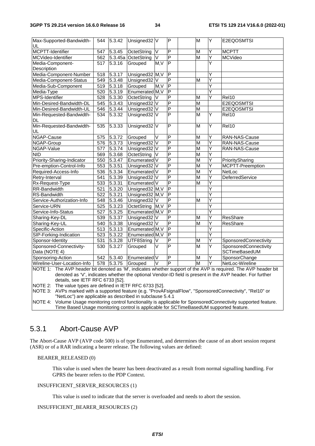| Max-Supported-Bandwidth-<br>UL                                                                                                                                                                                              | 544 | 5.3.42              | Unsigned32 <sub>V</sub> |        | P                                         |  | M                       | Υ      | E2EQOSMTSI            |
|-----------------------------------------------------------------------------------------------------------------------------------------------------------------------------------------------------------------------------|-----|---------------------|-------------------------|--------|-------------------------------------------|--|-------------------------|--------|-----------------------|
| MCPTT-Identifier                                                                                                                                                                                                            | 547 | $\overline{5.3.45}$ | OctetString             | V      | $\overline{P}$                            |  | M                       | Y      | <b>MCPTT</b>          |
| MCVideo-Identifier                                                                                                                                                                                                          | 562 |                     | 5.3.45a OctetString     | $\vee$ | $\overline{\mathsf{P}}$                   |  | $\overline{\mathsf{M}}$ | Y      | <b>MCVideo</b>        |
| Media-Component-                                                                                                                                                                                                            | 517 | $\overline{5.3.16}$ | Grouped                 | M.V    | $\overline{P}$                            |  |                         | Ý      |                       |
| Description                                                                                                                                                                                                                 |     |                     |                         |        |                                           |  |                         |        |                       |
| Media-Component-Number                                                                                                                                                                                                      | 518 | 5.3.17              | Unsigned32 M, V         |        | P                                         |  |                         | Y      |                       |
| Media-Component-Status                                                                                                                                                                                                      | 549 | 5.3.48              | Unsigned32 V            |        | $\overline{P}$                            |  | M                       | Y      |                       |
| Media-Sub-Component                                                                                                                                                                                                         | 519 | 5.3.18              | Grouped                 | M, V   | $\overline{P}$                            |  |                         | Ý      |                       |
| Media-Type                                                                                                                                                                                                                  | 520 | 5.3.19              | Enumerated M, V         |        | $\overline{\mathsf{P}}$                   |  |                         | Ÿ      |                       |
| MPS-Identifier                                                                                                                                                                                                              | 528 | 5.3.30              | OctetString             | V      | $\overline{P}$                            |  | M                       | Ý      | Rel10                 |
| Min-Desired-Bandwidth-DL                                                                                                                                                                                                    | 545 | 5.3.43              | Unsigned32 <sub>V</sub> |        | $\overline{\mathsf{P}}$                   |  | M                       |        | E2EQOSMTSI            |
| Min-Desired-Bandwidth-UL                                                                                                                                                                                                    | 546 | 5.3.44              | Unsigned32 V            |        | $\overline{\mathsf{P}}$                   |  | M                       |        | E2EQOSMTSI            |
| Min-Requested-Bandwidth-                                                                                                                                                                                                    | 534 | 5.3.32              | Unsigned32 V            |        | $\overline{P}$                            |  | $\overline{\mathsf{M}}$ | Y      | Rel10                 |
| DL                                                                                                                                                                                                                          |     |                     |                         |        |                                           |  |                         |        |                       |
| Min-Requested-Bandwidth-<br>UL                                                                                                                                                                                              | 535 | 5.3.33              | Unsigned32 V            |        | $\overline{P}$                            |  | $\overline{M}$          | Ÿ      | Rel10                 |
| NGAP-Cause                                                                                                                                                                                                                  | 575 | 5.3.72              | Grouped                 | V      | $\overline{P}$                            |  | M                       | Υ      | RAN-NAS-Cause         |
| NGAP-Group                                                                                                                                                                                                                  | 576 | 5.3.73              | Unsigned32 <sup>V</sup> |        | $\overline{P}$                            |  | $\overline{\mathsf{M}}$ | Ý      | RAN-NAS-Cause         |
| NGAP-Value                                                                                                                                                                                                                  | 577 | 5.3.74              | Unsigned32 V            |        | $\overline{P}$                            |  | $\overline{\mathsf{M}}$ | Ý      | RAN-NAS-Cause         |
| <b>NID</b>                                                                                                                                                                                                                  | 569 | 5.3.68              | OctetString             | V      | $\overline{P}$                            |  | $\overline{\mathsf{M}}$ | Ý      |                       |
| Priority-Sharing-Indicator                                                                                                                                                                                                  | 550 | 5.3.47              | Enumerated V            |        | P                                         |  | M                       | Y      | PrioritySharing       |
| Pre-emption-Control-Info                                                                                                                                                                                                    | 553 | 5.3.51              | Unsigned32 V            |        | $\overline{\mathsf{P}}$                   |  | $\overline{\mathsf{M}}$ | Y      | MCPTT-Preemption      |
| Required-Access-Info                                                                                                                                                                                                        | 536 | 5.3.34              | Enumerated              |        | $\overline{\mathsf{P}}$                   |  | $\overline{\mathsf{M}}$ | Ý      | NetLoc                |
| Retry-Interval                                                                                                                                                                                                              | 541 | 5.3.39              | Unsigned32 V            |        | $\overline{P}$                            |  | M                       | Ý      | DeferredService       |
| Rx-Request-Type                                                                                                                                                                                                             | 533 | 5.3.31              | Enumerated V            |        | $\overline{P}$                            |  | M                       | Ý      |                       |
| RR-Bandwidth                                                                                                                                                                                                                | 521 | 5.3.20              | Unsigned32 M, V         |        | $\overline{P}$                            |  |                         | Y      |                       |
| RS-Bandwidth                                                                                                                                                                                                                | 522 | 5.3.21              | Unsigned32 M, V         |        | P                                         |  |                         | Ý      |                       |
|                                                                                                                                                                                                                             |     | 5.3.46              |                         |        | $\overline{\mathsf{P}}$                   |  | M                       | Ý      |                       |
| Service-Authorization-Info                                                                                                                                                                                                  | 548 |                     | Unsigned32 V            |        | $\overline{P}$                            |  |                         | Ý      |                       |
| Service-URN                                                                                                                                                                                                                 | 525 | 5.3.23<br>5.3.25    | OctetString M, V        |        | $\overline{P}$                            |  |                         | Ý      |                       |
| Service-Info-Status                                                                                                                                                                                                         | 527 |                     | Enumerated M, V         |        | $\overline{P}$                            |  |                         | Ý      |                       |
| Sharing-Key-DL                                                                                                                                                                                                              | 539 | 5.3.37              | Unsigned32 V            |        | $\overline{P}$                            |  | M                       |        | ResShare              |
| Sharing-Key-UL                                                                                                                                                                                                              | 540 | 5.3.38              | Unsigned32 V            |        | $\overline{\mathsf{P}}$                   |  | M                       | Y<br>Ý | ResShare              |
| Specific-Action                                                                                                                                                                                                             | 513 | 5.3.13              | Enumerated M, V         |        | $\overline{P}$                            |  |                         | Ý      |                       |
| SIP-Forking-Indication                                                                                                                                                                                                      |     | 523 5.3.22          | Enumerated M, V         |        |                                           |  |                         |        |                       |
| Sponsor-Identity                                                                                                                                                                                                            | 531 | 5.3.28              | UTF8String              | IV     | $\overline{P}$<br>$\overline{\mathsf{P}}$ |  | M                       | Υ      | SponsoredConnectivity |
| Sponsored-Connectivity-                                                                                                                                                                                                     | 530 | 5.3.27              | Grouped                 | V      |                                           |  | $\overline{M}$          | Ý      | SponsoredConnectivity |
| Data (NOTE 4)                                                                                                                                                                                                               |     |                     |                         |        |                                           |  |                         |        | SCTimeBasedUM         |
| Sponsoring-Action                                                                                                                                                                                                           |     | 542 5.3.40          | Enumerated V            |        | P                                         |  | M                       | Y      | SponsorChange         |
| Wireline-User-Location-Info                                                                                                                                                                                                 |     | 578 5.3.75          | Grouped                 | V      | $\overline{P}$                            |  | M                       | Ÿ      | NetLoc-Wireline       |
| NOTE 1: The AVP header bit denoted as 'M', indicates whether support of the AVP is required. The AVP header bit<br>denoted as 'V', indicates whether the optional Vendor-ID field is present in the AVP header. For further |     |                     |                         |        |                                           |  |                         |        |                       |

details, see IETF RFC 6733 [52].

NOTE 2: The value types are defined in IETF RFC 6733 [52].

NOTE 3: AVPs marked with a supported feature (e.g. "ProvAFsignalFlow", "SponsoredConnectivity", "Rel10" or "NetLoc") are applicable as described in subclause 5.4.1

NOTE 4: Volume Usage monitoring control functionality is applicable for SponsoredConnectivity supported feature. Time Based Usage monitoring control is applicable for SCTimeBasedUM supported feature.

# 5.3.1 Abort-Cause AVP

The Abort-Cause AVP (AVP code 500) is of type Enumerated, and determines the cause of an abort session request (ASR) or of a RAR indicating a bearer release. The following values are defined:

#### BEARER\_RELEASED (0)

 This value is used when the bearer has been deactivated as a result from normal signalling handling. For GPRS the bearer refers to the PDP Context.

#### INSUFFICIENT\_SERVER\_RESOURCES (1)

This value is used to indicate that the server is overloaded and needs to abort the session.

#### INSUFFICIENT\_BEARER\_RESOURCES (2)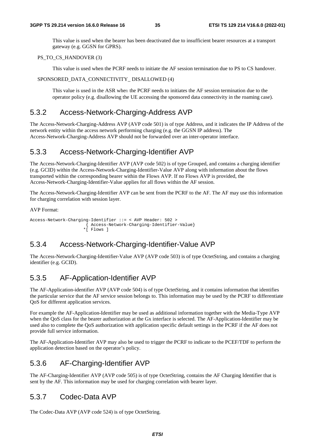This value is used when the bearer has been deactivated due to insufficient bearer resources at a transport gateway (e.g. GGSN for GPRS).

#### PS\_TO\_CS\_HANDOVER (3)

This value is used when the PCRF needs to initiate the AF session termination due to PS to CS handover.

#### SPONSORED\_DATA\_CONNECTIVITY\_DISALLOWED (4)

 This value is used in the ASR when the PCRF needs to initiates the AF session termination due to the operator policy (e.g. disallowing the UE accessing the sponsored data connectivity in the roaming case).

### 5.3.2 Access-Network-Charging-Address AVP

The Access-Network-Charging-Address AVP (AVP code 501) is of type Address, and it indicates the IP Address of the network entity within the access network performing charging (e.g. the GGSN IP address). The Access-Network-Charging-Address AVP should not be forwarded over an inter-operator interface.

### 5.3.3 Access-Network-Charging-Identifier AVP

The Access-Network-Charging-Identifier AVP (AVP code 502) is of type Grouped, and contains a charging identifier (e.g. GCID) within the Access-Network-Charging-Identifier-Value AVP along with information about the flows transported within the corresponding bearer within the Flows AVP. If no Flows AVP is provided, the Access-Network-Charging-Identifier-Value applies for all flows within the AF session.

The Access-Network-Charging-Identifier AVP can be sent from the PCRF to the AF. The AF may use this information for charging correlation with session layer.

AVP Format:

```
Access-Network-Charging-Identifier ::= < AVP Header: 502 > 
            { Access-Network-Charging-Identifier-Value} 
           *[ Flows ]
```
# 5.3.4 Access-Network-Charging-Identifier-Value AVP

The Access-Network-Charging-Identifier-Value AVP (AVP code 503) is of type OctetString, and contains a charging identifier (e.g. GCID).

# 5.3.5 AF-Application-Identifier AVP

The AF-Application-identifier AVP (AVP code 504) is of type OctetString, and it contains information that identifies the particular service that the AF service session belongs to. This information may be used by the PCRF to differentiate QoS for different application services.

For example the AF-Application-Identifier may be used as additional information together with the Media-Type AVP when the QoS class for the bearer authorization at the Gx interface is selected. The AF-Application-Identifier may be used also to complete the QoS authorization with application specific default settings in the PCRF if the AF does not provide full service information.

The AF-Application-Identifier AVP may also be used to trigger the PCRF to indicate to the PCEF/TDF to perform the application detection based on the operator's policy.

# 5.3.6 AF-Charging-Identifier AVP

The AF-Charging-Identifier AVP (AVP code 505) is of type OctetString, contains the AF Charging Identifier that is sent by the AF. This information may be used for charging correlation with bearer layer.

# 5.3.7 Codec-Data AVP

The Codec-Data AVP (AVP code 524) is of type OctetString.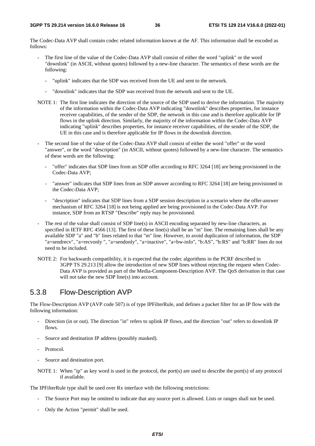The Codec-Data AVP shall contain codec related information known at the AF. This information shall be encoded as follows:

- The first line of the value of the Codec-Data AVP shall consist of either the word "uplink" or the word "downlink" (in ASCII, without quotes) followed by a new-line character. The semantics of these words are the following:
	- "uplink" indicates that the SDP was received from the UE and sent to the network.
	- "downlink" indicates that the SDP was received from the network and sent to the UE.
- NOTE 1: The first line indicates the direction of the source of the SDP used to derive the information. The majority of the information within the Codec-Data AVP indicating "downlink" describes properties, for instance receiver capabilities, of the sender of the SDP, the network in this case and is therefore applicable for IP flows in the uplink direction. Similarly, the majority of the information within the Codec-Data AVP indicating "uplink" describes properties, for instance receiver capabilities, of the sender of the SDP, the UE in this case and is therefore applicable for IP flows in the downlink direction.
- The second line of the value of the Codec-Data AVP shall consist of either the word "offer" or the word "answer", or the word "description" (in ASCII, without quotes) followed by a new-line character. The semantics of these words are the following:
	- "offer" indicates that SDP lines from an SDP offer according to RFC 3264 [18] are being provisioned in the Codec-Data AVP;
	- "answer" indicates that SDP lines from an SDP answer according to RFC 3264 [18] are being provisioned in the Codec-Data AVP;
	- "description" indicates that SDP lines from a SDP session description in a scenario where the offer-answer mechanism of RFC 3264 [18] is not being applied are being provisioned in the Codec-Data AVP. For instance, SDP from an RTSP "Describe" reply may be provisioned.
- The rest of the value shall consist of SDP line(s) in ASCII encoding separated by new-line characters, as specified in IETF RFC 4566 [13]. The first of these line(s) shall be an "m" line. The remaining lines shall be any available SDP "a" and "b" lines related to that "m" line. However, to avoid duplication of information, the SDP "a=sendrecv", "a=recvonly ", "a=sendonly", "a=inactive", "a=bw-info", "b:AS", "b:RS" and "b:RR" lines do not need to be included.
- NOTE 2: For backwards compatibility, it is expected that the codec algorithms in the PCRF described in 3GPP TS 29.213 [9] allow the introduction of new SDP lines without rejecting the request when Codec-Data AVP is provided as part of the Media-Component-Description AVP. The QoS derivation in that case will not take the new SDP line(s) into account.

### 5.3.8 Flow-Description AVP

The Flow-Description AVP (AVP code 507) is of type IPFilterRule, and defines a packet filter for an IP flow with the following information:

- Direction (in or out). The direction "in" refers to uplink IP flows, and the direction "out" refers to downlink IP flows.
- Source and destination IP address (possibly masked).
- Protocol.
- Source and destination port.
- NOTE 1: When "ip" as key word is used in the protocol, the port(s) are used to describe the port(s) of any protocol if available.

The IPFilterRule type shall be used over Rx interface with the following restrictions:

- The Source Port may be omitted to indicate that any source port is allowed. Lists or ranges shall not be used.
- Only the Action "permit" shall be used.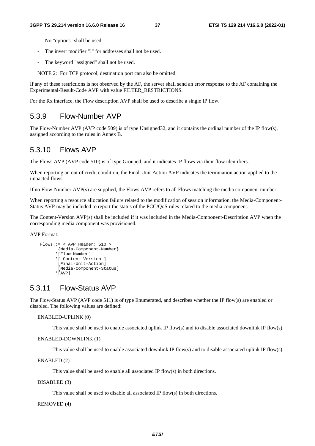- No "options" shall be used.
- The invert modifier "!" for addresses shall not be used.
- The keyword "assigned" shall not be used.

NOTE 2: For TCP protocol, destination port can also be omitted.

If any of these restrictions is not observed by the AF, the server shall send an error response to the AF containing the Experimental-Result-Code AVP with value FILTER\_RESTRICTIONS.

For the Rx interface, the Flow description AVP shall be used to describe a single IP flow.

### 5.3.9 Flow-Number AVP

The Flow-Number AVP (AVP code 509) is of type Unsigned32, and it contains the ordinal number of the IP flow(s), assigned according to the rules in Annex B.

### 5.3.10 Flows AVP

The Flows AVP (AVP code 510) is of type Grouped, and it indicates IP flows via their flow identifiers.

When reporting an out of credit condition, the Final-Unit-Action AVP indicates the termination action applied to the impacted flows.

If no Flow-Number AVP(s) are supplied, the Flows AVP refers to all Flows matching the media component number.

When reporting a resource allocation failure related to the modification of session information, the Media-Component-Status AVP may be included to report the status of the PCC/QoS rules related to the media component.

The Content-Version AVP(s) shall be included if it was included in the Media-Component-Description AVP when the corresponding media component was provisioned.

AVP Format:

```
Flows::= < AVP Header: 510 >
       {Media-Component-Number} 
      *[Flow-Number] 
      *[ Content-Version ] 
       [Final-Unit-Action] 
       [Media-Component-Status] 
      *[AVP]
```
# 5.3.11 Flow-Status AVP

The Flow-Status AVP (AVP code 511) is of type Enumerated, and describes whether the IP flow(s) are enabled or disabled. The following values are defined:

### ENABLED-UPLINK (0)

This value shall be used to enable associated uplink IP flow(s) and to disable associated downlink IP flow(s).

#### ENABLED-DOWNLINK (1)

This value shall be used to enable associated downlink IP flow(s) and to disable associated uplink IP flow(s).

ENABLED (2)

This value shall be used to enable all associated IP flow(s) in both directions.

#### DISABLED (3)

This value shall be used to disable all associated IP flow(s) in both directions.

#### REMOVED (4)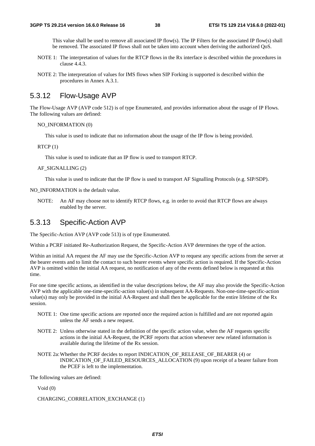This value shall be used to remove all associated IP flow(s). The IP Filters for the associated IP flow(s) shall be removed. The associated IP flows shall not be taken into account when deriving the authorized QoS.

- NOTE 1: The interpretation of values for the RTCP flows in the Rx interface is described within the procedures in clause 4.4.3.
- NOTE 2: The interpretation of values for IMS flows when SIP Forking is supported is described within the procedures in Annex A.3.1.

# 5.3.12 Flow-Usage AVP

The Flow-Usage AVP (AVP code 512) is of type Enumerated, and provides information about the usage of IP Flows. The following values are defined:

#### NO\_INFORMATION (0)

This value is used to indicate that no information about the usage of the IP flow is being provided.

#### $RTCP(1)$

This value is used to indicate that an IP flow is used to transport RTCP.

#### AF\_SIGNALLING (2)

This value is used to indicate that the IP flow is used to transport AF Signalling Protocols (e.g. SIP/SDP).

NO\_INFORMATION is the default value.

NOTE: An AF may choose not to identify RTCP flows, e.g. in order to avoid that RTCP flows are always enabled by the server.

### 5.3.13 Specific-Action AVP

The Specific-Action AVP (AVP code 513) is of type Enumerated.

Within a PCRF initiated Re-Authorization Request, the Specific-Action AVP determines the type of the action.

Within an initial AA request the AF may use the Specific-Action AVP to request any specific actions from the server at the bearer events and to limit the contact to such bearer events where specific action is required. If the Specific-Action AVP is omitted within the initial AA request, no notification of any of the events defined below is requested at this time.

For one time specific actions, as identified in the value descriptions below, the AF may also provide the Specific-Action AVP with the applicable one-time-specific-action value(s) in subsequent AA-Requests. Non-one-time-specific-action value(s) may only be provided in the initial AA-Request and shall then be applicable for the entire lifetime of the Rx session.

- NOTE 1: One time specific actions are reported once the required action is fulfilled and are not reported again unless the AF sends a new request.
- NOTE 2: Unless otherwise stated in the definition of the specific action value, when the AF requests specific actions in the initial AA-Request, the PCRF reports that action whenever new related information is available during the lifetime of the Rx session.
- NOTE 2a: Whether the PCRF decides to report INDICATION\_OF\_RELEASE\_OF\_BEARER (4) or INDICATION\_OF\_FAILED\_RESOURCES\_ALLOCATION (9) upon receipt of a bearer failure from the PCEF is left to the implementation.

The following values are defined:

Void (0)

```
CHARGING_CORRELATION_EXCHANGE (1)
```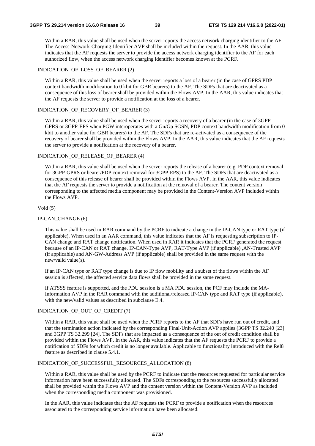Within a RAR, this value shall be used when the server reports the access network charging identifier to the AF. The Access-Network-Charging-Identifier AVP shall be included within the request. In the AAR, this value indicates that the AF requests the server to provide the access network charging identifier to the AF for each authorized flow, when the access network charging identifier becomes known at the PCRF.

#### INDICATION\_OF\_LOSS\_OF\_BEARER (2)

 Within a RAR, this value shall be used when the server reports a loss of a bearer (in the case of GPRS PDP context bandwidth modification to 0 kbit for GBR bearers) to the AF. The SDFs that are deactivated as a consequence of this loss of bearer shall be provided within the Flows AVP. In the AAR, this value indicates that the AF requests the server to provide a notification at the loss of a bearer.

#### INDICATION OF RECOVERY OF BEARER (3)

 Within a RAR, this value shall be used when the server reports a recovery of a bearer (in the case of 3GPP-GPRS or 3GPP-EPS when PGW interoperates with a Gn/Gp SGSN, PDP context bandwidth modification from 0 kbit to another value for GBR bearers) to the AF. The SDFs that are re-activated as a consequence of the recovery of bearer shall be provided within the Flows AVP. In the AAR, this value indicates that the AF requests the server to provide a notification at the recovery of a bearer.

### INDICATION OF RELEASE OF BEARER (4)

Within a RAR, this value shall be used when the server reports the release of a bearer (e.g. PDP context removal for 3GPP-GPRS or bearer/PDP context removal for 3GPP-EPS) to the AF. The SDFs that are deactivated as a consequence of this release of bearer shall be provided within the Flows AVP. In the AAR, this value indicates that the AF requests the server to provide a notification at the removal of a bearer. The content version corresponding to the affected media component may be provided in the Content-Version AVP included within the Flows AVP.

#### Void (5)

#### IP-CAN\_CHANGE (6)

This value shall be used in RAR command by the PCRF to indicate a change in the IP-CAN type or RAT type (if applicable). When used in an AAR command, this value indicates that the AF is requesting subscription to IP-CAN change and RAT change notification. When used in RAR it indicates that the PCRF generated the request because of an IP-CAN or RAT change. IP-CAN-Type AVP, RAT-Type AVP (if applicable) ,AN-Trusted AVP (if applicable) and AN-GW-Address AVP (if applicable) shall be provided in the same request with the new/valid value(s).

If an IP-CAN type or RAT type change is due to IP flow mobility and a subset of the flows within the AF session is affected, the affected service data flows shall be provided in the same request.

If ATSSS feature is supported, and the PDU session is a MA PDU session, the PCF may include the MA-Information AVP in the RAR command with the additional/released IP-CAN type and RAT type (if applicable), with the new/valid values as described in subclause E.4.

#### INDICATION\_OF\_OUT\_OF\_CREDIT (7)

 Within a RAR, this value shall be used when the PCRF reports to the AF that SDFs have run out of credit, and that the termination action indicated by the corresponding Final-Unit-Action AVP applies (3GPP TS 32.240 [23] and 3GPP TS 32.299 [24]. The SDFs that are impacted as a consequence of the out of credit condition shall be provided within the Flows AVP. In the AAR, this value indicates that the AF requests the PCRF to provide a notification of SDFs for which credit is no longer available. Applicable to functionality introduced with the Rel8 feature as described in clause 5.4.1.

#### INDICATION\_OF\_SUCCESSFUL\_RESOURCES\_ALLOCATION (8)

 Within a RAR, this value shall be used by the PCRF to indicate that the resources requested for particular service information have been successfully allocated. The SDFs corresponding to the resources successfully allocated shall be provided within the Flows AVP and the content version within the Content-Version AVP as included when the corresponding media component was provisioned.

In the AAR, this value indicates that the AF requests the PCRF to provide a notification when the resources associated to the corresponding service information have been allocated.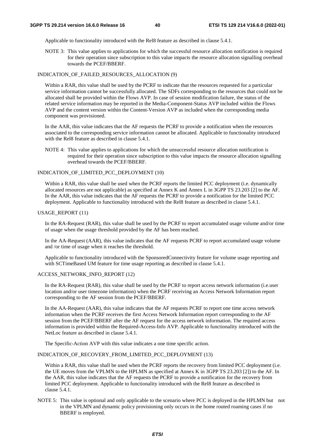Applicable to functionality introduced with the Rel8 feature as described in clause 5.4.1.

NOTE 3: This value applies to applications for which the successful resource allocation notification is required for their operation since subscription to this value impacts the resource allocation signalling overhead towards the PCEF/BBERF.

#### INDICATION\_OF\_FAILED\_RESOURCES\_ALLOCATION (9)

 Within a RAR, this value shall be used by the PCRF to indicate that the resources requested for a particular service information cannot be successfully allocated. The SDFs corresponding to the resources that could not be allocated shall be provided within the Flows AVP. In case of session modification failure, the status of the related service information may be reported in the Media-Component-Status AVP included within the Flows AVP and the content version within the Content-Version AVP as included when the corresponding media component was provisioned.

In the AAR, this value indicates that the AF requests the PCRF to provide a notification when the resources associated to the corresponding service information cannot be allocated. Applicable to functionality introduced with the Rel8 feature as described in clause 5.4.1.

NOTE 4: This value applies to applications for which the unsuccessful resource allocation notification is required for their operation since subscription to this value impacts the resource allocation signalling overhead towards the PCEF/BBERF.

#### INDICATION\_OF\_LIMITED\_PCC\_DEPLOYMENT (10)

Within a RAR, this value shall be used when the PCRF reports the limited PCC deployment (i.e. dynamically allocated resources are not applicable) as specified at Annex K and Annex L in 3GPP TS 23.203 [2] to the AF. In the AAR, this value indicates that the AF requests the PCRF to provide a notification for the limited PCC deployment. Applicable to functionality introduced with the Rel8 feature as described in clause 5.4.1.

#### USAGE\_REPORT (11)

In the RA-Request (RAR), this value shall be used by the PCRF to report accumulated usage volume and/or time of usage when the usage threshold provided by the AF has been reached.

 In the AA-Request (AAR), this value indicates that the AF requests PCRF to report accumulated usage volume and /or time of usage when it reaches the threshold.

Applicable to functionality introduced with the SponsoredConnectivity feature for volume usage reporting and with SCTimeBased UM feature for time usage reporting as described in clause 5.4.1.

#### ACCESS\_NETWORK\_INFO\_REPORT (12)

In the RA-Request (RAR), this value shall be used by the PCRF to report access network information (i.e.user location and/or user timezone information) when the PCRF receiving an Access Network Information report corresponding to the AF session from the PCEF/BBERF.

In the AA-Request (AAR), this value indicates that the AF requests PCRF to report one time access network information when the PCRF receives the first Access Network Information report corresponding to the AF session from the PCEF/BBERF after the AF request for the access network information. The required access information is provided within the Required-Access-Info AVP. Applicable to functionality introduced with the NetLoc feature as described in clause 5.4.1.

The Specific-Action AVP with this value indicates a one time specific action.

#### INDICATION\_OF\_RECOVERY\_FROM\_LIMITED\_PCC\_DEPLOYMENT (13)

 Within a RAR, this value shall be used when the PCRF reports the recovery from limited PCC deployment (i.e. the UE moves from the VPLMN to the HPLMN as specified at Annex K in 3GPP TS 23.203 [2]) to the AF. In the AAR, this value indicates that the AF requests the PCRF to provide a notification for the recovery from limited PCC deployment. Applicable to functionality introduced with the Rel8 feature as described in clause 5.4.1.

NOTE 5: This value is optional and only applicable to the scenario where PCC is deployed in the HPLMN but not in the VPLMN and dynamic policy provisioning only occurs in the home routed roaming cases if no BBERF is employed.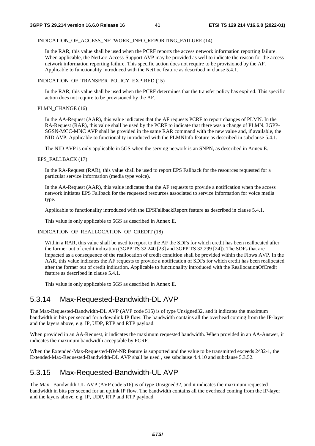### INDICATION\_OF\_ACCESS\_NETWORK\_INFO\_REPORTING\_FAILURE (14)

In the RAR, this value shall be used when the PCRF reports the access network information reporting failure. When applicable, the NetLoc-Access-Support AVP may be provided as well to indicate the reason for the access network information reporting failure. This specific action does not require to be provisioned by the AF. Applicable to functionality introduced with the NetLoc feature as described in clause 5.4.1.

### INDICATION\_OF\_TRANSFER\_POLICY\_EXPIRED (15)

In the RAR, this value shall be used when the PCRF determines that the transfer policy has expired. This specific action does not require to be provisioned by the AF.

### PLMN\_CHANGE (16)

In the AA-Request (AAR), this value indicates that the AF requests PCRF to report changes of PLMN. In the RA-Request (RAR), this value shall be used by the PCRF to indicate that there was a change of PLMN. 3GPP-SGSN-MCC-MNC AVP shall be provided in the same RAR command with the new value and, if available, the NID AVP. Applicable to functionality introduced with the PLMNInfo feature as described in subclause 5.4.1.

The NID AVP is only applicable in 5GS when the serving network is an SNPN, as described in Annex E.

### EPS\_FALLBACK (17)

In the RA-Request (RAR), this value shall be used to report EPS Fallback for the resources requested for a particular service information (media type voice).

In the AA-Request (AAR), this value indicates that the AF requests to provide a notification when the access network initiates EPS Fallback for the requested resources associated to service information for voice media type.

Applicable to functionality introduced with the EPSFallbackReport feature as described in clause 5.4.1.

This value is only applicable to 5GS as described in Annex E.

### INDICATION\_OF\_REALLOCATION\_OF\_CREDIT (18)

Within a RAR, this value shall be used to report to the AF the SDFs for which credit has been reallocated after the former out of credit indication (3GPP TS 32.240 [23] and 3GPP TS 32.299 [24]). The SDFs that are impacted as a consequence of the reallocation of credit condition shall be provided within the Flows AVP. In the AAR, this value indicates the AF requests to provide a notification of SDFs for which credit has been reallocated after the former out of credit indication. Applicable to functionality introduced with the ReallocationOfCredit feature as described in clause 5.4.1.

This value is only applicable to 5GS as described in Annex E.

# 5.3.14 Max-Requested-Bandwidth-DL AVP

The Max-Requested-Bandwidth-DL AVP (AVP code 515) is of type Unsigned32, and it indicates the maximum bandwidth in bits per second for a downlink IP flow. The bandwidth contains all the overhead coming from the IP-layer and the layers above, e.g. IP, UDP, RTP and RTP payload.

When provided in an AA-Request, it indicates the maximum requested bandwidth. When provided in an AA-Answer, it indicates the maximum bandwidth acceptable by PCRF.

When the Extended-Max-Requested-BW-NR feature is supported and the value to be transmitted exceeds  $2^{\wedge}32-1$ , the Extended-Max-Requested-Bandwidth-DL AVP shall be used , see subclause 4.4.10 and subclause 5.3.52.

# 5.3.15 Max-Requested-Bandwidth-UL AVP

The Max –Bandwidth-UL AVP (AVP code 516) is of type Unsigned32, and it indicates the maximum requested bandwidth in bits per second for an uplink IP flow. The bandwidth contains all the overhead coming from the IP-layer and the layers above, e.g. IP, UDP, RTP and RTP payload.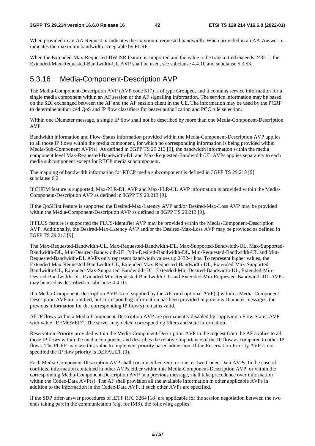When provided in an AA-Request, it indicates the maximum requested bandwidth. When provided in an AA-Answer, it indicates the maximum bandwidth acceptable by PCRF.

When the Extended-Max-Requested-BW-NR feature is supported and the value to be transmitted exceeds  $2^{\wedge}32$ -1, the Extended-Max-Requested-Bandwidth-UL AVP shall be used, see subclause 4.4.10 and subclause 5.3.53.

## 5.3.16 Media-Component-Description AVP

The Media-Component-Description AVP (AVP code 517) is of type Grouped, and it contains service information for a single media component within an AF session or the AF signalling information. The service information may be based on the SDI exchanged between the AF and the AF session client in the UE. The information may be used by the PCRF to determine authorized QoS and IP flow classifiers for bearer authorization and PCC rule selection.

Within one Diameter message, a single IP flow shall not be described by more than one Media-Component-Description AVP.

Bandwidth information and Flow-Status information provided within the Media-Component-Description AVP applies to all those IP flows within the media component, for which no corresponding information is being provided within Media-Sub-Component AVP(s). As defined in 3GPP TS 29.213 [9], the bandwidth information within the media component level Max-Requested-Bandwidth-DL and Max-Requested-Bandwidth-UL AVPs applies separately to each media subcomponent except for RTCP media subcomponent.

The mapping of bandwidth information for RTCP media subcomponent is defined in 3GPP TS 29.213 [9] subclause 6.2.

If CHEM feature is supported, Max-PLR-DL AVP and Max-PLR-UL AVP information is provided within the Media-Component-Description AVP as defined in 3GPP TS 29.213 [9].

If the QoSHint feature is supported the Desired-Max-Latency AVP and/or Desired-Max-Loss AVP may be provided within the Media-Component-Description AVP as defined in 3GPP TS 29.213 [9].

If FLUS feature is supported the FLUS-Identifier AVP may be provided within the Media-Component-Description AVP. Additionally, the Desired-Max-Latency AVP and/or the Desired-Max-Loss AVP may be provided as defined in 3GPP TS 29.213 [9].

The Max-Requested-Bandwidth-UL, Max-Requested-Bandwidth-DL, Max-Supported-Bandwidth-UL, Max-Supported-Bandwidth-DL, Min-Desired-Bandwidth-UL, Min-Desired-Bandwidth-DL, Min-Requested-Bandwidth-UL and Min-Requested-Bandwidth-DL AVPs only represent bandwidth values up 2^32-1 bps. To represent higher values, the Extended-Max-Requested-Bandwidth-UL, Extended-Max-Requested-Bandwidth-DL, Extended-Max-Supported-Bandwidth-UL, Extended-Max-Supported-Bandwidth-DL, Extended-Min-Desired-Bandwidth-UL, Extended-Min-Desired-Bandwidth-DL, Extended-Min-Requested-Bandwidth-UL and Extended-Min-Requested-Bandwidth-DL AVPs may be used as described in subclause 4.4.10.

If a Media-Component-Description AVP is not supplied by the AF, or if optional AVP(s) within a Media-Component-Description AVP are omitted, but corresponding information has been provided in previous Diameter messages, the previous information for the corresponding IP flow(s) remains valid.

All IP flows within a Media-Component-Description AVP are permanently disabled by supplying a Flow Status AVP with value "REMOVED". The server may delete corresponding filters and state information.

Reservation-Priority provided within the Media-Component-Description AVP in the request from the AF applies to all those IP flows within the media component and describes the relative importance of the IP flow as compared to other IP flows. The PCRF may use this value to implement priority based admission. If the Reservation-Priority AVP is not specified the IP flow priority is DEFAULT (0).

Each Media-Component-Description AVP shall contain either zero, or one, or two Codec-Data AVPs. In the case of conflicts, information contained in other AVPs either within this Media-Component-Description AVP, or within the corresponding Media-Component-Description AVP in a previous message, shall take precedence over information within the Codec-Data AVP(s). The AF shall provision all the available information in other applicable AVPs in addition to the information in the Codec-Data AVP, if such other AVPs are specified.

If the SDP offer-answer procedures of IETF RFC 3264 [18] are applicable for the session negotiation between the two ends taking part in the communication (e.g. for IMS), the following applies: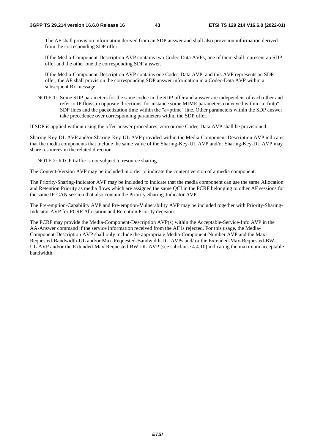- The AF shall provision information derived from an SDP answer and shall also provision information derived from the corresponding SDP offer.
- If the Media-Component-Description AVP contains two Codec-Data AVPs, one of them shall represent an SDP offer and the other one the corresponding SDP answer.
- If the Media-Component-Description AVP contains one Codec-Data AVP, and this AVP represents an SDP offer, the AF shall provision the corresponding SDP answer information in a Codec-Data AVP within a subsequent Rx message.
- NOTE 1: Some SDP parameters for the same codec in the SDP offer and answer are independent of each other and refer to IP flows in opposite directions, for instance some MIME parameters conveyed within "a=fmtp" SDP lines and the packetization time within the "a=ptime" line. Other parameters within the SDP answer take precedence over corresponding parameters within the SDP offer.

If SDP is applied without using the offer-answer procedures, zero or one Codec-Data AVP shall be provisioned.

Sharing-Key-DL AVP and/or Sharing-Key-UL AVP provided within the Media-Component-Description AVP indicates that the media components that include the same value of the Sharing-Key-UL AVP and/or Sharing-Key-DL AVP may share resources in the related direction.

NOTE 2: RTCP traffic is not subject to resource sharing.

The Content-Version AVP may be included in order to indicate the content version of a media component.

The Priority-Sharing-Indicator AVP may be included to indicate that the media component can use the same Allocation and Retention Priority as media flows which are assigned the same QCI in the PCRF belonging to other AF sessions for the same IP-CAN session that also contain the Priority-Sharing-Indicator AVP.

The Pre-emption-Capability AVP and Pre-emption-Vulnerability AVP may be included together with Priority-Sharing-Indicator AVP for PCRF Allocation and Retention Priority decision.

The PCRF may provide the Media-Component-Description AVP(s) within the Acceptable-Service-Info AVP in the AA-Answer command if the service information received from the AF is rejected. For this usage, the Media-Component-Description AVP shall only include the appropriate Media-Component-Number AVP and the Max-Requested-Bandwidth-UL and/or Max-Requested-Bandwidth-DL AVPs and/ or the Extended-Max-Requested-BW-UL AVP and/or the Extended-Max-Requested-BW-DL AVP (see subclause 4.4.10) indicating the maximum acceptable bandwidth.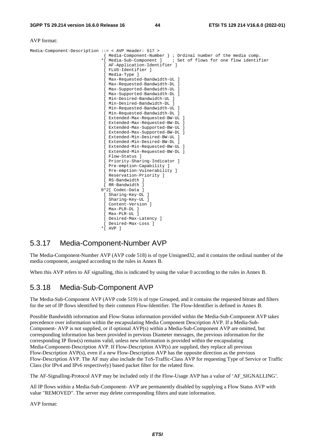#### AVP format:

| Media-Component-Description ::= < AVP Header: 517 >                |
|--------------------------------------------------------------------|
| { Media-Component-Number } ; Ordinal number of the media comp.     |
| *[ Media-Sub-Component ]<br>; Set of flows for one flow identifier |
| [ AF-Application-Identifier ]                                      |
| [ FLUS-Identifier ]                                                |
| [ Media-Type ]                                                     |
| [ Max-Requested-Bandwidth-UL ]                                     |
| [ Max-Requested-Bandwidth-DL ]                                     |
| [ Max-Supported-Bandwidth-UL ]                                     |
| [ Max-Supported-Bandwidth-DL ]                                     |
| [ Min-Desired-Bandwidth-UL ]                                       |
| [ Min-Desired-Bandwidth-DL ]                                       |
| [ Min-Requested-Bandwidth-UL ]                                     |
| [ Min-Requested-Bandwidth-DL ]                                     |
| [ Extended-Max-Requested-BW-UL ]                                   |
| [ Extended-Max-Requested-BW-DL ]                                   |
| [ Extended-Max-Supported-BW-UL ]                                   |
| [ Extended-Max-Supported-BW-DL ]                                   |
| [ Extended-Min-Desired-BW-UL ]                                     |
| [ Extended-Min-Desired-BW-DL ]                                     |
| [ Extended-Min-Requested-BW-UL ]                                   |
| [ Extended-Min-Requested-BW-DL ]                                   |
| [ Flow-Status ]                                                    |
| [ Priority-Sharing-Indicator ]                                     |
| [ Pre-emption-Capability ]                                         |
| [ Pre-emption-Vulnerability ]                                      |
| [ Reservation-Priority ]                                           |
| [ RS-Bandwidth ]                                                   |
| [ RR-Bandwidth ]                                                   |
| $0*2$ Codec-Data ]                                                 |
| [ Sharing-Key-DL ]                                                 |
| [ Sharing-Key-UL ]                                                 |
| [ Content-Version ]                                                |
| [ Max-PLR-DL ]                                                     |
| [ Max-PLR-UL ]                                                     |
| [ Desired-Max-Latency ]                                            |
| [ Desired-Max-Loss ]                                               |
| *f avp 1                                                           |

## 5.3.17 Media-Component-Number AVP

The Media-Component-Number AVP (AVP code 518) is of type Unsigned32, and it contains the ordinal number of the media component, assigned according to the rules in Annex B.

When this AVP refers to AF signalling, this is indicated by using the value 0 according to the rules in Annex B.

## 5.3.18 Media-Sub-Component AVP

The Media-Sub-Component AVP (AVP code 519) is of type Grouped, and it contains the requested bitrate and filters for the set of IP flows identified by their common Flow-Identifier. The Flow-Identifier is defined in Annex B.

Possible Bandwidth information and Flow-Status information provided within the Media-Sub-Component AVP takes precedence over information within the encapsulating Media Component Description AVP. If a Media-Sub-Component- AVP is not supplied, or if optional AVP(s) within a Media-Sub-Component AVP are omitted, but corresponding information has been provided in previous Diameter messages, the previous information for the corresponding IP flow(s) remains valid, unless new information is provided within the encapsulating Media-Component-Description AVP. If Flow-Description AVP(s) are supplied, they replace all previous Flow-Description AVP(s), even if a new Flow-Description AVP has the opposite direction as the previous Flow-Description AVP. The AF may also include the ToS-Traffic-Class AVP for requesting Type of Service or Traffic Class (for IPv4 and IPv6 respectively) based packet filter for the related flow.

The AF-Signalling-Protocol AVP may be included only if the Flow-Usage AVP has a value of 'AF\_SIGNALLING'.

All IP flows within a Media-Sub-Component- AVP are permanently disabled by supplying a Flow Status AVP with value "REMOVED". The server may delete corresponding filters and state information.

AVP format: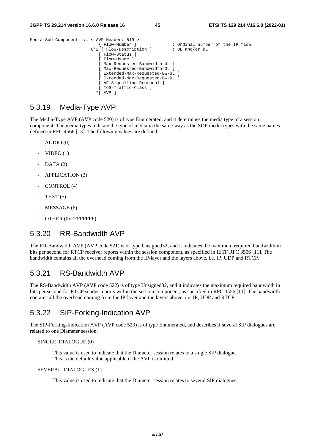```
Media-Sub-Component ::= < AVP Header: 519 > 
                                                              ; Ordinal number of the IP flow<br>; UL and/or DL
                          0*2 [ Flow-Description ]
                              [ Flow-Status ] 
                              [ Flow-Usage ] 
                              [ Max-Requested-Bandwidth-UL ] 
                              [ Max-Requested-Bandwidth-DL ] 
                              [ Extended-Max-Requested-BW-UL ] 
                              [ Extended-Max-Requested-BW-DL ] 
                              [ AF-Signalling-Protocol ] 
                               [ ToS-Traffic-Class ] 
                              *[ AVP ]
```
### 5.3.19 Media-Type AVP

The Media-Type AVP (AVP code 520) is of type Enumerated, and it determines the media type of a session component. The media types indicate the type of media in the same way as the SDP media types with the same names defined in RFC 4566 [13]. The following values are defined:

- AUDIO (0)
- $VIDEO(1)$
- $DATA (2)$
- APPLICATION (3)
- CONTROL (4)
- $TEXT(5)$
- MESSAGE (6)
- OTHER (0xFFFFFFFFF)

### 5.3.20 RR-Bandwidth AVP

The RR-Bandwidth AVP (AVP code 521) is of type Unsigned32, and it indicates the maximum required bandwidth in bits per second for RTCP receiver reports within the session component, as specified in IETF RFC 3556 [11]. The bandwidth contains all the overhead coming from the IP-layer and the layers above, i.e. IP, UDP and RTCP.

### 5.3.21 RS-Bandwidth AVP

The RS-Bandwidth AVP (AVP code 522) is of type Unsigned32, and it indicates the maximum required bandwidth in bits per second for RTCP sender reports within the session component, as specified in RFC 3556 [11]. The bandwidth contains all the overhead coming from the IP-layer and the layers above, i.e. IP, UDP and RTCP.

### 5.3.22 SIP-Forking-Indication AVP

The SIP-Forking-Indication AVP (AVP code 523) is of type Enumerated, and describes if several SIP dialogues are related to one Diameter session:

#### SINGLE\_DIALOGUE (0)

 This value is used to indicate that the Diameter session relates to a single SIP dialogue. This is the default value applicable if the AVP is omitted.

#### SEVERAL\_DIALOGUES (1)

This value is used to indicate that the Diameter session relates to several SIP dialogues.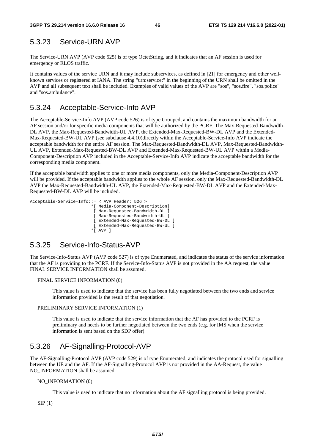# 5.3.23 Service-URN AVP

The Service-URN AVP (AVP code 525) is of type OctetString, and it indicates that an AF session is used for emergency or RLOS traffic.

It contains values of the service URN and it may include subservices, as defined in [21] for emergency and other wellknown services or registered at IANA. The string "urn:service:" in the beginning of the URN shall be omitted in the AVP and all subsequent text shall be included. Examples of valid values of the AVP are "sos", "sos.fire", "sos.police" and "sos.ambulance".

## 5.3.24 Acceptable-Service-Info AVP

The Acceptable-Service-Info AVP (AVP code 526) is of type Grouped, and contains the maximum bandwidth for an AF session and/or for specific media components that will be authorized by the PCRF. The Max-Requested-Bandwidth-DL AVP, the Max-Requested-Bandwidth-UL AVP, the Extended-Max-Requested-BW-DL AVP and the Extended-Max-Requested-BW-UL AVP (see subclause 4.4.10)directly within the Acceptable-Service-Info AVP indicate the acceptable bandwidth for the entire AF session. The Max-Requested-Bandwidth-DL AVP, Max-Requested-Bandwidth-UL AVP, Extended-Max-Requested-BW-DL AVP and Extended-Max-Requested-BW-UL AVP within a Media-Component-Description AVP included in the Acceptable-Service-Info AVP indicate the acceptable bandwidth for the corresponding media component.

If the acceptable bandwidth applies to one or more media components, only the Media-Component-Description AVP will be provided. If the acceptable bandwidth applies to the whole AF session, only the Max-Requested-Bandwidth-DL AVP the Max-Requested-Bandwidth-UL AVP, the Extended-Max-Requested-BW-DL AVP and the Extended-Max-Requested-BW-DL AVP will be included.

```
Acceptable-Service-Info::= < AVP Header: 526 > 
                          *[ Media-Component-Description] 
                           [ Max-Requested-Bandwidth-DL ] 
                           [ Max-Requested-Bandwidth-UL ] 
                           [ Extended-Max-Requested-BW-DL ] 
                           [ Extended-Max-Requested-BW-UL ] 
                          *[ AVP ]
```
# 5.3.25 Service-Info-Status-AVP

The Service-Info-Status AVP (AVP code 527) is of type Enumerated, and indicates the status of the service information that the AF is providing to the PCRF. If the Service-Info-Status AVP is not provided in the AA request, the value FINAL SERVICE INFORMATION shall be assumed.

#### FINAL SERVICE INFORMATION (0)

 This value is used to indicate that the service has been fully negotiated between the two ends and service information provided is the result of that negotiation.

#### PRELIMINARY SERVICE INFORMATION (1)

 This value is used to indicate that the service information that the AF has provided to the PCRF is preliminary and needs to be further negotiated between the two ends (e.g. for IMS when the service information is sent based on the SDP offer).

# 5.3.26 AF-Signalling-Protocol-AVP

The AF-Signalling-Protocol AVP (AVP code 529) is of type Enumerated, and indicates the protocol used for signalling between the UE and the AF. If the AF-Signalling-Protocol AVP is not provided in the AA-Request, the value NO\_INFORMATION shall be assumed.

#### NO\_INFORMATION (0)

This value is used to indicate that no information about the AF signalling protocol is being provided.

 $SIP(1)$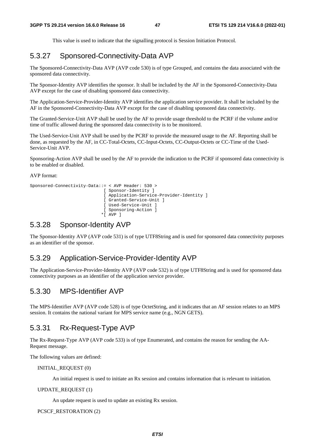This value is used to indicate that the signalling protocol is Session Initiation Protocol.

## 5.3.27 Sponsored-Connectivity-Data AVP

The Sponsored-Connectivity-Data AVP (AVP code 530) is of type Grouped, and contains the data associated with the sponsored data connectivity.

The Sponsor-Identity AVP identifies the sponsor. It shall be included by the AF in the Sponsored-Connectivity-Data AVP except for the case of disabling sponsored data connectivity.

The Application-Service-Provider-Identity AVP identifies the application service provider. It shall be included by the AF in the Sponsored-Connectivity-Data AVP except for the case of disabling sponsored data connectivity.

The Granted-Service-Unit AVP shall be used by the AF to provide usage threshold to the PCRF if the volume and/or time of traffic allowed during the sponsored data connectivity is to be monitored.

The Used-Service-Unit AVP shall be used by the PCRF to provide the measured usage to the AF. Reporting shall be done, as requested by the AF, in CC-Total-Octets, CC-Input-Octets, CC-Output-Octets or CC-Time of the Used-Service-Unit AVP.

Sponsoring-Action AVP shall be used by the AF to provide the indication to the PCRF if sponsored data connectivity is to be enabled or disabled.

AVP format:

```
Sponsored-Connectivity-Data::= < AVP Header: 530 > 
                               [ Sponsor-Identity ] 
                               [ Application-Service-Provider-Identity ] 
                               [ Granted-Service-Unit ] 
                               [ Used-Service-Unit ] 
                               [ Sponsoring-Action ] 
                             *[ AVP ]
```
## 5.3.28 Sponsor-Identity AVP

The Sponsor-Identity AVP (AVP code 531) is of type UTF8String and is used for sponsored data connectivity purposes as an identifier of the sponsor.

### 5.3.29 Application-Service-Provider-Identity AVP

The Application-Service-Provider-Identity AVP (AVP code 532) is of type UTF8String and is used for sponsored data connectivity purposes as an identifier of the application service provider.

## 5.3.30 MPS-Identifier AVP

The MPS-Identifier AVP (AVP code 528) is of type OctetString, and it indicates that an AF session relates to an MPS session. It contains the national variant for MPS service name (e.g., NGN GETS).

## 5.3.31 Rx-Request-Type AVP

The Rx-Request-Type AVP (AVP code 533) is of type Enumerated, and contains the reason for sending the AA-Request message.

The following values are defined:

INITIAL\_REQUEST (0)

An initial request is used to initiate an Rx session and contains information that is relevant to initiation.

UPDATE\_REQUEST (1)

An update request is used to update an existing Rx session.

PCSCF\_RESTORATION (2)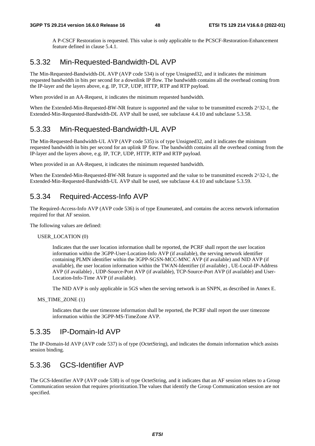A P-CSCF Restoration is requested. This value is only applicable to the PCSCF-Restoration-Enhancement feature defined in clause 5.4.1.

### 5.3.32 Min-Requested-Bandwidth-DL AVP

The Min-Requested-Bandwidth-DL AVP (AVP code 534) is of type Unsigned32, and it indicates the minimum requested bandwidth in bits per second for a downlink IP flow. The bandwidth contains all the overhead coming from the IP-layer and the layers above, e.g. IP, TCP, UDP, HTTP, RTP and RTP payload.

When provided in an AA-Request, it indicates the minimum requested bandwidth.

When the Extended-Min-Requested-BW-NR feature is supported and the value to be transmitted exceeds 2^32-1, the Extended-Min-Requested-Bandwidth-DL AVP shall be used, see subclause 4.4.10 and subclause 5.3.58.

### 5.3.33 Min-Requested-Bandwidth-UL AVP

The Min-Requested-Bandwidth-UL AVP (AVP code 535) is of type Unsigned32, and it indicates the minimum requested bandwidth in bits per second for an uplink IP flow. The bandwidth contains all the overhead coming from the IP-layer and the layers above, e.g. IP, TCP, UDP, HTTP, RTP and RTP payload.

When provided in an AA-Request, it indicates the minimum requested bandwidth.

When the Extended-Min-Requested-BW-NR feature is supported and the value to be transmitted exceeds  $2^{\wedge}32$ -1, the Extended-Min-Requested-Bandwidth-UL AVP shall be used, see subclause 4.4.10 and subclause 5.3.59.

## 5.3.34 Required-Access-Info AVP

The Required-Access-Info AVP (AVP code 536) is of type Enumerated, and contains the access network information required for that AF session.

The following values are defined:

USER\_LOCATION (0)

 Indicates that the user location information shall be reported, the PCRF shall report the user location information within the 3GPP-User-Location-Info AVP (if available), the serving network identifier containing PLMN identifier within the 3GPP-SGSN-MCC-MNC AVP (if available) and NID AVP (if available), the user location information within the TWAN-Identifier (if available) , UE-Local-IP-Address AVP (if available) , UDP-Source-Port AVP (if available), TCP-Source-Port AVP (if available) and User-Location-Info-Time AVP (if available).

The NID AVP is only applicable in 5GS when the serving network is an SNPN, as described in Annex E.

MS\_TIME\_ZONE (1)

 Indicates that the user timezone information shall be reported, the PCRF shall report the user timezone information within the 3GPP-MS-TimeZone AVP.

### 5.3.35 IP-Domain-Id AVP

The IP-Domain-Id AVP (AVP code 537) is of type (OctetString), and indicates the domain information which assists session binding.

## 5.3.36 GCS-Identifier AVP

The GCS-Identifier AVP (AVP code 538) is of type OctetString, and it indicates that an AF session relates to a Group Communication session that requires prioritization.The values that identify the Group Communication session are not specified.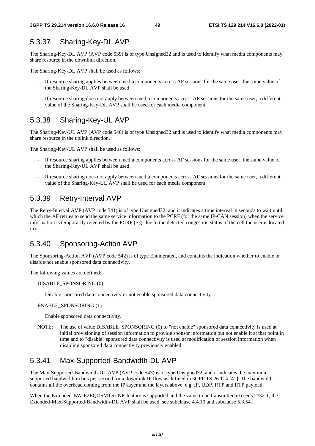## 5.3.37 Sharing-Key-DL AVP

The Sharing-Key-DL AVP (AVP code 539) is of type Unsigned32 and is used to identify what media components may share resource in the downlink direction.

The Sharing-Key-DL AVP shall be used as follows:

- If resource sharing applies between media components across AF sessions for the same user, the same value of the Sharing-Key-DL AVP shall be used;
- If resource sharing does not apply between media components across AF sessions for the same user, a different value of the Sharing-Key-DL AVP shall be used for each media component.

## 5.3.38 Sharing-Key-UL AVP

The Sharing-Key-UL AVP (AVP code 540) is of type Unsigned32 and is used to identify what media components may share resource in the uplink direction.

The Sharing-Key-UL AVP shall be used as follows:

- If resource sharing applies between media components across AF sessions for the same user, the same value of the Sharing-Key-UL AVP shall be used;
- If resource sharing does not apply between media components across AF sessions for the same user, a different value of the Sharing-Key-UL AVP shall be used for each media component.

### 5.3.39 Retry-Interval AVP

The Retry-Interval AVP (AVP code 541) is of type Unsigned32, and it indicates a time interval in seconds to wait until which the AF retries to send the same service information to the PCRF (for the same IP-CAN session) when the service information is temporarily rejected by the PCRF (e.g. due to the detected congestion status of the cell the user is located in).

## 5.3.40 Sponsoring-Action AVP

The Sponsoring-Action AVP (AVP code 542) is of type Enumerated, and contains the indication whether to enable or disable/not enable sponsored data connectivity.

The following values are defined:

DISABLE\_SPONSORING (0)

Disable sponsored data connectivity or not enable sponsored data connectivity

ENABLE\_SPONSORING (1)

Enable sponsored data connectivity.

NOTE: The use of value DISABLE\_SPONSORING (0) to "not enable" sponsored data connectivity is used at initial provisioning of session information to provide sponsor information but not enable it at that point in time and to "disable" sponsored data connectivity is used at modification of session information when disabling sponsored data connectivity previously enabled.

# 5.3.41 Max-Supported-Bandwidth-DL AVP

The Max-Supported-Bandwidth-DL AVP (AVP code 543) is of type Unsigned32, and it indicates the maximum supported bandwidth in bits per second for a downlink IP flow as defined in 3GPP TS 26.114 [41]. The bandwidth contains all the overhead coming from the IP-layer and the layers above, e.g. IP, UDP, RTP and RTP payload.

When the Extended-BW-E2EQOSMTSI-NR feature is supported and the value to be transmitted exceeds  $2^{\wedge}32$ -1, the Extended-Max-Supported-Bandwidth-DL AVP shall be used, see subclause 4.4.10 and subclause 5.3.54.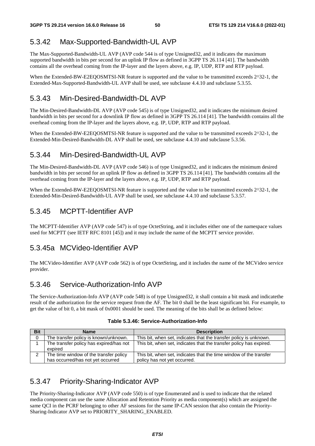# 5.3.42 Max-Supported-Bandwidth-UL AVP

The Max-Supported-Bandwidth-UL AVP (AVP code 544 is of type Unsigned32, and it indicates the maximum supported bandwidth in bits per second for an uplink IP flow as defined in 3GPP TS 26.114 [41]. The bandwidth contains all the overhead coming from the IP-layer and the layers above, e.g. IP, UDP, RTP and RTP payload.

When the Extended-BW-E2EQOSMTSI-NR feature is supported and the value to be transmitted exceeds  $2^{\wedge}32$ -1, the Extended-Max-Supported-Bandwidth-UL AVP shall be used, see subclause 4.4.10 and subclause 5.3.55.

# 5.3.43 Min-Desired-Bandwidth-DL AVP

The Min-Desired-Bandwidth-DL AVP (AVP code 545) is of type Unsigned32, and it indicates the minimum desired bandwidth in bits per second for a downlink IP flow as defined in 3GPP TS 26.114 [41]. The bandwidth contains all the overhead coming from the IP-layer and the layers above, e.g. IP, UDP, RTP and RTP payload.

When the Extended-BW-E2EQOSMTSI-NR feature is supported and the value to be transmitted exceeds  $2^{\wedge}32$ -1, the Extended-Min-Desired-Bandwidth-DL AVP shall be used, see subclause 4.4.10 and subclause 5.3.56.

## 5.3.44 Min-Desired-Bandwidth-UL AVP

The Min-Desired-Bandwidth-DL AVP (AVP code 546) is of type Unsigned32, and it indicates the minimum desired bandwidth in bits per second for an uplink IP flow as defined in 3GPP TS 26.114 [41]. The bandwidth contains all the overhead coming from the IP-layer and the layers above, e.g. IP, UDP, RTP and RTP payload.

When the Extended-BW-E2EQOSMTSI-NR feature is supported and the value to be transmitted exceeds  $2^2$ -1, the Extended-Min-Desired-Bandwidth-UL AVP shall be used, see subclause 4.4.10 and subclause 5.3.57.

## 5.3.45 MCPTT-Identifier AVP

The MCPTT-Identifier AVP (AVP code 547) is of type OctetString, and it includes either one of the namespace values used for MCPTT (see IETF RFC 8101 [45]) and it may include the name of the MCPTT service provider.

## 5.3.45a MCVideo-Identifier AVP

The MCVideo-Identifier AVP (AVP code 562) is of type OctetString, and it includes the name of the MCVideo service provider.

## 5.3.46 Service-Authorization-Info AVP

The Service-Authorization-Info AVP (AVP code 548) is of type Unsigned32, it shall contain a bit mask and indicatethe result of the authorization for the service request from the AF. The bit 0 shall be the least significant bit. For example, to get the value of bit 0, a bit mask of 0x0001 should be used. The meaning of the bits shall be as defined below:

| <b>Bit</b> | <b>Name</b>                                        | <b>Description</b>                                                  |
|------------|----------------------------------------------------|---------------------------------------------------------------------|
|            | The transfer policy is known/unknown.              | This bit, when set, indicates that the transfer policy is unknown.  |
|            | The transfer policy has expired/has not<br>expired | This bit, when set, indicates that the transfer policy has expired. |
|            | The time window of the transfer policy             | This bit, when set, indicates that the time window of the transfer  |
|            | has occurred/has not yet occurred                  | policy has not yet occurred.                                        |

#### **Table 5.3.46: Service-Authorization-Info**

# 5.3.47 Priority-Sharing-Indicator AVP

The Priority-Sharing-Indicator AVP (AVP code 550) is of type Enumerated and is used to indicate that the related media component can use the same Allocation and Retention Priority as media component(s) which are assigned the same QCI in the PCRF belonging to other AF sessions for the same IP-CAN session that also contain the Priority-Sharing-Indicator AVP set to PRIORITY\_SHARING\_ENABLED.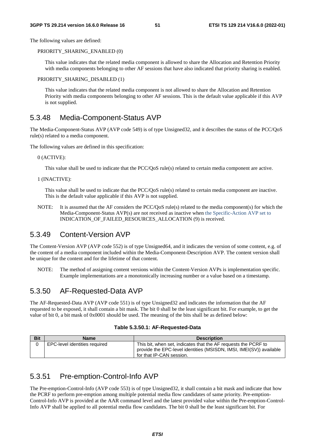The following values are defined:

PRIORITY\_SHARING\_ENABLED (0)

 This value indicates that the related media component is allowed to share the Allocation and Retention Priority with media components belonging to other AF sessions that have also indicated that priority sharing is enabled.

#### PRIORITY\_SHARING\_DISABLED (1)

This value indicates that the related media component is not allowed to share the Allocation and Retention Priority with media components belonging to other AF sessions. This is the default value applicable if this AVP is not supplied.

### 5.3.48 Media-Component-Status AVP

The Media-Component-Status AVP (AVP code 549) is of type Unsigned32, and it describes the status of the PCC/QoS rule(s) related to a media component.

The following values are defined in this specification:

#### 0 (ACTIVE):

This value shall be used to indicate that the PCC/QoS rule(s) related to certain media component are active.

1 (INACTIVE):

 This value shall be used to indicate that the PCC/QoS rule(s) related to certain media component are inactive. This is the default value applicable if this AVP is not supplied.

NOTE: It is assumed that the AF considers the PCC/QoS rule(s) related to the media component(s) for which the Media-Component-Status AVP(s) are not received as inactive when the Specific-Action AVP set to INDICATION\_OF\_FAILED\_RESOURCES\_ALLOCATION (9) is received.

## 5.3.49 Content-Version AVP

The Content-Version AVP (AVP code 552) is of type Unsigned64, and it indicates the version of some content, e.g. of the content of a media component included within the Media-Component-Description AVP. The content version shall be unique for the content and for the lifetime of that content.

NOTE: The method of assigning content versions within the Content-Version AVPs is implementation specific. Example implementations are a monotonically increasing number or a value based on a timestamp.

## 5.3.50 AF-Requested-Data AVP

The AF-Requested-Data AVP (AVP code 551) is of type Unsigned32 and indicates the information that the AF requested to be exposed, it shall contain a bit mask. The bit 0 shall be the least significant bit. For example, to get the value of bit 0, a bit mask of 0x0001 should be used. The meaning of the bits shall be as defined below:

|  |  | Table 5.3.50.1: AF-Requested-Data |
|--|--|-----------------------------------|
|--|--|-----------------------------------|

| <b>Bit</b> | Name                          | <b>Description</b>                                                                                                                                                |
|------------|-------------------------------|-------------------------------------------------------------------------------------------------------------------------------------------------------------------|
|            | EPC-level identities required | This bit, when set, indicates that the AF requests the PCRF to<br>provide the EPC-level identities (MSISDN, IMSI, IMEI(SV)) available<br>for that IP-CAN session. |

### 5.3.51 Pre-emption-Control-Info AVP

The Pre-emption-Control-Info (AVP code 553) is of type Unsigned32, it shall contain a bit mask and indicate that how the PCRF to perform pre-emption among multiple potential media flow candidates of same priority. Pre-emption-Control-Info AVP is provided at the AAR command level and the latest provided value within the Pre-emption-Control-Info AVP shall be applied to all potential media flow candidates. The bit 0 shall be the least significant bit. For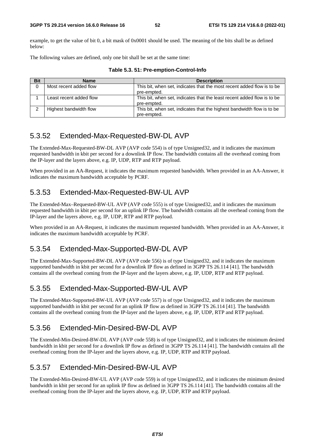example, to get the value of bit 0, a bit mask of 0x0001 should be used. The meaning of the bits shall be as defined below:

The following values are defined, only one bit shall be set at the same time:

| <b>Bit</b> | <b>Name</b>             | <b>Description</b>                                                                     |
|------------|-------------------------|----------------------------------------------------------------------------------------|
|            | Most recent added flow  | This bit, when set, indicates that the most recent added flow is to be<br>pre-empted.  |
|            | Least recent added flow | This bit, when set, indicates that the least recent added flow is to be<br>pre-empted. |
|            | Highest bandwidth flow  | This bit, when set, indicates that the highest bandwidth flow is to be<br>pre-empted.  |

**Table 5.3. 51: Pre-emption-Control-Info** 

# 5.3.52 Extended-Max-Requested-BW-DL AVP

The Extended-Max-Requested-BW-DL AVP (AVP code 554) is of type Unsigned32, and it indicates the maximum requested bandwidth in kbit per second for a downlink IP flow. The bandwidth contains all the overhead coming from the IP-layer and the layers above, e.g. IP, UDP, RTP and RTP payload.

When provided in an AA-Request, it indicates the maximum requested bandwidth. When provided in an AA-Answer, it indicates the maximum bandwidth acceptable by PCRF.

# 5.3.53 Extended-Max-Requested-BW-UL AVP

The Extended-Max–Requested-BW-UL AVP (AVP code 555) is of type Unsigned32, and it indicates the maximum requested bandwidth in kbit per second for an uplink IP flow. The bandwidth contains all the overhead coming from the IP-layer and the layers above, e.g. IP, UDP, RTP and RTP payload.

When provided in an AA-Request, it indicates the maximum requested bandwidth. When provided in an AA-Answer, it indicates the maximum bandwidth acceptable by PCRF.

# 5.3.54 Extended-Max-Supported-BW-DL AVP

The Extended-Max-Supported-BW-DL AVP (AVP code 556) is of type Unsigned32, and it indicates the maximum supported bandwidth in kbit per second for a downlink IP flow as defined in 3GPP TS 26.114 [41]. The bandwidth contains all the overhead coming from the IP-layer and the layers above, e.g. IP, UDP, RTP and RTP payload.

# 5.3.55 Extended-Max-Supported-BW-UL AVP

The Extended-Max-Supported-BW-UL AVP (AVP code 557) is of type Unsigned32, and it indicates the maximum supported bandwidth in kbit per second for an uplink IP flow as defined in 3GPP TS 26.114 [41]. The bandwidth contains all the overhead coming from the IP-layer and the layers above, e.g. IP, UDP, RTP and RTP payload.

# 5.3.56 Extended-Min-Desired-BW-DL AVP

The Extended-Min-Desired-BW-DL AVP (AVP code 558) is of type Unsigned32, and it indicates the minimum desired bandwidth in kbit per second for a downlink IP flow as defined in 3GPP TS 26.114 [41]. The bandwidth contains all the overhead coming from the IP-layer and the layers above, e.g. IP, UDP, RTP and RTP payload.

# 5.3.57 Extended-Min-Desired-BW-UL AVP

The Extended-Min-Desired-BW-UL AVP (AVP code 559) is of type Unsigned32, and it indicates the minimum desired bandwidth in kbit per second for an uplink IP flow as defined in 3GPP TS 26.114 [41]. The bandwidth contains all the overhead coming from the IP-layer and the layers above, e.g. IP, UDP, RTP and RTP payload.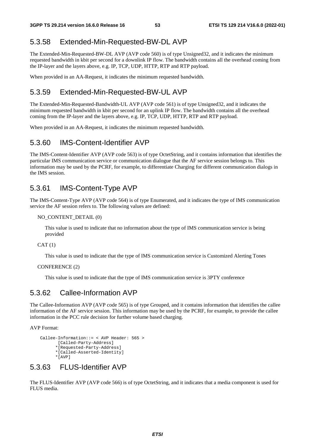## 5.3.58 Extended-Min-Requested-BW-DL AVP

The Extended-Min-Requested-BW-DL AVP (AVP code 560) is of type Unsigned32, and it indicates the minimum requested bandwidth in kbit per second for a downlink IP flow. The bandwidth contains all the overhead coming from the IP-layer and the layers above, e.g. IP, TCP, UDP, HTTP, RTP and RTP payload.

When provided in an AA-Request, it indicates the minimum requested bandwidth.

## 5.3.59 Extended-Min-Requested-BW-UL AVP

The Extended-Min-Requested-Bandwidth-UL AVP (AVP code 561) is of type Unsigned32, and it indicates the minimum requested bandwidth in kbit per second for an uplink IP flow. The bandwidth contains all the overhead coming from the IP-layer and the layers above, e.g. IP, TCP, UDP, HTTP, RTP and RTP payload.

When provided in an AA-Request, it indicates the minimum requested bandwidth.

### 5.3.60 IMS-Content-Identifier AVP

The IMS-Content-Identifier AVP (AVP code 563) is of type OctetString, and it contains information that identifies the particular IMS communication service or communication dialogue that the AF service session belongs to. This information may be used by the PCRF, for example, to differentiate Charging for different communication dialogs in the IMS session.

### 5.3.61 IMS-Content-Type AVP

The IMS-Content-Type AVP (AVP code 564) is of type Enumerated, and it indicates the type of IMS communication service the AF session refers to. The following values are defined:

#### NO\_CONTENT\_DETAIL (0)

 This value is used to indicate that no information about the type of IMS communication service is being provided

 $CAT(1)$ 

This value is used to indicate that the type of IMS communication service is Customized Alerting Tones

#### CONFERENCE (2)

This value is used to indicate that the type of IMS communication service is 3PTY conference

## 5.3.62 Callee-Information AVP

The Callee-Information AVP (AVP code 565) is of type Grouped, and it contains information that identifies the callee information of the AF service session. This information may be used by the PCRF, for example, to provide the callee information in the PCC rule decision for further volume based charging.

AVP Format:

```
 Callee-Information::= < AVP Header: 565 > 
       [Called-Party-Address] 
       *[Requested-Party-Address] 
      *[Called-Asserted-Identity] 
      *[AVP]
```
# 5.3.63 FLUS-Identifier AVP

The FLUS-Identifier AVP (AVP code 566) is of type OctetString, and it indicates that a media component is used for FLUS media.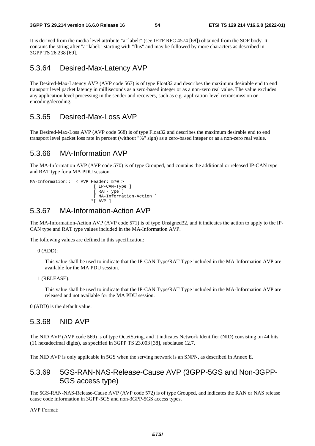It is derived from the media level attribute "a=label:" (see IETF RFC 4574 [68]) obtained from the SDP body. It contains the string after "a=label:" starting with "flus" and may be followed by more characters as described in 3GPP TS 26.238 [69].

### 5.3.64 Desired-Max-Latency AVP

The Desired-Max-Latency AVP (AVP code 567) is of type Float32 and describes the maximum desirable end to end transport level packet latency in milliseconds as a zero-based integer or as a non-zero real value. The value excludes any application level processing in the sender and receivers, such as e.g. application-level retransmission or encoding/decoding.

## 5.3.65 Desired-Max-Loss AVP

The Desired-Max-Loss AVP (AVP code 568) is of type Float32 and describes the maximum desirable end to end transport level packet loss rate in percent (without "%" sign) as a zero-based integer or as a non-zero real value.

### 5.3.66 MA-Information AVP

The MA-Information AVP (AVP code 570) is of type Grouped, and contains the additional or released IP-CAN type and RAT type for a MA PDU session.

```
MA-Information::= < AVP Header: 570 > 
                           [ IP-CAN-Type ] 
                           [ RAT-Type ] 
                           [ MA-Information-Action ]
                          *[ AVP ]
```
### 5.3.67 MA-Information-Action AVP

The MA-Information-Action AVP (AVP code 571) is of type Unsigned32, and it indicates the action to apply to the IP-CAN type and RAT type values included in the MA-Information AVP.

The following values are defined in this specification:

0 (ADD):

 This value shall be used to indicate that the IP-CAN Type/RAT Type included in the MA-Information AVP are available for the MA PDU session.

 This value shall be used to indicate that the IP-CAN Type/RAT Type included in the MA-Information AVP are released and not available for the MA PDU session.

0 (ADD) is the default value.

### 5.3.68 NID AVP

The NID AVP (AVP code 569) is of type OctetString, and it indicates Network Identifier (NID) consisting on 44 bits (11 hexadecimal digits), as specified in 3GPP TS 23.003 [38], subclause 12.7.

The NID AVP is only applicable in 5GS when the serving network is an SNPN, as described in Annex E.

### 5.3.69 5GS-RAN-NAS-Release-Cause AVP (3GPP-5GS and Non-3GPP-5GS access type)

The 5GS-RAN-NAS-Release-Cause AVP (AVP code 572) is of type Grouped, and indicates the RAN or NAS release cause code information in 3GPP-5GS and non-3GPP-5GS access types.

AVP Format:

<sup>1 (</sup>RELEASE):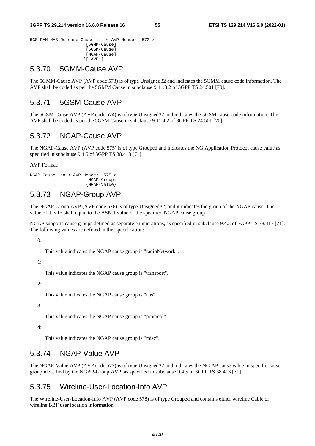```
5GS-RAN-NAS-Release-Cause ::= < AVP Header: 572 > 
                         [5GMM-Cause] 
                         [5GSM-Cause] 
                         [NGAP-Cause] 
                        *[ AVP ]
```
### 5.3.70 5GMM-Cause AVP

The 5GMM-Cause AVP (AVP code 573) is of type Unsigned32 and indicates the 5GMM cause code information. The AVP shall be coded as per the 5GMM Cause in subclause 9.11.3.2 of 3GPP TS 24.501 [70].

## 5.3.71 5GSM-Cause AVP

The 5GSM-Cause AVP (AVP code 574) is of type Unsigned32 and indicates the 5GSM cause code information. The AVP shall be coded as per the 5GSM Cause in subclause 9.11.4.2 of 3GPP TS 24.501 [70].

## 5.3.72 NGAP-Cause AVP

The NGAP-Cause AVP (AVP code 575) is of type Grouped and indicates the NG Application Protocol cause value as specified in subclause 9.4.5 of 3GPP TS 38.413 [71].

AVP Format:

```
NGAP-Cause ::= < AVP Header: 575 > 
                         {NGAP-Group} 
                         {NGAP-Value}
```
### 5.3.73 NGAP-Group AVP

The NGAP-Group AVP (AVP code 576) is of type Unsigned32, and it indicates the group of the NGAP cause. The value of this IE shall equal to the ASN.1 value of the specified NGAP cause group

NGAP supports cause groups defined as separate enumerations, as specified in subclause 9.4.5 of 3GPP TS 38.413 [71]. The following values are defined in this specification:

0:

This value indicates the NGAP cause group is "radioNetwork".

1:

This value indicates the NGAP cause group is "transport".

 $2:$ 

This value indicates the NGAP cause group is "nas".

3:

This value indicates the NGAP cause group is "protocol".

4:

This value indicates the NGAP cause group is "misc".

## 5.3.74 NGAP-Value AVP

The NGAP-Value AVP (AVP code 577) is of type Unsigned32 and indicates the NG AP cause value in specific cause group identified by the NGAP-Group AVP, as specified in subclause 9.4.5 of 3GPP TS 38.413 [71].

### 5.3.75 Wireline-User-Location-Info AVP

The Wireline-User-Location-Info AVP (AVP code 578) is of type Grouped and contains either wireline Cable or wireline BBF user location information.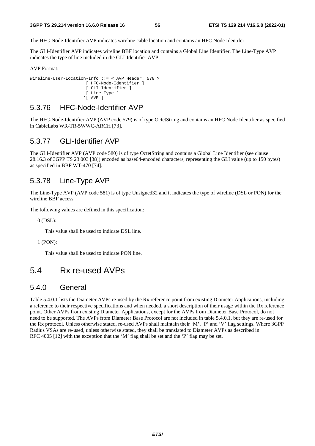The HFC-Node-Identifier AVP indicates wireline cable location and contains an HFC Node Identifer.

The GLI-Identifier AVP indicates wireline BBF location and contains a Global Line Identifier. The Line-Type AVP indicates the type of line included in the GLI-Identifier AVP.

AVP Format:

```
Wireline-User-Location-Info ::= < AVP Header: 578 > 
                       [ HFC-Node-Identifier ] 
                       [ GLI-Identifier ] 
                       [ Line-Type ] 
                     *[ AVP ]
```
### 5.3.76 HFC-Node-Identifier AVP

The HFC-Node-Identifier AVP (AVP code 579) is of type OctetString and contains an HFC Node Identifier as specified in CableLabs WR-TR-5WWC-ARCH [73].

### 5.3.77 GLI-Identifier AVP

The GLI-Identifier AVP (AVP code 580) is of type OctetString and contains a Global Line Identifier (see clause 28.16.3 of 3GPP TS 23.003 [38]) encoded as base64-encoded characters, representing the GLI value (up to 150 bytes) as specified in BBF WT-470 [74].

### 5.3.78 Line-Type AVP

The Line-Type AVP (AVP code 581) is of type Unsigned32 and it indicates the type of wireline (DSL or PON) for the wireline BBF access.

The following values are defined in this specification:

0 (DSL):

This value shall be used to indicate DSL line.

1 (PON):

This value shall be used to indicate PON line.

# 5.4 Rx re-used AVPs

## 5.4.0 General

Table 5.4.0.1 lists the Diameter AVPs re-used by the Rx reference point from existing Diameter Applications, including a reference to their respective specifications and when needed, a short description of their usage within the Rx reference point. Other AVPs from existing Diameter Applications, except for the AVPs from Diameter Base Protocol, do not need to be supported. The AVPs from Diameter Base Protocol are not included in table 5.4.0.1, but they are re-used for the Rx protocol. Unless otherwise stated, re-used AVPs shall maintain their 'M', 'P' and 'V' flag settings. Where 3GPP Radius VSAs are re-used, unless otherwise stated, they shall be translated to Diameter AVPs as described in RFC 4005 [12] with the exception that the 'M' flag shall be set and the 'P' flag may be set.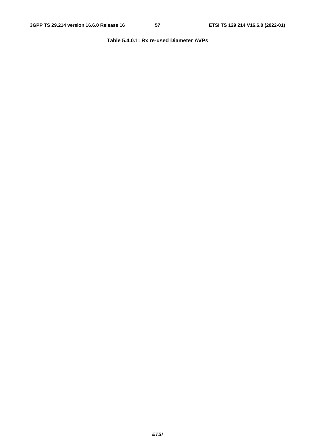### **Table 5.4.0.1: Rx re-used Diameter AVPs**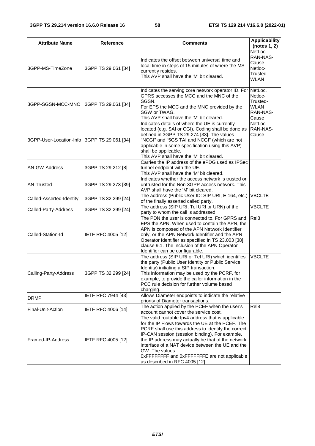| <b>Attribute Name</b>                           | Reference           | <b>Comments</b>                                                                                                                                                                                                                                                                                                                                                                                                               | <b>Applicability</b><br>(notes 1, 2)                              |
|-------------------------------------------------|---------------------|-------------------------------------------------------------------------------------------------------------------------------------------------------------------------------------------------------------------------------------------------------------------------------------------------------------------------------------------------------------------------------------------------------------------------------|-------------------------------------------------------------------|
| 3GPP-MS-TimeZone                                | 3GPP TS 29.061 [34] | Indicates the offset between universal time and<br>local time in steps of 15 minutes of where the MS<br>currently resides.<br>This AVP shall have the 'M' bit cleared.                                                                                                                                                                                                                                                        | NetLoc<br>RAN-NAS-<br>Cause<br>Netloc-<br>Trusted-<br><b>WLAN</b> |
| 3GPP-SGSN-MCC-MNC<br>3GPP TS 29.061 [34]        |                     | Indicates the serving core network operator ID. For NetLoc,<br>GPRS accesses the MCC and the MNC of the<br>SGSN.<br>For EPS the MCC and the MNC provided by the<br>SGW or TWAG.<br>This AVP shall have the 'M' bit cleared.                                                                                                                                                                                                   | Netloc-<br>Trusted-<br><b>WLAN</b><br>RAN-NAS-<br>Cause           |
| 3GPP-User-Location-Info 3GPP TS 29.061 [34]     |                     | Indicates details of where the UE is currently<br>located (e.g. SAI or CGI), Coding shall be done as<br>defined in 3GPP TS 29.274 [33]. The values<br>"NCGI" and "5GS TAI and NCGI" (which are not<br>applicable in some specification using this AVP)<br>shall be applicable.<br>This AVP shall have the 'M' bit cleared.                                                                                                    | NetLoc<br>RAN-NAS-<br>Cause                                       |
| 3GPP TS 29.212 [8]<br>AN-GW-Address             |                     | Carries the IP address of the ePDG used as IPSec<br>tunnel endpoint with the UE.<br>This AVP shall have the 'M' bit cleared.                                                                                                                                                                                                                                                                                                  |                                                                   |
| <b>AN-Trusted</b><br>3GPP TS 29.273 [39]        |                     | Indicates whether the access network is trusted or<br>untrusted for the Non-3GPP access network. This<br>AVP shall have the 'M' bit cleared.                                                                                                                                                                                                                                                                                  |                                                                   |
| 3GPP TS 32.299 [24]<br>Called-Asserted-Identity |                     | The address (Public User ID: SIP URI, E.164, etc.)<br>of the finally asserted called party.                                                                                                                                                                                                                                                                                                                                   | <b>VBCLTE</b>                                                     |
| Called-Party-Address                            | 3GPP TS 32.299 [24] | The address (SIP URI, Tel URI or URN) of the<br>party to whom the call is addressed.                                                                                                                                                                                                                                                                                                                                          | <b>VBCLTE</b>                                                     |
| Called-Station-Id<br>IETF RFC 4005 [12]         |                     | The PDN the user is connected to. For GPRS and<br>EPS the APN. When used to contain the APN, the<br>APN is composed of the APN Network Identifier<br>only, or the APN Network Identifier and the APN<br>Operator Identifier as specified in TS 23.003 [38],<br>clause 9.1. The inclusion of the APN Operator<br>Identifier can be configurable.                                                                               | Rel <sub>8</sub>                                                  |
| 3GPP TS 32.299 [24]<br>Calling-Party-Address    |                     | The address (SIP URI or Tel URI) which identifies<br>the party (Public User Identity or Public Service<br>Identity) initiating a SIP transaction.<br>This information may be used by the PCRF, for<br>example, to provide the caller information in the<br>PCC rule decision for further volume based<br>charging.                                                                                                            | <b>VBCLTE</b>                                                     |
| <b>DRMP</b>                                     | IETF RFC 7944 [43]  | Allows Diameter endpoints to indicate the relative<br>priority of Diameter transactions.                                                                                                                                                                                                                                                                                                                                      |                                                                   |
| Final-Unit-Action                               | IETF RFC 4006 [14]  | The action applied by the PCEF when the user's<br>account cannot cover the service cost.                                                                                                                                                                                                                                                                                                                                      | Rel <sub>8</sub>                                                  |
| Framed-IP-Address<br>IETF RFC 4005 [12]         |                     | The valid routable Ipv4 address that is applicable<br>for the IP Flows towards the UE at the PCEF. The<br>PCRF shall use this address to identify the correct<br>IP-CAN session (session binding). For example,<br>the IP address may actually be that of the network<br>interface of a NAT device between the UE and the<br>GW. The values<br>OxFFFFFFFF and OxFFFFFFFE are not applicable<br>as described in RFC 4005 [12]. |                                                                   |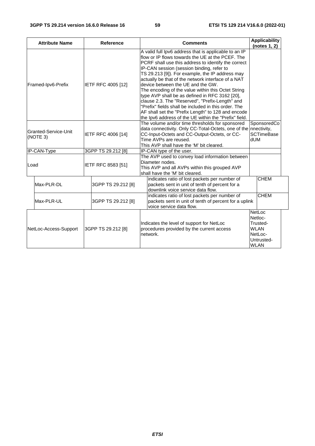| <b>Attribute Name</b><br><b>Reference</b>              |            |                    | <b>Comments</b>                                                                                                                                                                                                                                                                                                                                                                                                                                                                                                                                                                                                                                                                               | <b>Applicability</b><br>(notes 1, 2)                                                 |
|--------------------------------------------------------|------------|--------------------|-----------------------------------------------------------------------------------------------------------------------------------------------------------------------------------------------------------------------------------------------------------------------------------------------------------------------------------------------------------------------------------------------------------------------------------------------------------------------------------------------------------------------------------------------------------------------------------------------------------------------------------------------------------------------------------------------|--------------------------------------------------------------------------------------|
| Framed-Ipv6-Prefix<br>IETF RFC 4005 [12]               |            |                    | A valid full lpv6 address that is applicable to an IP<br>flow or IP flows towards the UE at the PCEF. The<br>PCRF shall use this address to identify the correct<br>IP-CAN session (session binding, refer to<br>TS 29.213 [9]). For example, the IP address may<br>actually be that of the network interface of a NAT<br>device between the UE and the GW.<br>The encoding of the value within this Octet String<br>type AVP shall be as defined in RFC 3162 [20],<br>clause 2.3. The "Reserved", "Prefix-Length" and<br>"Prefix" fields shall be included in this order. The<br>AF shall set the "Prefix Length" to 128 and encode<br>the Ipv6 address of the UE within the "Prefix" field. |                                                                                      |
| Granted-Service-Unit<br>IETF RFC 4006 [14]<br>(NOTE 3) |            |                    | The volume and/or time thresholds for sponsored<br>data connectivity. Only CC-Total-Octets, one of the nnectivity,<br>CC-Input-Octets and CC-Output-Octets, or CC-<br>Time AVPs are reused.<br>This AVP shall have the 'M' bit cleared.                                                                                                                                                                                                                                                                                                                                                                                                                                                       | SponsoredCo<br><b>SCTimeBase</b><br>dUM                                              |
| IP-CAN-Type                                            |            | 3GPP TS 29.212 [8] | IP-CAN type of the user.                                                                                                                                                                                                                                                                                                                                                                                                                                                                                                                                                                                                                                                                      |                                                                                      |
| IETF RFC 8583 [51]<br>Load                             |            |                    | The AVP used to convey load information between<br>Diameter nodes.<br>This AVP and all AVPs within this grouped AVP<br>shall have the 'M' bit cleared.                                                                                                                                                                                                                                                                                                                                                                                                                                                                                                                                        |                                                                                      |
|                                                        | Max-PLR-DL | 3GPP TS 29.212 [8] | indicates ratio of lost packets per number of<br>packets sent in unit of tenth of percent for a<br>downlink voice service data flow.                                                                                                                                                                                                                                                                                                                                                                                                                                                                                                                                                          | <b>CHEM</b>                                                                          |
|                                                        | Max-PLR-UL | 3GPP TS 29.212 [8] | indicates ratio of lost packets per number of<br>packets sent in unit of tenth of percent for a uplink<br>voice service data flow.                                                                                                                                                                                                                                                                                                                                                                                                                                                                                                                                                            | <b>CHEM</b>                                                                          |
| NetLoc-Access-Support                                  |            | 3GPP TS 29.212 [8] | Indicates the level of support for NetLoc<br>procedures provided by the current access<br>network.                                                                                                                                                                                                                                                                                                                                                                                                                                                                                                                                                                                            | NetLoc<br>Netloc-<br>Trusted-<br><b>WLAN</b><br>NetLoc-<br>Untrusted-<br><b>WLAN</b> |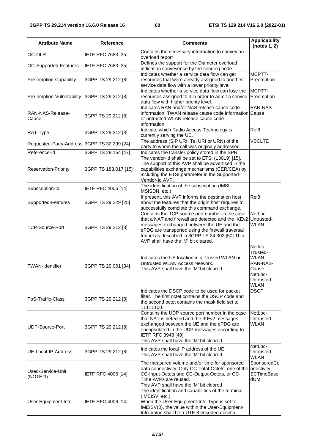| <b>Attribute Name</b>                               | Reference                                   | <b>Comments</b>                                                                                                                                                                                                                                                                                    | <b>Applicability</b><br>(notes 1, 2)                                                            |
|-----------------------------------------------------|---------------------------------------------|----------------------------------------------------------------------------------------------------------------------------------------------------------------------------------------------------------------------------------------------------------------------------------------------------|-------------------------------------------------------------------------------------------------|
| OC-OLR                                              | IETF RFC 7683 [35]                          | Contains the necessary information to convey an<br>overload report                                                                                                                                                                                                                                 |                                                                                                 |
| OC-Supported-Features                               | IETF RFC 7683 [35]                          | Defines the support for the Diameter overload<br>indication conveyence by the sending node                                                                                                                                                                                                         |                                                                                                 |
| Pre-emption-Capability                              | 3GPP TS 29.212 [8]                          | Indicates whether a service data flow can get<br>resources that were already assigned to another<br>service data flow with a lower priority level.                                                                                                                                                 | MCPTT-<br>Preemption                                                                            |
| Pre-emption-Vulnerability                           | 3GPP TS 29.212 [8]                          | Indicates whether a service data flow can lose the<br>resources assigned to it in order to admit a service<br>data flow with higher priority level.                                                                                                                                                | MCPTT-<br>Preemption                                                                            |
| RAN-NAS-Release-<br>Cause                           | 3GPP TS 29.212 [8]                          | Indicates RAN and/or NAS release cause code<br>information. TWAN release cause code information Cause<br>or untrusted WLAN release cause code<br>information.                                                                                                                                      | RAN-NAS-                                                                                        |
| RAT-Type                                            | 3GPP TS 29.212 [8]                          | Indicate which Radio Access Technology is<br>currently serving the UE.                                                                                                                                                                                                                             | Rel8                                                                                            |
| Requested-Party-Address 3GPP TS 32.299 [24]         |                                             | The address (SIP URI, Tel URI or URN) of the<br>party to whom the call was originaly addressed.                                                                                                                                                                                                    | <b>VBCLTE</b>                                                                                   |
| Reference-Id<br><b>Reservation-Priority</b>         | 3GPP TS 29.154 [47]<br>3GPP TS 183.017 [15] | Indicates the transfer policy stored in the SPR.<br>The vendor-id shall be set to ETSI (13019) [15].<br>The support of this AVP shall be advertised in the<br>capabilities exchange mechanisms (CER/CEA) by<br>including the ETSI parameter in the Supported-                                      |                                                                                                 |
| Subscription-Id                                     | IETF RFC 4006 [14]                          | Vendor-Id AVP.<br>The identification of the subscription (IMSI,<br>MSISDN, etc.)                                                                                                                                                                                                                   |                                                                                                 |
| Supported-Features<br>3GPP TS 29.229 [25]           |                                             | If present, this AVP informs the destination host<br>about the features that the origin host requires to<br>successfully complete this command exchange.                                                                                                                                           | Rel8                                                                                            |
| <b>TCP-Source-Port</b><br>3GPP TS 29.212 [8]        |                                             | Contains the TCP source port number in the case<br>that a NAT and firewall are detected and the IKEv2<br>messages exchanged between the UE and the<br>ePDG are transported using the firewall traversal<br>tunnel as described in 3GPP TS 24.302 [50]. This<br>AVP shall have the 'M' bit cleared. | NetLoc-<br>Untrusted-<br><b>WLAN</b>                                                            |
| <b>TWAN-Identifier</b><br>3GPP TS 29.061 [34]       |                                             | Indicates the UE location in a Trusted WLAN or<br>Untrusted WLAN Access Network.<br>This AVP shall have the 'M' bit cleared.                                                                                                                                                                       | Netloc-<br>Trusted-<br><b>WLAN</b><br>RAN-NAS-<br>Cause<br>NetLoc-<br>Untrusted-<br><b>WLAN</b> |
| ToS-Traffic-Class<br>3GPP TS 29.212 [8]             |                                             | Indicates the DSCP code to be used for packet<br>filter. The first octet contains the DSCP code and<br>the second octet contains the mask field set to<br>11111100.                                                                                                                                | <b>DSCP</b>                                                                                     |
| UDP-Source-Port<br>3GPP TS 29.212 [8]               |                                             | Contains the UDP source port number in the case<br>that NAT is detected and the IKEv2 messages<br>exchanged between the UE and the ePDG are<br>encapsulated in the UDP messages according to<br>IETF RFC 3948 [49].<br>This AVP shall have the 'M' bit cleared.                                    | NetLoc-<br>Untrusted-<br><b>WLAN</b>                                                            |
| UE-Local-IP-Address                                 | 3GPP TS 29.212 [8]                          | Indicates the local IP address of the UE.<br>This AVP shall have the 'M' bit cleared.                                                                                                                                                                                                              | NetLoc-<br>Untrusted-<br><b>WLAN</b>                                                            |
| Used-Service-Unit<br>IETF RFC 4006 [14]<br>(NOTE 3) |                                             | The measured volume and/or time for sponsored<br>data connectivity. Only CC-Total-Octets, one of the<br>CC-Input-Octets and CC-Output-Octets, or CC-<br>Time AVPs are reused.<br>This AVP shall have the 'M' bit cleared.                                                                          | SponsoredCo<br>nnectivity<br><b>SCTimeBase</b><br><b>NUD</b>                                    |
| User-Equipment-Info<br><b>IETF RFC 4006 [14]</b>    |                                             | The identification and capabilities of the terminal<br>(IMEISV, etc.)<br>When the User-Equipment-Info-Type is set to<br>IMEISV(0), the value within the User-Equipment-<br>Info-Value shall be a UTF-8 encoded decimal.                                                                            |                                                                                                 |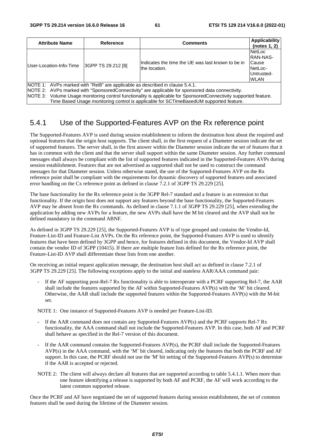| <b>Attribute Name</b>                                                                                                                                                                                                                                                                                                                                                                          | Reference | <b>Comments</b>                                                      | Applicability<br>(notes 1, 2)                                                     |  |
|------------------------------------------------------------------------------------------------------------------------------------------------------------------------------------------------------------------------------------------------------------------------------------------------------------------------------------------------------------------------------------------------|-----------|----------------------------------------------------------------------|-----------------------------------------------------------------------------------|--|
| 3GPP TS 29.212 [8]<br>User-Location-Info-Time                                                                                                                                                                                                                                                                                                                                                  |           | IIndicates the time the UE was last known to be in<br>lthe location. | <b>NetLoc</b><br><b>RAN-NAS-</b><br>Cause<br>NetLoc-<br>Untrusted-<br><b>WLAN</b> |  |
| NOTE 1: AVPs marked with "Rel8" are applicable as described in clause 5.4.1.<br>NOTE 2: AVPs marked with "SponsoredConnectivity" are applicable for sponsored data connectivity.<br>NOTE 3: Volume Usage monitoring control functionality is applicable for SponsoredConnectivity supported feature.<br>Time Based Usage monitoring control is applicable for SCTimeBasedUM supported feature. |           |                                                                      |                                                                                   |  |

# 5.4.1 Use of the Supported-Features AVP on the Rx reference point

The Supported-Features AVP is used during session establishment to inform the destination host about the required and optional features that the origin host supports. The client shall, in the first request of a Diameter session indicate the set of supported features. The server shall, in the first answer within the Diameter session indicate the set of features that it has in common with the client and that the server shall support within the same Diameter session. Any further command messages shall always be compliant with the list of supported features indicated in the Supported-Features AVPs during session establishment. Features that are not advertised as supported shall not be used to construct the command messages for that Diameter session. Unless otherwise stated, the use of the Supported-Features AVP on the Rx reference point shall be compliant with the requirements for dynamic discovery of supported features and associated error handling on the Cx reference point as defined in clause 7.2.1 of 3GPP TS 29.229 [25].

The base functionality for the Rx reference point is the 3GPP Rel-7 standard and a feature is an extension to that functionality. If the origin host does not support any features beyond the base functionality, the Supported-Features AVP may be absent from the Rx commands. As defined in clause 7.1.1 of 3GPP TS 29.229 [25], when extending the application by adding new AVPs for a feature, the new AVPs shall have the M bit cleared and the AVP shall not be defined mandatory in the command ABNF.

As defined in 3GPP TS 29.229 [25], the Supported-Features AVP is of type grouped and contains the Vendor-Id, Feature-List-ID and Feature-List AVPs. On the Rx reference point, the Supported-Features AVP is used to identify features that have been defined by 3GPP and hence, for features defined in this document, the Vendor-Id AVP shall contain the vendor ID of 3GPP (10415). If there are multiple feature lists defined for the Rx reference point, the Feature-List-ID AVP shall differentiate those lists from one another.

On receiving an initial request application message, the destination host shall act as defined in clause 7.2.1 of 3GPP TS 29.229 [25]. The following exceptions apply to the initial and stateless AAR/AAA command pair:

If the AF supporting post-Rel-7 Rx functionality is able to interoperate with a PCRF supporting Rel-7, the AAR shall include the features supported by the AF within Supported-Features AVP(s) with the 'M' bit cleared. Otherwise, the AAR shall include the supported features within the Supported-Features AVP(s) with the M-bit set.

NOTE 1: One instance of Supported-Features AVP is needed per Feature-List-ID.

- If the AAR command does not contain any Supported-Features AVP(s) and the PCRF supports Rel-7 Rx functionality, the AAA command shall not include the Supported-Features AVP. In this case, both AF and PCRF shall behave as specified in the Rel-7 version of this document.
- If the AAR command contains the Supported-Features AVP(s), the PCRF shall include the Supported-Features AVP(s) in the AAA command, with the 'M' bit cleared, indicating only the features that both the PCRF and AF support. In this case, the PCRF should not use the 'M' bit setting of the Supported-Features AVP(s) to determine if the AAR is accepted or rejected.
- NOTE 2: The client will always declare all features that are supported according to table 5.4.1.1. When more than one feature identifying a release is supported by both AF and PCRF, the AF will work according to the latest common supported release.

Once the PCRF and AF have negotiated the set of supported features during session establishment, the set of common features shall be used during the lifetime of the Diameter session.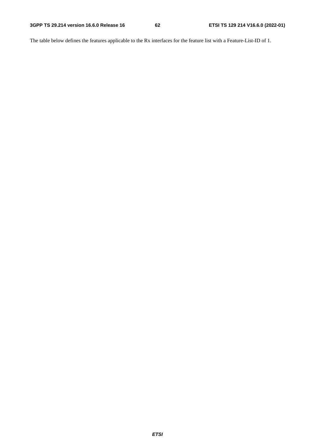The table below defines the features applicable to the Rx interfaces for the feature list with a Feature-List-ID of 1.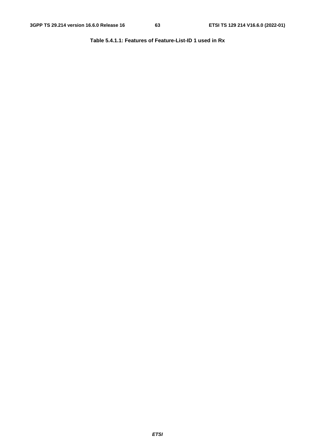**Table 5.4.1.1: Features of Feature-List-ID 1 used in Rx**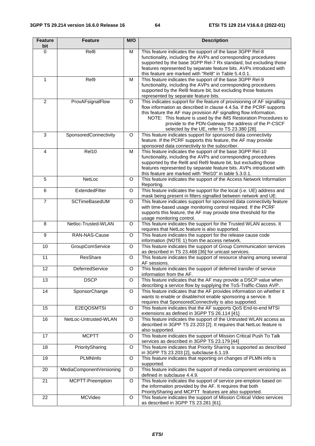| <b>Feature</b><br>bit | <b>Feature</b>           | M/O     | <b>Description</b>                                                                                                                                                                                                                                                                                                                                                                              |
|-----------------------|--------------------------|---------|-------------------------------------------------------------------------------------------------------------------------------------------------------------------------------------------------------------------------------------------------------------------------------------------------------------------------------------------------------------------------------------------------|
| $\Omega$              | Rel <sub>8</sub>         | M       | This feature indicates the support of the base 3GPP Rel-8<br>functionality, including the AVPs and corresponding procedures<br>supported by the base 3GPP Rel-7 Rx standard, but excluding those<br>features represented by separate feature bits. AVPs introduced with<br>this feature are marked with "Rel8" in Table 5.4.0.1.                                                                |
| 1                     | Rel9                     | м       | This feature indicates the support of the base 3GPP Rel-9<br>functionality, including the AVPs and corresponding procedures<br>supported by the ReI8 feature bit, but excluding those features<br>represented by separate feature bits.                                                                                                                                                         |
| $\overline{2}$        | ProvAFsignalFlow         | O       | This indicates support for the feature of provisioning of AF signalling<br>flow information as described in clause 4.4.5a. If the PCRF supports<br>this feature the AF may provision AF signalling flow information.<br>NOTE: This feature is used by the IMS Restoration Procedures to<br>provide to the PDN-Gateway the address of the P-CSCF<br>selected by the UE, refer to TS 23.380 [28]. |
| 3                     | SponsoredConnectivity    | $\circ$ | This feature indicates support for sponsored data connectivity<br>feature. If the PCRF supports this feature, the AF may provide<br>sponsored data connectivity to the subscriber.                                                                                                                                                                                                              |
| 4                     | Rel10                    | M       | This feature indicates the support of the base 3GPP Rel-10<br>functionality, including the AVPs and corresponding procedures<br>supported by the ReI8 and ReI9 feature bit, but excluding those<br>features represented by separate feature bits. AVPs introduced with<br>this feature are marked with "Rel10" in table 5.3.0.1.                                                                |
| 5                     | NetLoc                   | $\circ$ | This feature indicates the support of the Access Network Information<br>Reporting.                                                                                                                                                                                                                                                                                                              |
| $\overline{6}$        | ExtendedFilter           | $\circ$ | This feature indicates the support for the local (i.e. UE) address and<br>mask being present in filters signalled between network and UE.                                                                                                                                                                                                                                                       |
| $\overline{7}$        | SCTimeBasedUM            | O       | This feature indicates support for sponsored data connectivity feature<br>with time-based usage monitoring control required. If the PCRF<br>supports this feature, the AF may provide time threshold for the<br>usage monitoring control.                                                                                                                                                       |
| 8                     | Netloc-Trusted-WLAN      | $\circ$ | This feature indicates the support for the Trusted WLAN access. It<br>requires that NetLoc feature is also supported.                                                                                                                                                                                                                                                                           |
| 9                     | RAN-NAS-Cause            | O       | This feature indicates the support for the release cause code<br>information (NOTE 1) from the access network.                                                                                                                                                                                                                                                                                  |
| 10                    | GroupComService          | $\circ$ | This feature indicates the support of Group Communication services<br>as described in TS 23.468 [36] for unicast services.                                                                                                                                                                                                                                                                      |
| $\overline{11}$       | ResShare                 | O       | This feature indicates the support of resource sharing among several<br>AF sessions.                                                                                                                                                                                                                                                                                                            |
| 12                    | DeferredService          | O       | This feature indicates the support of deferred transfer of service<br>information from the AF.                                                                                                                                                                                                                                                                                                  |
| 13                    | <b>DSCP</b>              | O       | This feature indicates that the AF may provide a DSCP value when<br>describing a service flow by supplying the ToS-Traffic-Class AVP.                                                                                                                                                                                                                                                           |
| $\overline{14}$       | SponsorChange            | $\circ$ | This feature indicates that the AF provides information on whether it<br>wants to enable or disable/not enable sponsoring a service. It<br>requires that SponsoredConnectivity is also supported.                                                                                                                                                                                               |
| $\overline{15}$       | E2EQOSMTSI               | $\circ$ | This feature indicates that the AF supports QoS End-to-end MTSI<br>extensions as defined in 3GPP TS 26.114 [41]                                                                                                                                                                                                                                                                                 |
| 16                    | NetLoc-Untrusted-WLAN    | $\circ$ | This feature indicates the support of the Untrusted WLAN access as<br>described in 3GPP TS 23.203 [2]. It requires that NetLoc feature is<br>also supported.                                                                                                                                                                                                                                    |
| 17                    | <b>MCPTT</b>             | O       | This feature indicates the support of Mission Critical Push To Talk<br>services as described in 3GPP TS 23.179 [44]                                                                                                                                                                                                                                                                             |
| 18                    | PrioritySharing          | O       | This feature indicates that Priority Sharing is supported as described<br>in 3GPP TS 23.203 [2], subclause 6.1.19.                                                                                                                                                                                                                                                                              |
| $\overline{19}$       | <b>PLMNInfo</b>          | $\circ$ | This feature indicates that reporting on changes of PLMN info is<br>supported.                                                                                                                                                                                                                                                                                                                  |
| 20                    | MediaComponentVersioning | O       | This feature indicates the support of media component versioning as<br>defined in subclause 4.4.9.                                                                                                                                                                                                                                                                                              |
| 21                    | MCPTT-Preemption         | O       | This feature indicates the support of service pre-emption based on<br>the information provided by the AF. It requires that both<br>PrioritySharing and MCPTT features are also supported.                                                                                                                                                                                                       |
| 22                    | MCVideo                  | O       | This feature indicates the support of Mission Critical Video services<br>as described in 3GPP TS 23.281 [61].                                                                                                                                                                                                                                                                                   |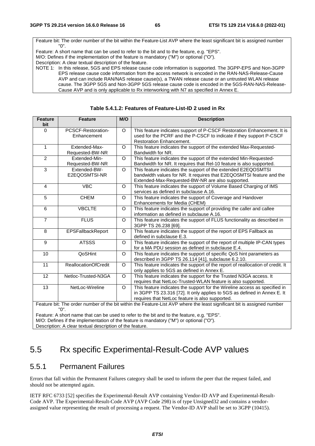Feature bit: The order number of the bit within the Feature-List AVP where the least significant bit is assigned number "0". Feature: A short name that can be used to refer to the bit and to the feature, e.g. "EPS". M/O: Defines if the implementation of the feature is mandatory ("M") or optional ("O"). Description: A clear textual description of the feature.

NOTE 1: In this release, 5GS and EPS release cause code information is supported. The 3GPP-EPS and Non-3GPP EPS release cause code information from the access network is encoded in the RAN-NAS-Release-Cause AVP and can include RAN/NAS release cause(s), a TWAN release cause or an untrusted WLAN release cause. The 3GPP 5GS and Non-3GPP 5GS release cause code is encoded in the 5GS-RAN-NAS-Release-Cause AVP and is only applicable to Rx interworking with N7 as specified in Annex E.

| <b>Feature</b><br>bit                                                                                                          | <b>Feature</b>                    | M/O      | <b>Description</b>                                                                                                                                                                                        |  |
|--------------------------------------------------------------------------------------------------------------------------------|-----------------------------------|----------|-----------------------------------------------------------------------------------------------------------------------------------------------------------------------------------------------------------|--|
| $\Omega$                                                                                                                       | PCSCF-Restoration-<br>Enhancement | O        | This feature indicates support of P-CSCF Restoration Enhancement. It is<br>used for the PCRF and the P-CSCF to indicate if they support P-CSCF<br><b>Restoration Enhancement.</b>                         |  |
| $\mathbf{1}$                                                                                                                   | Extended-Max-<br>Requested-BW-NR  | O        | This feature indicates the support of the extended Max-Requested-<br>Bandwidth for NR.                                                                                                                    |  |
| 2                                                                                                                              | Extended-Min-<br>Requested-BW-NR  | $\circ$  | This feature indicates the support of the extended Min-Requested-<br>Bandwidth for NR. It requires that Rel-10 feature is also supported.                                                                 |  |
| 3                                                                                                                              | Extended-BW-<br>E2EQOSMTSI-NR     | O        | This feature indicates the support of the extended E2EQOSMTSI<br>bandwidth values for NR. It requires that E2EQOSMTSI feature and the<br>Extended-Max-Requested-BW-NR are also supported.                 |  |
| $\overline{4}$                                                                                                                 | <b>VBC</b>                        | $\circ$  | This feature indicates the support of Volume Based Charging of IMS<br>services as defined in subclause A.16.                                                                                              |  |
| $\overline{5}$                                                                                                                 | <b>CHEM</b>                       | $\Omega$ | This feature indicates the support of Coverage and Handover<br>Enhancements for Media (CHEM)                                                                                                              |  |
| 6                                                                                                                              | <b>VBCLTE</b>                     | O        | This feature indicates the support of providing the caller and callee<br>information as defined in subclause A.16.                                                                                        |  |
| $\overline{7}$                                                                                                                 | <b>FLUS</b>                       | $\circ$  | This feature indicates the support of FLUS functionality as described in<br>3GPP TS 26.238 [69].                                                                                                          |  |
| 8                                                                                                                              | EPSFallbackReport                 | O        | This feature indicates the support of the report of EPS Fallback as<br>defined in subclause E.3.                                                                                                          |  |
| 9                                                                                                                              | <b>ATSSS</b>                      | O        | This feature indicates the support of the report of multiple IP-CAN types<br>for a MA PDU session as defined in subclause E.4.                                                                            |  |
| 10                                                                                                                             | QoSHint                           | $\Omega$ | This feature indicates the support of specific QoS hint parameters as<br>described in 3GPP TS 26.114 [41], subclause 6.2.10.                                                                              |  |
| 11                                                                                                                             | <b>ReallocationOfCredit</b>       | O        | This feature indicates the support of the report of reallocation of credit. It<br>only applies to 5GS as defined in Annex E.                                                                              |  |
| 12                                                                                                                             | Netloc-Trusted-N3GA               | $\circ$  | This feature indicates the support for the Trusted N3GA access. It<br>requires that NetLoc-Trusted-WLAN feature is also supported.                                                                        |  |
| 13                                                                                                                             | NetLoc-Wireline                   | O        | This feature indicates the support for the Wireline access as specified in<br>in 3GPP TS 23.316 [72]. It only applies to 5GS as defined in Annex E. It<br>requires that NetLoc feature is also supported. |  |
| Feature bit: The order number of the bit within the Feature-List AVP where the least significant bit is assigned number<br>"በ" |                                   |          |                                                                                                                                                                                                           |  |

**Table 5.4.1.2: Features of Feature-List-ID 2 used in Rx** 

"0".

Feature: A short name that can be used to refer to the bit and to the feature, e.g. "EPS". M/O: Defines if the implementation of the feature is mandatory ("M") or optional ("O").

Description: A clear textual description of the feature.

# 5.5 Rx specific Experimental-Result-Code AVP values

## 5.5.1 Permanent Failures

Errors that fall within the Permanent Failures category shall be used to inform the peer that the request failed, and should not be attempted again.

IETF RFC 6733 [52] specifies the Experimental-Result AVP containing Vendor-ID AVP and Experimental-Result-Code AVP. The Experimental-Result-Code AVP (AVP Code 298) is of type Unsigned32 and contains a vendorassigned value representing the result of processing a request. The Vendor-ID AVP shall be set to 3GPP (10415).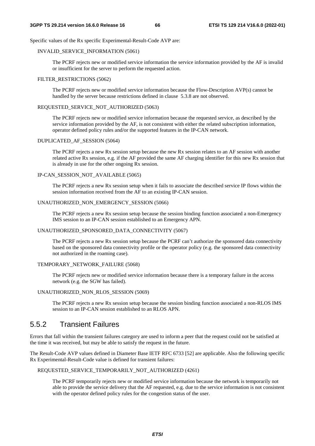Specific values of the Rx specific Experimental-Result-Code AVP are:

#### INVALID\_SERVICE\_INFORMATION (5061)

 The PCRF rejects new or modified service information the service information provided by the AF is invalid or insufficient for the server to perform the requested action.

### FILTER\_RESTRICTIONS (5062)

 The PCRF rejects new or modified service information because the Flow-Description AVP(s) cannot be handled by the server because restrictions defined in clause 5.3.8 are not observed.

### REQUESTED\_SERVICE\_NOT\_AUTHORIZED (5063)

 The PCRF rejects new or modified service information because the requested service, as described by the service information provided by the AF, is not consistent with either the related subscription information, operator defined policy rules and/or the supported features in the IP-CAN network.

#### DUPLICATED\_AF\_SESSION (5064)

 The PCRF rejects a new Rx session setup because the new Rx session relates to an AF session with another related active Rx session, e.g. if the AF provided the same AF charging identifier for this new Rx session that is already in use for the other ongoing Rx session.

### IP-CAN\_SESSION\_NOT\_AVAILABLE (5065)

 The PCRF rejects a new Rx session setup when it fails to associate the described service IP flows within the session information received from the AF to an existing IP-CAN session.

### UNAUTHORIZED\_NON\_EMERGENCY\_SESSION (5066)

 The PCRF rejects a new Rx session setup because the session binding function associated a non-Emergency IMS session to an IP-CAN session established to an Emergency APN.

### UNAUTHORIZED\_SPONSORED\_DATA\_CONNECTIVITY (5067)

 The PCRF rejects a new Rx session setup because the PCRF can't authorize the sponsored data connectivity based on the sponsored data connectivity profile or the operator policy (e.g. the sponsored data connectivity not authorized in the roaming case).

### TEMPORARY\_NETWORK\_FAILURE (5068)

 The PCRF rejects new or modified service information because there is a temporary failure in the access network (e.g. the SGW has failed).

### UNAUTHORIZED\_NON\_RLOS\_SESSION (5069)

 The PCRF rejects a new Rx session setup because the session binding function associated a non-RLOS IMS session to an IP-CAN session established to an RLOS APN.

# 5.5.2 Transient Failures

Errors that fall within the transient failures category are used to inform a peer that the request could not be satisfied at the time it was received, but may be able to satisfy the request in the future.

The Result-Code AVP values defined in Diameter Base IETF RFC 6733 [52] are applicable. Also the following specific Rx Experimental-Result-Code value is defined for transient failures:

REQUESTED\_SERVICE\_TEMPORARILY\_NOT\_AUTHORIZED (4261)

 The PCRF temporarily rejects new or modified service information because the network is temporarily not able to provide the service delivery that the AF requested, e.g. due to the service information is not consistent with the operator defined policy rules for the congestion status of the user.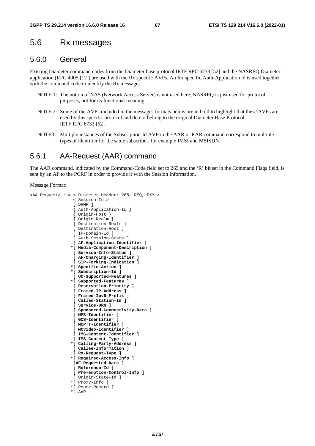# 5.6 Rx messages

### 5.6.0 General

Existing Diameter command codes from the Diameter base protocol IETF RFC 6733 [52] and the NASREQ Diameter application (RFC 4005 [12]) are used with the Rx specific AVPs. An Rx specific Auth-Application id is used together with the command code to identify the R<sub>x</sub> messages.

- NOTE 1: The notion of NAS (Network Access Server) is not used here, NASREQ is just used for protocol purposes, not for its functional meaning.
- NOTE 2: Some of the AVPs included in the messages formats below are in bold to highlight that these AVPs are used by this specific protocol and do not belong to the original Diameter Base Protocol IETF RFC 6733 [52].
- NOTE3: Multiple instances of the Subscription-Id AVP in the AAR or RAR command correspond to multiple types of identifier for the same subscriber, for example IMSI and MSISDN.

### 5.6.1 AA-Request (AAR) command

The AAR command, indicated by the Command-Code field set to 265 and the 'R' bit set in the Command Flags field, is sent by an AF to the PCRF in order to provide it with the Session Information.

Message Format:

```
<AA-Request> ::= < Diameter Header: 265, REQ, PXY > 
                   < Session-Id > 
                   [ DRMP ] 
                   { Auth-Application-Id } 
                   { Origin-Host } 
                   { Origin-Realm } 
                   { Destination-Realm } 
                   [ Destination-Host ] 
                  [ IP-Domain-Id ] 
                  [ Auth-Session-State ] 
                  [ AF-Application-Identifier ] 
                  *[ Media-Component-Description ] 
                   [ Service-Info-Status ] 
                  [ AF-Charging-Identifier ] 
                  [ SIP-Forking-Indication ] 
                  *[ Specific-Action ] 
                 *[ Subscription-Id ] 
                  [ OC-Supported-Features ] 
                  *[ Supported-Features ] 
                  [ Reservation-Priority ] 
                   [ Framed-IP-Address ] 
                   [ Framed-Ipv6-Prefix ] 
                   [ Called-Station-Id ] 
                  [ Service-URN ] 
                   [ Sponsored-Connectivity-Data ] 
                   [ MPS-Identifier ] 
                  [ GCS-Identifier ] 
                   [ MCPTT-Identifier ] 
                   [ MCVideo-Identifier ] 
                  [ IMS-Content-Identifier ] 
                   [ IMS-Content-Type ] 
                  *[ Calling-Party-Address ] 
                  [ Callee-Information ] 
                   [ Rx-Request-Type ]
                 *[ Required-Access-Info ] 
                  [AF-Requested-Data ] 
                  [ Reference-Id ] 
                  [ Pre-emption-Control-Info ]
                   [ Origin-State-Id ] 
                  *[ Proxy-Info ] 
                  *[ Route-Record ] 
                  *[ AVP ]
```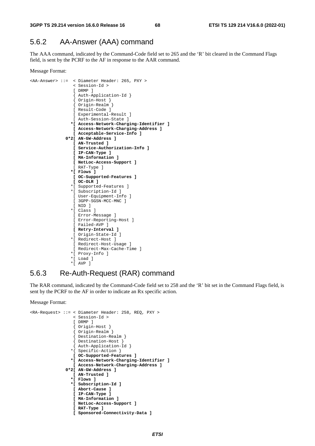## 5.6.2 AA-Answer (AAA) command

The AAA command, indicated by the Command-Code field set to 265 and the 'R' bit cleared in the Command Flags field, is sent by the PCRF to the AF in response to the AAR command.

```
Message Format:
```

```
<AA-Answer> ::= < Diameter Header: 265, PXY > 
                   < Session-Id > 
                   [ DRMP ] 
                   { Auth-Application-Id } 
                   { Origin-Host } 
                   { Origin-Realm } 
                   [ Result-Code ] 
                  [ Experimental-Result ] 
                   [ Auth-Session-State ] 
                  *[ Access-Network-Charging-Identifier ] 
                  [ Access-Network-Charging-Address ] 
                   [ Acceptable-Service-Info ] 
               0*2[ AN-GW-Address ] 
                   [ AN-Trusted ] 
                   [ Service-Authorization-Info ] 
                   [ IP-CAN-Type ] 
                   [ MA-Information ] 
                  [ NetLoc-Access-Support ] 
                   [ RAT-Type ] 
                  *[ Flows ] 
                  [ OC-Supported-Features ] 
                  [ OC-OLR ] 
                  *[ Supported-Features ] 
                  *[ Subscription-Id ] 
                   [ User-Equipment-Info ] 
                  [ 3GPP-SGSN-MCC-MNC ] 
                  [ NID ] 
                  *[ Class ] 
                  [ Error-Message ] 
                  [ Error-Reporting-Host ] 
                   [ Failed-AVP ] 
                  [ Retry-Interval ] 
                   [ Origin-State-Id ] 
                  *[ Redirect-Host ] 
                  [ Redirect-Host-Usage ] 
                   [ Redirect-Max-Cache-Time ] 
                  *[ Proxy-Info ] 
                  *[ Load ] 
                 *[ AVP ]
```
### 5.6.3 Re-Auth-Request (RAR) command

The RAR command, indicated by the Command-Code field set to 258 and the 'R' bit set in the Command Flags field, is sent by the PCRF to the AF in order to indicate an Rx specific action.

```
Message Format:
```

```
<RA-Request> ::= < Diameter Header: 258, REQ, PXY > 
                 < Session-Id > 
                 [ DRMP ] 
                 { Origin-Host } 
                 { Origin-Realm } 
{ Destination-Realm } 
{ Destination-Host } 
                 { Auth-Application-Id } 
                *{ Specific-Action }
                 [ OC-Supported-Features ] 
                *[ Access-Network-Charging-Identifier ] 
                 [ Access-Network-Charging-Address ] 
              0*2[ AN-GW-Address ] 
                 [ AN-Trusted ] 
                 *[ Flows ] 
                *[ Subscription-Id ] 
                 [ Abort-Cause ] 
                 [ IP-CAN-Type ] 
                 [ MA-Information ] 
                 [ NetLoc-Access-Support ] 
                 [ RAT-Type ] 
                 [ Sponsored-Connectivity-Data ]
```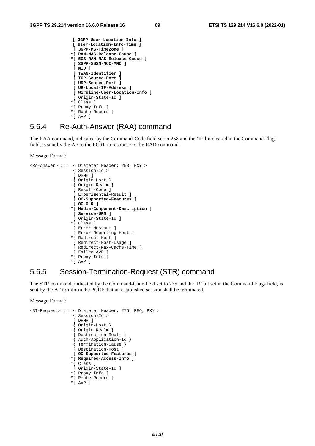```
 [ 3GPP-User-Location-Info ] 
[ User-Location-Info-Time ]
[ 3GPP-MS-TimeZone ] 
*[ RAN-NAS-Release-Cause ] 
*[ 5GS-RAN-NAS-Release-Cause ] 
 [ 3GPP-SGSN-MCC-MNC ] 
 [ NID ] 
 [ TWAN-Identifier ] 
 [ TCP-Source-Port ] 
 [ UDP-Source-Port ] 
 [ UE-Local-IP-Address ] 
 [ Wireline-User-Location-Info ] 
 [ Origin-State-Id ] 
*[ Class ] 
*[ Proxy-Info ] 
*[ Route-Record ] 
*[ AVP ]
```
### 5.6.4 Re-Auth-Answer (RAA) command

The RAA command, indicated by the Command-Code field set to 258 and the 'R' bit cleared in the Command Flags field, is sent by the AF to the PCRF in response to the RAR command.

Message Format:

```
<RA-Answer> ::= < Diameter Header: 258, PXY > 
                   < Session-Id > 
                   [ DRMP ] 
                   { Origin-Host } 
                   { Origin-Realm } 
                   [ Result-Code ] 
                   [ Experimental-Result ] 
                  [ OC-Supported-Features ] 
                  [ OC-OLR ] 
                  *[ Media-Component-Description ] 
                  [ Service-URN ] 
                  [ Origin-State-Id ]
                  *[ Class ]
                  [ Error-Message ] 
                   [ Error-Reporting-Host ] 
                  *[ Redirect-Host ] 
                  [ Redirect-Host-Usage ] 
                   [ Redirect-Max-Cache-Time ] 
                   [ Failed-AVP ] 
                  *[ Proxy-Info ] 
                  *[ AVP ]
```
# 5.6.5 Session-Termination-Request (STR) command

The STR command, indicated by the Command-Code field set to 275 and the 'R' bit set in the Command Flags field, is sent by the AF to inform the PCRF that an established session shall be terminated.

Message Format:

```
<ST-Request> ::= < Diameter Header: 275, REQ, PXY > 
                 < Session-Id > 
                 [ DRMP ] 
                  { Origin-Host } 
                  Origin-Realm<sup>1</sup>
                  { Destination-Realm } 
{ Auth-Application-Id } 
{ Termination-Cause } 
                 [ Destination-Host ] 
                 [ OC-Supported-Features ] 
                *[ Required-Access-Info ]
                *[ Class ] 
                 [ Origin-State-Id ] 
                *[ Proxy-Info ] 
                *[ Route-Record ] 
                *[ AVP ]
```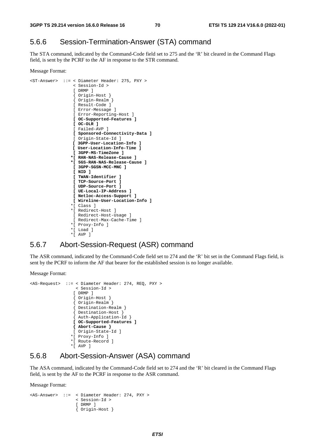### 5.6.6 Session-Termination-Answer (STA) command

The STA command, indicated by the Command-Code field set to 275 and the 'R' bit cleared in the Command Flags field, is sent by the PCRF to the AF in response to the STR command.

```
Message Format:
```

```
<ST-Answer> ::= < Diameter Header: 275, PXY > 
                   < Session-Id > 
                   [ DRMP ] 
                   { Origin-Host } 
                   { Origin-Realm } 
                   [ Result-Code ] 
                   [ Error-Message ] 
                   [ Error-Reporting-Host ] 
                  [ OC-Supported-Features ] 
                   [ OC-OLR ] 
                   [ Failed-AVP ] 
                   [ Sponsored-Connectivity-Data ] 
                   [ Origin-State-Id ] 
                  [ 3GPP-User-Location-Info ] 
                  [ User-Location-Info-Time ] 
                   [ 3GPP-MS-TimeZone ] 
                  *[ RAN-NAS-Release-Cause ] 
                  *[ 5GS-RAN-NAS-Release-Cause ] 
                  [ 3GPP-SGSN-MCC-MNC ] 
                   [ NID ] 
                  [ TWAN-Identifier ] 
                   [ TCP-Source-Port ] 
                   [ UDP-Source-Port ] 
                   [ UE-Local-IP-Address ] 
                   [ Netloc-Access-Support ] 
                  [ Wireline-User-Location-Info ] 
                  *[ Class ] 
                  *[ Redirect-Host ] 
                  [ Redirect-Host-Usage ] 
                   [ Redirect-Max-Cache-Time ] 
                  *[ Proxy-Info ] 
                  *[ Load ] 
                  *[ AVP ]
```
### 5.6.7 Abort-Session-Request (ASR) command

The ASR command, indicated by the Command-Code field set to 274 and the 'R' bit set in the Command Flags field, is sent by the PCRF to inform the AF that bearer for the established session is no longer available.

Message Format:

```
<AS-Request> ::= < Diameter Header: 274, REQ, PXY > 
                  < Session-Id > 
                 [ DRMP ] 
                 { Origin-Host } 
                 { Origin-Realm } 
                 { Destination-Realm } 
{ Destination-Host } 
{ Auth-Application-Id } 
                 [ OC-Supported-Features ] 
                 { Abort-Cause } 
                 [ Origin-State-Id ]
                *[ Proxy-Info ] 
                *[ Route-Record ] 
                *[ AVP ]
```
### 5.6.8 Abort-Session-Answer (ASA) command

The ASA command, indicated by the Command-Code field set to 274 and the 'R' bit cleared in the Command Flags field, is sent by the AF to the PCRF in response to the ASR command.

Message Format:

```
<AS-Answer> ::= < Diameter Header: 274, PXY > 
                   < Session-Id > 
                   [ DRMP ] 
                   { Origin-Host }
```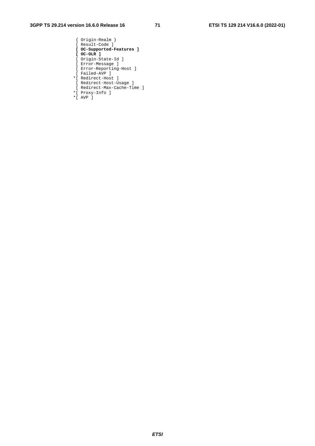- { Origin-Realm } [ Result-Code ]  **[ OC-Supported-Features ] [ OC-OLR ]**  [ Origin-State-Id ] [ Error-Message ] [ Error-Reporting-Host ] [ Failed-AVP ] \*[ Redirect-Host ] [ Redirect-Host-Usage ]
- [ Redirect-Max-Cache-Time ]
- \*[ Proxy-Info ] \*[ AVP ]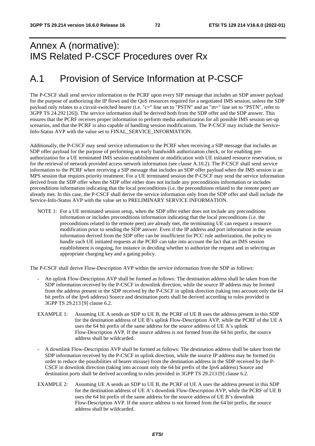# Annex A (normative): IMS Related P-CSCF Procedures over Rx

## A.1 Provision of Service Information at P-CSCF

The P-CSCF shall send service information to the PCRF upon every SIP message that includes an SDP answer payload for the purpose of authorizing the IP flows and the QoS resources required for a negotiated IMS session, unless the SDP payload only relates to a circuit-switched bearer (i.e. "c=" line set to "PSTN" and an "m=" line set to "PSTN", refer to 3GPP TS 24.292 [26]). The service information shall be derived both from the SDP offer and the SDP answer. This ensures that the PCRF receives proper information to perform media authorization for all possible IMS session set-up scenarios, and that the PCRF is also capable of handling session modifications. The P-CSCF may include the Service-Info-Status AVP with the value set to FINAL\_SERVICE\_INFORMATION.

Additionally, the P-CSCF may send service information to the PCRF when receiving a SIP message that includes an SDP offer payload for the purpose of performing an early bandwidth authorization check, or for enabling preauthorization for a UE terminated IMS session establishment or modification with UE initiated resource reservation, or for the retrieval of network provided access network information (see clause A.10.2). The P-CSCF shall send service information to the PCRF when receiving a SIP message that includes an SDP offer payload when the IMS session is an MPS session that requires priority treatment. For a UE terminated session the P-CSCF may send the service information derived from the SDP offer when the SDP offer either does not include any preconditions information or includes preconditions information indicating that the local preconditions (i.e. the preconditions related to the remote peer) are already met. In this case, the P-CSCF shall derive the service information only from the SDP offer and shall include the Service-Info-Status AVP with the value set to PRELIMINARY SERVICE INFORMATION.

NOTE 1: For a UE terminated session setup, when the SDP offer either does not include any preconditions information or includes preconditions information indicating that the local preconditions (i.e. the preconditions related to the remote peer) are already met, the terminating UE can request a resource modification prior to sending the SDP answer. Even if the IP address and port information in the session information derived from the SDP offer can be insufficient for PCC rule authorization, the policy to handle such UE initiated requests at the PCRF can take into account the fact that an IMS session establishment is ongoing, for instance in deciding whether to authorize the request and in selecting an appropriate charging key and a gating policy.

The P-CSCF shall derive Flow-Description AVP within the service information from the SDP as follows:

- An uplink Flow-Description AVP shall be formed as follows: The destination address shall be taken from the SDP information received by the P-CSCF in downlink direction, while the source IP address may be formed from the address present in the SDP received by the P-CSCF in uplink direction (taking into account only the 64 bit prefix of the Ipv6 address) Source and destination ports shall be derived according to rules provided in 3GPP TS 29.213 [9] clause 6.2.
- EXAMPLE 1: Assuming UE A sends an SDP to UE B, the PCRF of UE B uses the address present in this SDP for the destination address of UE B's uplink Flow-Description AVP, while the PCRF of the UE A uses the 64 bit prefix of the same address for the source address of UE A's uplink Flow-Description AVP. If the source address is not formed from the 64 bit prefix, the source address shall be wildcarded.
- A downlink Flow-Description AVP shall be formed as follows: The destination address shall be taken from the SDP information received by the P-CSCF in uplink direction, while the source IP address may be formed (in order to reduce the possibilities of bearer misuse) from the destination address in the SDP received by the P-CSCF in downlink direction (taking into account only the 64 bit prefix of the Ipv6 address) Source and destination ports shall be derived according to rules provided in 3GPP TS 29.213 [9] clause 6.2.
- EXAMPLE 2: Assuming UE A sends an SDP to UE B, the PCRF of UE A uses the address present in this SDP for the destination address of UE A's downlink Flow-Description AVP, while the PCRF of UE B uses the 64 bit prefix of the same address for the source address of UE B's downlink Flow-Description AVP. If the source address is not formed from the 64 bit prefix, the source address shall be wildcarded.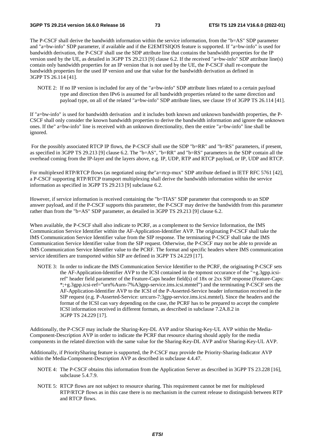The P-CSCF shall derive the bandwidth information within the service information, from the "b=AS" SDP parameter and "a=bw-info" SDP parameter, if available and if the E2EMTSIQOS feature is supported. If "a=bw-info" is used for bandwidth derivation, the P-CSCF shall use the SDP attribute line that contains the bandwidth properties for the IP version used by the UE, as detailed in 3GPP TS 29.213 [9] clause 6.2. If the received "a=bw-info" SDP attribute line(s) contain only bandwidth properties for an IP version that is not used by the UE, the P-CSCF shall re-compute the bandwidth properties for the used IP version and use that value for the bandwidth derivation as defined in 3GPP TS 26.114 [41].

NOTE 2: If no IP version is included for any of the "a=bw-info" SDP attribute lines related to a certain payload type and direction then IPv6 is assumed for all bandwidth properties related to the same direction and payload type, on all of the related "a=bw-info" SDP attribute lines, see clause 19 of 3GPP TS 26.114 [41].

If "a=bw-info" is used for bandwidth derivation and it includes both known and unknown bandwidth properties, the P-CSCF shall only consider the known bandwidth properties to derive the bandwidth information and ignore the unknown ones. If the" a=bw-info" line is received with an unknown directionality, then the entire "a=bw-info" line shall be ignored.

For the possibly associated RTCP IP flows, the P-CSCF shall use the SDP "b=RR" and "b=RS" parameters, if present, as specified in 3GPP TS 29.213 [9] clause 6.2. The "b=AS", "b=RR" and "b=RS" parameters in the SDP contain all the overhead coming from the IP-layer and the layers above, e.g. IP, UDP, RTP and RTCP payload, or IP, UDP and RTCP.

For multiplexed RTP/RTCP flows (as negotiated using the"a=rtcp-mux" SDP attribute defined in IETF RFC 5761 [42], a P-CSCF supporting RTP/RTCP transport multiplexing shall derive the bandwidth information within the service information as specified in 3GPP TS 29.213 [9] subclause 6.2.

However, if service information is received containing the "b=TIAS" SDP parameter that corresponds to an SDP answer payload, and if the P-CSCF supports this parameter, the P-CSCF may derive the bandwidth from this parameter rather than from the "b=AS" SDP parameter, as detailed in 3GPP TS 29.213 [9] clause 6.2.

When available, the P-CSCF shall also indicate to PCRF, as a complement to the Service Information, the IMS Communication Service Identifier within the AF-Application-Identifier AVP. The originating P-CSCF shall take the IMS Communication Service Identifier value from the SIP response. The terminating P-CSCF shall take the IMS Communication Service Identifier value from the SIP request. Otherwise, the P-CSCF may not be able to provide an IMS Communication Service Identifier value to the PCRF. The format and specific headers where IMS communication service identifiers are transported within SIP are defined in 3GPP TS 24.229 [17].

NOTE 3: In order to indicate the IMS Communication Service Identifier to the PCRF, the originating P-CSCF sets the AF-Application-Identifier AVP to the ICSI contained in the topmost occurance of the "+g.3gpp.icsiref" header field parameter of the Feature-Caps header field(s) of 18x or 2xx SIP response (Feature-Caps: \*;+g.3gpp.icsi-ref="urn%Aurn-7%A3gpp-service.ims.icsi.mmtel") and the terminating P-CSCF sets the AF-Application-Identifier AVP to the ICSI of the P-Asserted-Service header information received in the SIP request (e.g. P-Asserted-Service: urn:urn-7:3gpp-service.ims.icsi.mmtel). Since the headers and the format of the ICSI can vary depending on the case, the PCRF has to be prepared to accept the complete ICSI information received in different formats, as described in subclause 7.2A.8.2 in 3GPP TS 24.229 [17].

Additionally, the P-CSCF may include the Sharing-Key-DL AVP and/or Sharing-Key-UL AVP within the Media-Component-Description AVP in order to indicate the PCRF that resource sharing should apply for the media components in the related direction with the same value for the Sharing-Key-DL AVP and/or Sharing-Key-UL AVP.

Additionally, if PrioritySharing feature is supported, the P-CSCF may provide the Priority-Sharing-Indicator AVP within the Media-Component-Description AVP as described in subclause 4.4.47.

- NOTE 4: The P-CSCF obtains this information from the Application Server as described in 3GPP TS 23.228 [16], subclause 5.4.7.9.
- NOTE 5: RTCP flows are not subject to resource sharing. This requirement cannot be met for multiplexed RTP/RTCP flows as in this case there is no mechanism in the current release to distinguish between RTP and RTCP flows.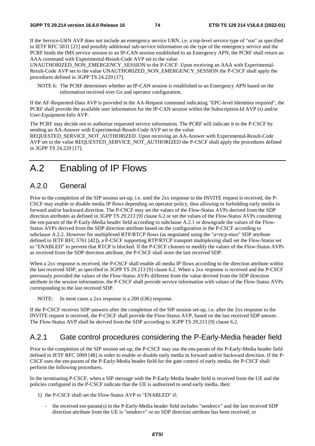If the Service-URN AVP does not include an emergency service URN, i.e. a top-level service type of "sos" as specified in IETF RFC 5031 [21] and possibly additional sub-service information on the type of the emergency service and the PCRF binds the IMS service session to an IP-CAN session established to an Emergency APN, the PCRF shall return an AAA command with Experimental-Result-Code AVP set to the value

UNAUTHORIZED\_NON\_EMERGENCY\_SESSION to the P-CSCF. Upon receiving an AAA with Experimental-Result-Code AVP set to the value UNAUTHORIZED\_NON\_EMERGENCY\_SESSION the P-CSCF shall apply the procedures defined in 3GPP TS 24.229 [17].

NOTE 6: The PCRF determines whether an IP-CAN session is established to an Emergency APN based on the information received over Gx and operator configuration.

If the AF-Requested-Data AVP is provided in the AA-Request command indicating "EPC-level Identities required", the PCRF shall provide the available user information for the IP-CAN session within the Subscription-Id AVP (s) and/or User-Equipment-Info AVP.

The PCRF may decide not to authorize requested service information. The PCRF will indicate it to the P-CSCF by sending an AA-Answer with Experimental-Result-Code AVP set to the value

REQUESTED\_SERVICE\_NOT\_AUTHORIZED. Upon receiving an AA-Answer with Experimental-Result-Code AVP set to the value REQUESTED\_SERVICE\_NOT\_AUTHORIZED the P-CSCF shall apply the procedures defined in 3GPP TS 24.229 [17].

## A.2 Enabling of IP Flows

#### A.2.0 General

Prior to the completion of the SIP session set-up, i.e. until the 2xx response to the INVITE request is received, the P-CSCF may enable or disable media IP flows depending on operator policy, thus allowing or forbidding early media in forward and/or backward direction. The P-CSCF may set the values of the Flow-Status AVPs derived from the SDP direction attributes as defined in 3GPP TS 29.213 [9] clause 6.2 or set the values of the Flow-Status AVPs considering the em-param of the P-Early-Media header field according to subclause A.2.1 or downgrade the values of the Flow-Status AVPs derived from the SDP direction attribute based on the configuration in the P-CSCF according to subclause A.2.2. However for multiplexed RTP/RTCP flows (as negotiated using the "a=rtcp-mux" SDP attribute defined in IETF RFC 5761 [42]), a P-CSCF supporting RTP/RTCP transport multiplexing shall set the Flow-Status set to "ENABLED" to prevent that RTCP is blocked. If the P-CSCF chooses to modify the values of the Flow-Status AVPs as received from the SDP direction attribute, the P-CSCF shall store the last received SDP.

When a 2xx response is received, the P-CSCF shall enable all media IP flows according to the direction attribute within the last received SDP, as specified in 3GPP TS 29.213 [9] clause 6.2. When a 2xx response is received and the P-CSCF previously provided the values of the Flow-Status AVPs different from the value derived from the SDP direction attribute in the session information, the P-CSCF shall provide service information with values of the Flow-Status AVPs corresponding to the last received SDP.

NOTE: In most cases a 2xx response is a 200 (OK) response.

If the P-CSCF receives SDP answers after the completion of the SIP session set-up, i.e. after the 2xx response to the INVITE request is received, the P-CSCF shall provide the Flow-Status AVP, based on the last received SDP answer. The Flow-Status AVP shall be derived from the SDP according to 3GPP TS 29.213 [9] clause 6.2.

#### A.2.1 Gate control procedures considering the P-Early-Media header field

Prior to the completion of the SIP session set-up, the P-CSCF may use the em-param of the P-Early-Media header field defined in IETF RFC 5009 [48] in order to enable or disable early media in forward and/or backward direction. If the P-CSCF uses the em-param of the P-Early-Media header field for the gate control of early media, the P-CSCF shall perform the following procedures.

In the terminating P-CSCF, when a SIP message with the P-Early-Media header field is received from the UE and the policies configured in the P-CSCF indicate that the UE is authorized to send early media, then:

- 1) the P-CSCF shall set the Flow-Status AVP to "ENABLED" if:
	- the received em-param(s) in the P-Early-Media header field includes "sendrecv" and the last received SDP direction attribute from the UE is "sendrecv" or no SDP direction attribute has been received; or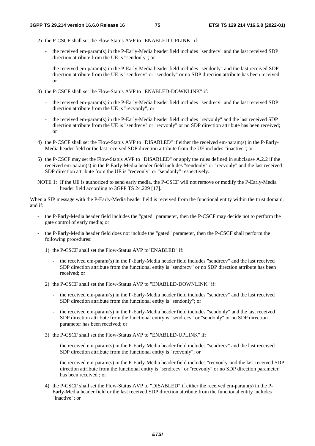- 2) the P-CSCF shall set the Flow-Status AVP to "ENABLED-UPLINK" if:
	- the received em-param(s) in the P-Early-Media header field includes "sendrecv" and the last received SDP direction attribute from the UE is "sendonly"; or
	- the received em-param(s) in the P-Early-Media header field includes "sendonly" and the last received SDP direction attribute from the UE is "sendrecv" or "sendonly" or no SDP direction attribute has been received; or
- 3) the P-CSCF shall set the Flow-Status AVP to "ENABLED-DOWNLINK" if:
	- the received em-param(s) in the P-Early-Media header field includes "sendrecv" and the last received SDP direction attribute from the UE is "recvonly"; or
	- the received em-param(s) in the P-Early-Media header field includes "recvonly" and the last received SDP direction attribute from the UE is "sendrecv" or "recvonly" or no SDP direction attribute has been received; or
- 4) the P-CSCF shall set the Flow-Status AVP to "DISABLED" if either the received em-param(s) in the P-Early-Media header field or the last received SDP direction attribute from the UE includes "inactive"; or
- 5) the P-CSCF may set the Flow-Status AVP to "DISABLED" or apply the rules defined in subclause A.2.2 if the received em-param(s) in the P-Early-Media header field includes "sendonly" or "recvonly" and the last received SDP direction attribute from the UE is "recvonly" or "sendonly" respectively.
- NOTE 1: If the UE is authorized to send early media, the P-CSCF will not remove or modify the P-Early-Media header field according to 3GPP TS 24.229 [17].

When a SIP message with the P-Early-Media header field is received from the functional entity within the trust domain, and if:

- the P-Early-Media header field includes the "gated" parameter, then the P-CSCF may decide not to perform the gate control of early media; or
- the P-Early-Media header field does not include the "gated" parameter, then the P-CSCF shall perform the following procedures:
	- 1) the P-CSCF shall set the Flow-Status AVP to"ENABLED" if:
		- the received em-param(s) in the P-Early-Media header field includes "sendrecv" and the last received SDP direction attribute from the functional entity is "sendrecv" or no SDP direction attribute has been received; or
	- 2) the P-CSCF shall set the Flow-Status AVP to "ENABLED-DOWNLINK" if:
		- the received em-param(s) in the P-Early-Media header field includes "sendrecv" and the last received SDP direction attribute from the functional entity is "sendonly"; or
		- the received em-param(s) in the P-Early-Media header field includes "sendonly" and the last received SDP direction attribute from the functional entity is "sendrecv" or "sendonly" or no SDP direction parameter has been received; or
	- 3) the P-CSCF shall set the Flow-Status AVP to "ENABLED-UPLINK" if:
		- the received em-param(s) in the P-Early-Media header field includes "sendrecv" and the last received SDP direction attribute from the functional entity is "recvonly"; or
		- the received em-param(s) in the P-Early-Media header field includes "recvonly"and the last received SDP direction attribute from the functional entity is "sendrecv" or "recvonly" or no SDP direction parameter has been received ; or
	- 4) the P-CSCF shall set the Flow-Status AVP to "DISABLED" if either the received em-param(s) in the P-Early-Media header field or the last received SDP direction attribute from the functional entity includes "inactive"; or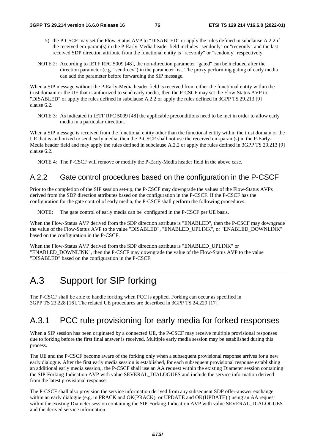- 5) the P-CSCF may set the Flow-Status AVP to "DISABLED" or apply the rules defined in subclause A.2.2 if the received em-param(s) in the P-Early-Media header field includes "sendonly" or "recvonly" and the last received SDP direction attribute from the functional entity is "recvonly" or "sendonly" respectively.
- NOTE 2: According to IETF RFC 5009 [48], the non-direction parameter "gated" can be included after the direction parameter (e.g. "sendrecv") in the parameter list. The proxy performing gating of early media can add the parameter before forwarding the SIP message.

When a SIP message without the P-Early-Media header field is received from either the functional entity within the trust domain or the UE that is authorized to send early media, then the P-CSCF may set the Flow-Status AVP to "DISABLED" or apply the rules defined in subclause A.2.2 or apply the rules defined in 3GPP TS 29.213 [9] clause 6.2.

NOTE 3: As indicated in IETF RFC 5009 [48] the applicable preconditions need to be met in order to allow early media in a particular direction.

When a SIP message is received from the functional entity other than the functional entity within the trust domain or the UE that is authorized to send early media, then the P-CSCF shall not use the received em-param(s) in the P-Early-Media header field and may apply the rules defined in subclause A.2.2 or apply the rules defined in 3GPP TS 29.213 [9] clause 6.2.

NOTE 4: The P-CSCF will remove or modify the P-Early-Media header field in the above case.

#### A.2.2 Gate control procedures based on the configuration in the P-CSCF

Prior to the completion of the SIP session set-up, the P-CSCF may downgrade the values of the Flow-Status AVPs derived from the SDP direction attributes based on the configuration in the P-CSCF. If the P-CSCF has the configuration for the gate control of early media, the P-CSCF shall perform the following procedures.

NOTE: The gate control of early media can be configured in the P-CSCF per UE basis.

When the Flow-Status AVP derived from the SDP direction attribute is "ENABLED", then the P-CSCF may downgrade the value of the Flow-Status AVP to the value "DISABLED", "ENABLED\_UPLINK", or "ENABLED\_DOWNLINK" based on the configuration in the P-CSCF.

When the Flow-Status AVP derived from the SDP direction attribute is "ENABLED\_UPLINK" or "ENABLED\_DOWNLINK", then the P-CSCF may downgrade the value of the Flow-Status AVP to the value "DISABLED" based on the configuration in the P-CSCF.

## A.3 Support for SIP forking

The P-CSCF shall be able to handle forking when PCC is applied. Forking can occur as specified in 3GPP TS 23.228 [16]. The related UE procedures are described in 3GPP TS 24.229 [17].

#### A.3.1 PCC rule provisioning for early media for forked responses

When a SIP session has been originated by a connected UE, the P-CSCF may receive multiple provisional responses due to forking before the first final answer is received. Multiple early media session may be established during this process.

The UE and the P-CSCF become aware of the forking only when a subsequent provisional response arrives for a new early dialogue. After the first early media session is established, for each subsequent provisional response establishing an additional early media session,, the P-CSCF shall use an AA request within the existing Diameter session containing the SIP-Forking-Indication AVP with value SEVERAL\_DIALOGUES and include the service information derived from the latest provisional response.

The P-CSCF shall also provision the service information derived from any subsequent SDP offer-answer exchange within an early dialogue (e.g. in PRACK and OK(PRACK), or UPDATE and OK(UPDATE) ) using an AA request within the existing Diameter session containing the SIP-Forking-Indication AVP with value SEVERAL\_DIALOGUES and the derived service information.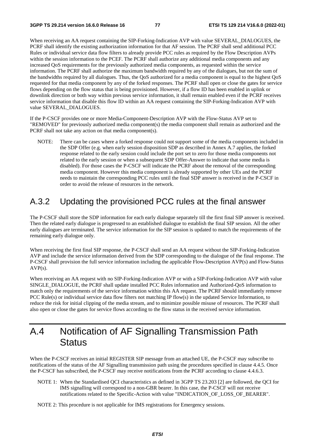When receiving an AA request containing the SIP-Forking-Indication AVP with value SEVERAL\_DIALOGUES, the PCRF shall identify the existing authorization information for that AF session. The PCRF shall send additional PCC Rules or individual service data flow filters to already provide PCC rules as required by the Flow Description AVPs within the session information to the PCEF. The PCRF shall authorize any additional media components and any increased QoS requirements for the previously authorized media components, as requested within the service information. The PCRF shall authorize the maximum bandwidth required by any of the dialogues, but not the sum of the bandwidths required by all dialogues. Thus, the QoS authorized for a media component is equal to the highest QoS requested for that media component by any of the forked responses. The PCRF shall open or close the gates for service flows depending on the flow status that is being provisioned. However, if a flow ID has been enabled in uplink or downlink direction or both way within previous service information, it shall remain enabled even if the PCRF receives service information that disable this flow ID within an AA request containing the SIP-Forking-Indication AVP with value SEVERAL\_DIALOGUES.

If the P-CSCF provides one or more Media-Component-Description AVP with the Flow-Status AVP set to "REMOVED" for previously authorized media component(s) the media component shall remain as authorized and the PCRF shall not take any action on that media component(s).

NOTE: There can be cases where a forked response could not support some of the media components included in the SDP Offer (e.g. when early session disposition SDP as described in Annex A.7 applies, the forked response related to the early session could include the port set to zero for those media components not related to the early session or when a subsequent SDP Offer-Answer to indicate that some media is disabled). For those cases the P-CSCF will indicate the PCRF about the removal of the corresponding media component. However this media component is already supported by other UEs and the PCRF needs to maintain the corresponding PCC rules until the final SDP answer is received in the P-CSCF in order to avoid the release of resources in the network.

### A.3.2 Updating the provisioned PCC rules at the final answer

The P-CSCF shall store the SDP information for each early dialogue separately till the first final SIP answer is received. Then the related early dialogue is progressed to an established dialogue to establish the final SIP session. All the other early dialogues are terminated. The service information for the SIP session is updated to match the requirements of the remaining early dialogue only.

When receiving the first final SIP response, the P-CSCF shall send an AA request without the SIP-Forking-Indication AVP and include the service information derived from the SDP corresponding to the dialogue of the final response. The P-CSCF shall provision the full service information including the applicable Flow-Description AVP(s) and Flow-Status AVP(s).

When receiving an AA request with no SIP-Forking-Indication AVP or with a SIP-Forking-Indication AVP with value SINGLE\_DIALOGUE, the PCRF shall update installed PCC Rules information and Authorized-QoS information to match only the requirements of the service information within this AA request. The PCRF should immediately remove PCC Rule(s) or individual service data flow filters not matching IP flow(s) in the updated Service Information, to reduce the risk for initial clipping of the media stream, and to minimize possible misuse of resources. The PCRF shall also open or close the gates for service flows according to the flow status in the received service information.

## A.4 Notification of AF Signalling Transmission Path **Status**

When the P-CSCF receives an initial REGISTER SIP message from an attached UE, the P-CSCF may subscribe to notifications of the status of the AF Signalling transmission path using the procedures specified in clause 4.4.5. Once the P-CSCF has subscribed, the P-CSCF may receive notifications from the PCRF according to clause 4.4.6.3.

- NOTE 1: When the Standardised QCI characteristics as defined in 3GPP TS 23.203 [2] are followed, the QCI for IMS signalling will correspond to a non-GBR bearer. In this case, the P-CSCF will not receive notifications related to the Specific-Action with value "INDICATION\_OF\_LOSS\_OF\_BEARER".
- NOTE 2: This procedure is not applicable for IMS registrations for Emergency sessions.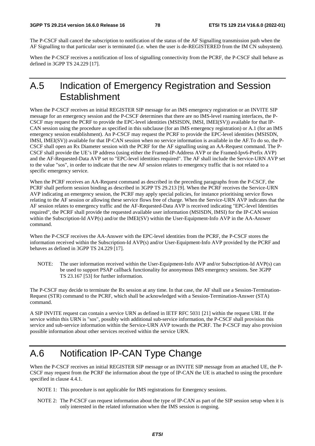The P-CSCF shall cancel the subscription to notification of the status of the AF Signalling transmission path when the AF Signalling to that particular user is terminated (i.e. when the user is de-REGISTERED from the IM CN subsystem).

When the P-CSCF receives a notification of loss of signalling connectivity from the PCRF, the P-CSCF shall behave as defined in 3GPP TS 24.229 [17].

## A.5 Indication of Emergency Registration and Session **Establishment**

When the P-CSCF receives an initial REGISTER SIP message for an IMS emergency registration or an INVITE SIP message for an emergency session and the P-CSCF determines that there are no IMS-level roaming interfaces, the P-CSCF may request the PCRF to provide the EPC-level identities (MSISDN, IMSI, IMEI(SV)) available for that IP-CAN session using the procedure as specified in this subclause (for an IMS emergency registration) or A.1 (for an IMS emergency session establishment). An P-CSCF may request the PCRF to provide the EPC-level identities (MSISDN, IMSI, IMEI(SV)) available for that IP-CAN session when no service information is available in the AF.To do so, the P-CSCF shall open an Rx Diameter session with the PCRF for the AF signalling using an AA-Request command. The P-CSCF shall provide the UE's IP address (using either the Framed-IP-Address AVP or the Framed-Ipv6-Prefix AVP) and the AF-Requested-Data AVP set to "EPC-level identities required". The AF shall include the Service-URN AVP set to the value "sos", in order to indicate that the new AF session relates to emergency traffic that is not related to a specific emergency service.

When the PCRF receives an AA-Request command as described in the preceding paragraphs from the P-CSCF, the PCRF shall perform session binding as described in 3GPP TS 29.213 [9]. When the PCRF receives the Service-URN AVP indicating an emergency session, the PCRF may apply special policies, for instance prioritising service flows relating to the AF session or allowing these service flows free of charge. When the Service-URN AVP indicates that the AF session relates to emergency traffic and the AF-Requested-Data AVP is received indicating "EPC-level Identities required", the PCRF shall provide the requested available user information (MSISDN, IMSI) for the IP-CAN session within the Subscription-Id AVP(s) and/or the IMEI(SV) within the User-Equipment-Info AVP in the AA-Answer command.

When the P-CSCF receives the AA-Answer with the EPC-level identities from the PCRF, the P-CSCF stores the information received within the Subscription-Id AVP(s) and/or User-Equipment-Info AVP provided by the PCRF and behaves as defined in 3GPP TS 24.229 [17].

NOTE: The user information received within the User-Equipment-Info AVP and/or Subscription-Id AVP(s) can be used to support PSAP callback functionality for anonymous IMS emergency sessions. See 3GPP TS 23.167 [53] for further information.

The P-CSCF may decide to terminate the Rx session at any time. In that case, the AF shall use a Session-Termination-Request (STR) command to the PCRF, which shall be acknowledged with a Session-Termination-Answer (STA) command.

A SIP INVITE request can contain a service URN as defined in IETF RFC 5031 [21] within the request URI. If the service within this URN is "sos", possibly with additional sub-service information, the P-CSCF shall provision this service and sub-service information within the Service-URN AVP towards the PCRF. The P-CSCF may also provision possible information about other services received within the service URN.

# A.6 Notification IP-CAN Type Change

When the P-CSCF receives an initial REGISTER SIP message or an INVITE SIP message from an attached UE, the P-CSCF may request from the PCRF the information about the type of IP-CAN the UE is attached to using the procedure specified in clause 4.4.1.

NOTE 1: This procedure is not applicable for IMS registrations for Emergency sessions.

NOTE 2: The P-CSCF can request information about the type of IP-CAN as part of the SIP session setup when it is only interested in the related information when the IMS session is ongoing.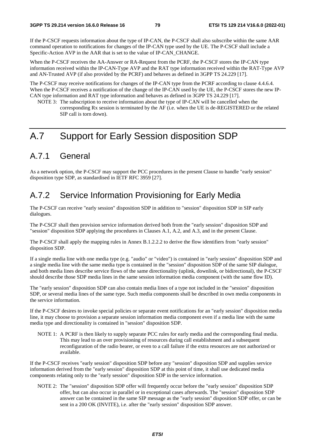If the P-CSCF requests information about the type of IP-CAN, the P-CSCF shall also subscribe within the same AAR command operation to notifications for changes of the IP-CAN type used by the UE. The P-CSCF shall include a Specific-Action AVP in the AAR that is set to the value of IP-CAN\_CHANGE.

When the P-CSCF receives the AA-Answer or RA-Request from the PCRF, the P-CSCF stores the IP-CAN type information received within the IP-CAN-Type AVP and the RAT type information received within the RAT-Type AVP and AN-Trusted AVP (if also provided by the PCRF) and behaves as defined in 3GPP TS 24.229 [17].

The P-CSCF may receive notifications for changes of the IP-CAN type from the PCRF according to clause 4.4.6.4. When the P-CSCF receives a notification of the change of the IP-CAN used by the UE, the P-CSCF stores the new IP-CAN type information and RAT type information and behaves as defined in 3GPP TS 24.229 [17].

NOTE 3: The subscription to receive information about the type of IP-CAN will be cancelled when the corresponding Rx session is terminated by the AF (i.e. when the UE is de-REGISTERED or the related SIP call is torn down).

# A.7 Support for Early Session disposition SDP

## A.7.1 General

As a network option, the P-CSCF may support the PCC procedures in the present Clause to handle "early session" disposition type SDP, as standardised in IETF RFC 3959 [27].

### A.7.2 Service Information Provisioning for Early Media

The P-CSCF can receive "early session" disposition SDP in addition to "session" disposition SDP in SIP early dialogues.

The P-CSCF shall then provision service information derived both from the "early session" disposition SDP and "session" disposition SDP applying the procedures in Clauses A.1, A.2, and A.3, and in the present Clause.

The P-CSCF shall apply the mapping rules in Annex B.1.2.2.2 to derive the flow identifiers from "early session" disposition SDP.

If a single media line with one media type (e.g. "audio" or "video") is contained in "early session" disposition SDP and a single media line with the same media type is contained in the "session" disposition SDP of the same SIP dialogue, and both media lines describe service flows of the same directionality (uplink, downlink, or bidirectional), the P-CSCF should describe those SDP media lines in the same session information media component (with the same flow ID).

The "early session" disposition SDP can also contain media lines of a type not included in the "session" disposition SDP, or several media lines of the same type. Such media components shall be described in own media components in the service information.

If the P-CSCF desires to invoke special policies or separate event notifications for an "early session" disposition media line, it may choose to provision a separate session information media component even if a media line with the same media type and directionality is contained in "session" disposition SDP.

NOTE 1: A PCRF is then likely to supply separate PCC rules for early media and the corresponding final media. This may lead to an over provisioning of resources during call establishment and a subsequent reconfiguration of the radio bearer, or even to a call failure if the extra resources are not authorized or available.

If the P-CSCF receives "early session" disposition SDP before any "session" disposition SDP and supplies service information derived from the "early session" disposition SDP at this point of time, it shall use dedicated media components relating only to the "early session" disposition SDP in the service information.

NOTE 2: The "session" disposition SDP offer will frequently occur before the "early session" disposition SDP offer, but can also occur in parallel or in exceptional cases afterwards. The "session" disposition SDP answer can be contained in the same SIP message as the "early session" disposition SDP offer, or can be sent in a 200 OK (INVITE), i.e. after the "early session" disposition SDP answer.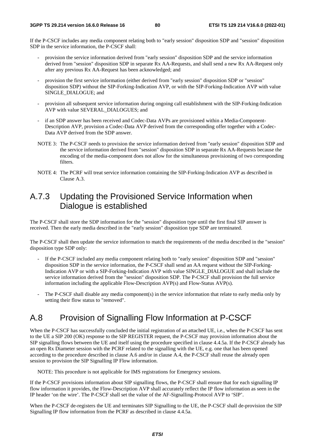If the P-CSCF includes any media component relating both to "early session" disposition SDP and "session" disposition SDP in the service information, the P-CSCF shall:

- provision the service information derived from "early session" disposition SDP and the service information derived from "session" disposition SDP in separate Rx AA-Requests, and shall send a new Rx AA-Request only after any previous Rx AA-Request has been acknowledged; and
- provision the first service information (either derived from "early session" disposition SDP or "session" disposition SDP) without the SIP-Forking-Indication AVP, or with the SIP-Forking-Indication AVP with value SINGLE\_DIALOGUE; and
- provision all subsequent service information during ongoing call establishment with the SIP-Forking-Indication AVP with value SEVERAL\_DIALOGUES; and
- if an SDP answer has been received and Codec-Data AVPs are provisioned within a Media-Component-Description AVP, provision a Codec-Data AVP derived from the corresponding offer together with a Codec-Data AVP derived from the SDP answer.
- NOTE 3: The P-CSCF needs to provision the service information derived from "early session" disposition SDP and the service information derived from "session" disposition SDP in separate Rx AA-Requests because the encoding of the media-component does not allow for the simultaneous provisioning of two corresponding filters.
- NOTE 4: The PCRF will treat service information containing the SIP-Forking-Indication AVP as described in Clause A.3.

#### A.7.3 Updating the Provisioned Service Information when Dialogue is established

The P-CSCF shall store the SDP information for the "session" disposition type until the first final SIP answer is received. Then the early media described in the "early session" disposition type SDP are terminated.

The P-CSCF shall then update the service information to match the requirements of the media described in the "session" disposition type SDP only:

- If the P-CSCF included any media component relating both to "early session" disposition SDP and "session" disposition SDP in the service information, the P-CSCF shall send an AA request without the SIP-Forking-Indication AVP or with a SIP-Forking-Indication AVP with value SINGLE\_DIALOGUE and shall include the service information derived from the "session" disposition SDP. The P-CSCF shall provision the full service information including the applicable Flow-Description AVP(s) and Flow-Status AVP(s).
- The P-CSCF shall disable any media component(s) in the service information that relate to early media only by setting their flow status to "removed".

## A.8 Provision of Signalling Flow Information at P-CSCF

When the P-CSCF has successfully concluded the initial registration of an attached UE, i.e., when the P-CSCF has sent to the UE a SIP 200 (OK) response to the SIP REGISTER request, the P-CSCF may provision information about the SIP signalling flows between the UE and itself using the procedure specified in clause 4.4.5a. If the P-CSCF already has an open Rx Diameter session with the PCRF related to the signalling with the UE, e.g. one that has been opened according to the procedure described in clause A.6 and/or in clause A.4, the P-CSCF shall reuse the already open session to provision the SIP Signalling IP Flow information.

NOTE: This procedure is not applicable for IMS registrations for Emergency sessions.

If the P-CSCF provisions information about SIP signalling flows, the P-CSCF shall ensure that for each signalling IP flow information it provides, the Flow-Description AVP shall accurately reflect the IP flow information as seen in the IP header 'on the wire'. The P-CSCF shall set the value of the AF-Signalling-Protocol AVP to 'SIP'.

When the P-CSCF de-registers the UE and terminates SIP Signalling to the UE, the P-CSCF shall de-provision the SIP Signalling IP flow information from the PCRF as described in clause 4.4.5a.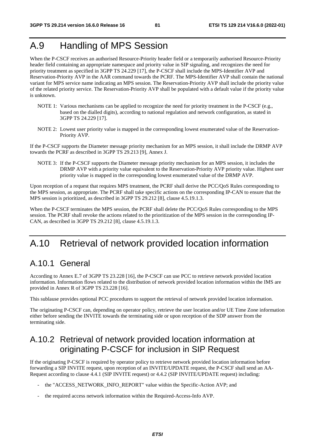# A.9 Handling of MPS Session

When the P-CSCF receives an authorised Resource-Priority header field or a temporarily authorised Resource-Priority header field containing an appropriate namespace and priority value in SIP signaling, and recognizes the need for priority treatment as specified in 3GPP TS 24.229 [17], the P-CSCF shall include the MPS-Identifier AVP and Reservation-Priority AVP in the AAR command towards the PCRF. The MPS-Identifier AVP shall contain the national variant for MPS service name indicating an MPS session. The Reservation-Priority AVP shall include the priority value of the related priority service. The Reservation-Priority AVP shall be populated with a default value if the priority value is unknown.

- NOTE 1: Various mechanisms can be applied to recognize the need for priority treatment in the P-CSCF (e.g., based on the dialled digits), according to national regulation and network configuration, as stated in 3GPP TS 24.229 [17].
- NOTE 2: Lowest user priority value is mapped in the corresponding lowest enumerated value of the Reservation-Priority AVP.

If the P-CSCF supports the Diameter message priority mechanism for an MPS session, it shall include the DRMP AVP towards the PCRF as described in 3GPP TS 29.213 [9], Annex J.

NOTE 3: If the P-CSCF supports the Diameter message priority mechanism for an MPS session, it includes the DRMP AVP with a priority value equivalent to the Reservation-Priority AVP priority value. Highest user priority value is mapped in the corresponding lowest enumerated value of the DRMP AVP.

Upon reception of a request that requires MPS treatment, the PCRF shall derive the PCC/QoS Rules corresponding to the MPS session, as appropriate. The PCRF shall take specific actions on the corresponding IP-CAN to ensure that the MPS session is prioritized, as described in 3GPP TS 29.212 [8], clause 4.5.19.1.3.

When the P-CSCF terminates the MPS session, the PCRF shall delete the PCC/QoS Rules corresponding to the MPS session. The PCRF shall revoke the actions related to the prioritization of the MPS session in the corresponding IP-CAN, as described in 3GPP TS 29.212 [8], clause 4.5.19.1.3.

## A.10 Retrieval of network provided location information

## A.10.1 General

According to Annex E.7 of 3GPP TS 23.228 [16], the P-CSCF can use PCC to retrieve network provided location information. Information flows related to the distribution of network provided location information within the IMS are provided in Annex R of 3GPP TS 23.228 [16].

This sublause provides optional PCC procedures to support the retrieval of network provided location information.

The originating P-CSCF can, depending on operator policy, retrieve the user location and/or UE Time Zone information either before sending the INVITE towards the terminating side or upon reception of the SDP answer from the terminating side.

## A.10.2 Retrieval of network provided location information at originating P-CSCF for inclusion in SIP Request

If the originating P-CSCF is required by operator policy to retrieve network provided location information before forwarding a SIP INVITE request, upon reception of an INVITE/UPDATE request, the P-CSCF shall send an AA-Request according to clause 4.4.1 (SIP INVITE request) or 4.4.2 (SIP INVITE/UPDATE request) including:

- the "ACCESS\_NETWORK\_INFO\_REPORT" value within the Specific-Action AVP; and
- the required access network information within the Required-Access-Info AVP.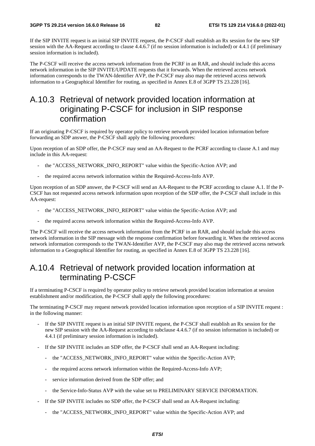If the SIP INVITE request is an initial SIP INVITE request, the P-CSCF shall establish an Rx session for the new SIP session with the AA-Request according to clause 4.4.6.7 (if no session information is included) or 4.4.1 (if preliminary session information is included).

The P-CSCF will receive the access network information from the PCRF in an RAR, and should include this access network information in the SIP INVITE/UPDATE requests that it forwards. When the retrieved access network information corresponds to the TWAN-Identifier AVP, the P-CSCF may also map the retrieved access network information to a Geographical Identifier for routing, as specified in Annex E.8 of 3GPP TS 23.228 [16].

## A.10.3 Retrieval of network provided location information at originating P-CSCF for inclusion in SIP response confirmation

If an originating P-CSCF is required by operator policy to retrieve network provided location information before forwarding an SDP answer, the P-CSCF shall apply the following procedures:

Upon reception of an SDP offer, the P-CSCF may send an AA-Request to the PCRF according to clause A.1 and may include in this AA-request:

- the "ACCESS\_NETWORK\_INFO\_REPORT" value within the Specific-Action AVP; and
- the required access network information within the Required-Access-Info AVP.

Upon reception of an SDP answer, the P-CSCF will send an AA-Request to the PCRF according to clause A.1. If the P-CSCF has not requested access network information upon reception of the SDP offer, the P-CSCF shall include in this AA-request:

- the "ACCESS\_NETWORK\_INFO\_REPORT" value within the Specific-Action AVP; and
- the required access network information within the Required-Access-Info AVP.

The P-CSCF will receive the access network information from the PCRF in an RAR, and should include this access network information in the SIP message with the response confirmation before forwarding it. When the retrieved access network information corresponds to the TWAN-Identifier AVP, the P-CSCF may also map the retrieved access network information to a Geographical Identifier for routing, as specified in Annex E.8 of 3GPP TS 23.228 [16].

### A.10.4 Retrieval of network provided location information at terminating P-CSCF

If a terminating P-CSCF is required by operator policy to retrieve network provided location information at session establishment and/or modification, the P-CSCF shall apply the following procedures:

The terminating P-CSCF may request network provided location information upon reception of a SIP INVITE request : in the following manner:

- If the SIP INVITE request is an initial SIP INVITE request, the P-CSCF shall establish an Rx session for the new SIP session with the AA-Request according to subclause 4.4.6.7 (if no session information is included) or 4.4.1 (if preliminary session information is included).
- If the SIP INVITE includes an SDP offer, the P-CSCF shall send an AA-Request including:
	- the "ACCESS\_NETWORK\_INFO\_REPORT" value within the Specific-Action AVP;
	- the required access network information within the Required-Access-Info AVP;
	- service information derived from the SDP offer; and
	- the Service-Info-Status AVP with the value set to PRELIMINARY SERVICE INFORMATION.
- If the SIP INVITE includes no SDP offer, the P-CSCF shall send an AA-Request including:
	- the "ACCESS\_NETWORK\_INFO\_REPORT" value within the Specific-Action AVP; and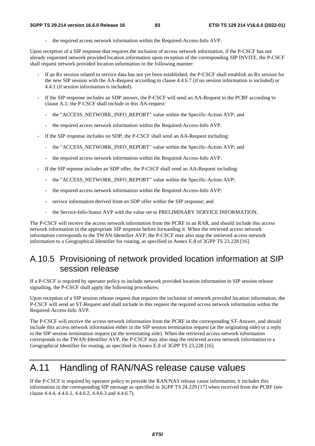the required access network information within the Required-Access-Info AVP.

Upon reception of a SIP response that requires the inclusion of access network information, if the P-CSCF has not already requested network provided location information upon reception of the corresponding SIP INVITE, the P-CSCF shall request network provided location information in the following manner:

- If an Rx session related to service data has not yet been established, the P-CSCF shall establish an Rx session for the new SIP session with the AA-Request according to clause 4.4.6.7 (if no session information is included) or 4.4.1 (if session information is included).
- If the SIP response includes an SDP answer, the P-CSCF will send an AA-Request to the PCRF according to clause A.1; the P-CSCF shall include in this AA-request:
	- the "ACCESS\_NETWORK\_INFO\_REPORT" value within the Specific-Action AVP; and
	- the required access network information within the Required-Access-Info AVP.
- If the SIP response includes no SDP, the P-CSCF shall send an AA-Request including:
	- the "ACCESS\_NETWORK\_INFO\_REPORT" value within the Specific-Action AVP; and
	- the required access network information within the Required-Access-Info AVP.
- If the SIP reponse includes an SDP offer, the P-CSCF shall send an AA-Request including:
	- the "ACCESS\_NETWORK\_INFO\_REPORT" value within the Specific-Action AVP;
	- the required access network information within the Required-Access-Info AVP;
	- service information derived from an SDP offer within the SIP response; and
	- the Service-Info-Status AVP with the value set to PRELIMINARY SERVICE INFORMATION.

The P-CSCF will receive the access network information from the PCRF in an RAR, and should include this access network information in the appropriate SIP response before forwarding it. When the retrieved access network information corresponds to the TWAN-Identifier AVP, the P-CSCF may also map the retrieved access network information to a Geographical Identifier for routing, as specified in Annex E.8 of 3GPP TS 23.228 [16].

## A.10.5 Provisioning of network provided location information at SIP session release

If a P-CSCF is required by operator policy to include network provided location information in SIP session release signalling, the P-CSCF shall apply the following procedures:

Upon reception of a SIP session release request that requires the inclusion of network provided location information, the P-CSCF will send an ST-Request and shall include in this request the required access network information within the Required-Access-Info AVP.

The P-CSCF will receive the access network information from the PCRF in the corresponding ST-Answer, and should include this access network information either in the SIP session termination request (at the originating side) or a reply to the SIP session termination request (at the terminating side). When the retrieved access network information corresponds to the TWAN-Identifier AVP, the P-CSCF may also map the retrieved access network information to a Geographical Identifier for routing, as specified in Annex E.8 of 3GPP TS 23.228 [16].

## A.11 Handling of RAN/NAS release cause values

If the P-CSCF is required by operator policy to provide the RAN/NAS release cause information, it includes this information in the corresponding SIP message as specified in 3GPP TS 24.229 [17] when received from the PCRF (see clause 4.4.4, 4.4.6.1, 4.4.6.2, 4.4.6.3 and 4.4.6.7).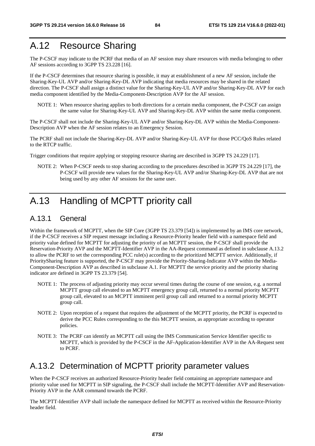## A.12 Resource Sharing

The P-CSCF may indicate to the PCRF that media of an AF session may share resources with media belonging to other AF sessions according to 3GPP TS 23.228 [16].

If the P-CSCF determines that resource sharing is possible, it may at establishment of a new AF session, include the Sharing-Key-UL AVP and/or Sharing-Key-DL AVP indicating that media resources may be shared in the related direction. The P-CSCF shall assign a distinct value for the Sharing-Key-UL AVP and/or Sharing-Key-DL AVP for each media component identified by the Media-Component-Description AVP for the AF session.

NOTE 1: When resource sharing applies to both directions for a certain media component, the P-CSCF can assign the same value for Sharing-Key-UL AVP and Sharing-Key-DL AVP within the same media component.

The P-CSCF shall not include the Sharing-Key-UL AVP and/or Sharing-Key-DL AVP within the Media-Component-Description AVP when the AF session relates to an Emergency Session.

The PCRF shall not include the Sharing-Key-DL AVP and/or Sharing-Key-UL AVP for those PCC/QoS Rules related to the RTCP traffic.

Trigger conditions that require applying or stopping resource sharing are described in 3GPP TS 24.229 [17].

NOTE 2: When P-CSCF needs to stop sharing according to the procedures described in 3GPP TS 24.229 [17], the P-CSCF will provide new values for the Sharing-Key-UL AVP and/or Sharing-Key-DL AVP that are not being used by any other AF sessions for the same user.

# A.13 Handling of MCPTT priority call

#### A.13.1 General

Within the framework of MCPTT, when the SIP Core (3GPP TS 23.379 [54]) is implemented by an IMS core network, if the P-CSCF receives a SIP request message including a Resource-Priority header field with a namespace field and priority value defined for MCPTT for adjusting the priority of an MCPTT session, the P-CSCF shall provide the Reservation-Priority AVP and the MCPTT-Identifier AVP in the AA-Request command as defined in subclause A.13.2 to allow the PCRF to set the corresponding PCC rule(s) according to the prioritized MCPTT service. Additionally, if PrioritySharing feature is supported, the P-CSCF may provide the Priority-Sharing-Indicator AVP within the Media-Component-Description AVP as described in subclause A.1. For MCPTT the service priority and the priority sharing indicator are defined in 3GPP TS 23.379 [54].

- NOTE 1: The process of adjusting priority may occur several times during the course of one session, e.g. a normal MCPTT group call elevated to an MCPTT emergency group call, returned to a normal priority MCPTT group call, elevated to an MCPTT imminent peril group call and returned to a normal priority MCPTT group call.
- NOTE 2: Upon reception of a request that requires the adjustment of the MCPTT priority, the PCRF is expected to derive the PCC Rules corresponding to the this MCPTT session, as appropriate according to operator policies.
- NOTE 3: The PCRF can identify an MCPTT call using the IMS Communication Service Identifier specific to MCPTT, which is provided by the P-CSCF in the AF-Application-Identifier AVP in the AA-Request sent to PCRF.

### A.13.2 Determination of MCPTT priority parameter values

When the P-CSCF receives an authorized Resource-Priority header field containing an appropriate namespace and priority value used for MCPTT in SIP signaling, the P-CSCF shall include the MCPTT-Identifier AVP and Reservation-Priority AVP in the AAR command towards the PCRF.

The MCPTT-Identifier AVP shall include the namespace defined for MCPTT as received within the Resource-Priority header field.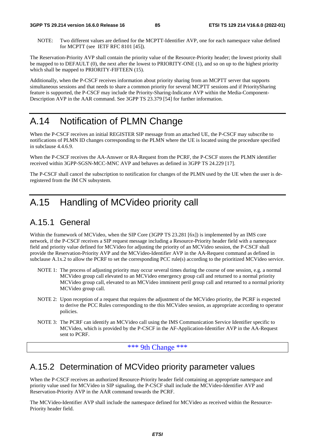NOTE: Two different values are defined for the MCPTT-Identifier AVP, one for each namespace value defined for MCPTT (see IETF RFC 8101 [45]).

The Reservation-Priority AVP shall contain the priority value of the Resource-Priority header; the lowest priority shall be mapped to to DEFAULT (0), the next after the lowest to PRIORITY-ONE (1), and so on up to the highest priority which shall be mapped to PRIORITY-FIFTEEN (15).

Additionally, when the P-CSCF receives information about priority sharing from an MCPTT server that supports simultaneous sessions and that needs to share a common priority for several MCPTT sessions and if PrioritySharing feature is supported, the P-CSCF may include the Priority-Sharing-Indicator AVP within the Media-Component-Description AVP in the AAR command. See 3GPP TS 23.379 [54] for further information.

## A.14 Notification of PLMN Change

When the P-CSCF receives an initial REGISTER SIP message from an attached UE, the P-CSCF may subscribe to notifications of PLMN ID changes corresponding to the PLMN where the UE is located using the procedure specified in subclause 4.4.6.9.

When the P-CSCF receives the AA-Answer or RA-Request from the PCRF, the P-CSCF stores the PLMN identifier received within 3GPP-SGSN-MCC-MNC AVP and behaves as defined in 3GPP TS 24.229 [17].

The P-CSCF shall cancel the subscription to notification for changes of the PLMN used by the UE when the user is deregistered from the IM CN subsystem.

# A.15 Handling of MCVideo priority call

## A.15.1 General

Within the framework of MCVideo, when the SIP Core (3GPP TS 23.281 [6x]) is implemented by an IMS core network, if the P-CSCF receives a SIP request message including a Resource-Priority header field with a namespace field and priority value defined for MCVideo for adjusting the priority of an MCVideo session, the P-CSCF shall provide the Reservation-Priority AVP and the MCVideo-Identifier AVP in the AA-Request command as defined in subclause A.1x.2 to allow the PCRF to set the corresponding PCC rule(s) according to the prioritized MCVideo service.

- NOTE 1: The process of adjusting priority may occur several times during the course of one session, e.g. a normal MCVideo group call elevated to an MCVideo emergency group call and returned to a normal priority MCVideo group call, elevated to an MCVideo imminent peril group call and returned to a normal priority MCVideo group call.
- NOTE 2: Upon reception of a request that requires the adjustment of the MCVideo priority, the PCRF is expected to derive the PCC Rules corresponding to the this MCVideo session, as appropriate according to operator policies.
- NOTE 3: The PCRF can identify an MCVideo call using the IMS Communication Service Identifier specific to MCVideo, which is provided by the P-CSCF in the AF-Application-Identifier AVP in the AA-Request sent to PCRF.

\*\*\* 9th Change \*\*\*

### A.15.2 Determination of MCVideo priority parameter values

When the P-CSCF receives an authorized Resource-Priority header field containing an appropriate namespace and priority value used for MCVideo in SIP signaling, the P-CSCF shall include the MCVideo-Identifier AVP and Reservation-Priority AVP in the AAR command towards the PCRF.

The MCVideo-Identifier AVP shall include the namespace defined for MCVideo as received within the Resource-Priority header field.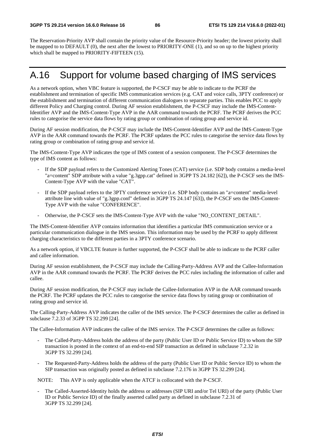The Reservation-Priority AVP shall contain the priority value of the Resource-Priority header; the lowest priority shall be mapped to to DEFAULT (0), the next after the lowest to PRIORITY-ONE (1), and so on up to the highest priority which shall be mapped to PRIORITY-FIFTEEN (15).

## A.16 Support for volume based charging of IMS services

As a network option, when VBC feature is supported, the P-CSCF may be able to indicate to the PCRF the establishment and termination of specific IMS communication services (e.g. CAT and voice calls, 3PTY conference) or the establishment and termination of different communication dialogues to separate parties. This enables PCC to apply different Policy and Charging control. During AF session establishment, the P-CSCF may include the IMS-Content-Identifier AVP and the IMS-Content-Type AVP in the AAR command towards the PCRF. The PCRF derives the PCC rules to categorise the service data flows by rating group or combination of rating group and service id.

During AF session modification, the P-CSCF may include the IMS-Content-Identifier AVP and the IMS-Content-Type AVP in the AAR command towards the PCRF. The PCRF updates the PCC rules to categorise the service data flows by rating group or combination of rating group and service id.

The IMS-Content-Type AVP indicates the type of IMS content of a session component. The P-CSCF determines the type of IMS content as follows:

- If the SDP payload refers to the Customized Alerting Tones (CAT) service (i.e. SDP body contains a media-level "a=content" SDP attribute with a value "g.3gpp.cat" defined in 3GPP TS 24.182 [62]), the P-CSCF sets the IMS-Content-Type AVP with the value "CAT".
- If the SDP payload refers to the 3PTY conference service (i.e. SDP body contains an "a=content" media-level attribute line with value of "g.3gpp.conf" defined in 3GPP TS 24.147 [63]), the P-CSCF sets the IMS-Content-Type AVP with the value "CONFERENCE".
- Otherwise, the P-CSCF sets the IMS-Content-Type AVP with the value "NO\_CONTENT\_DETAIL".

The IMS-Content-Identifier AVP contains information that identifies a particular IMS communication service or a particular communication dialogue in the IMS session. This information may be used by the PCRF to apply different charging characteristics to the different parties in a 3PTY conference scenario.

As a network option, if VBCLTE feature is further supported, the P-CSCF shall be able to indicate to the PCRF caller and callee information.

During AF session establishment, the P-CSCF may include the Calling-Party-Address AVP and the Callee-Information AVP in the AAR command towards the PCRF. The PCRF derives the PCC rules including the information of caller and callee.

During AF session modification, the P-CSCF may include the Callee-Information AVP in the AAR command towards the PCRF. The PCRF updates the PCC rules to categorise the service data flows by rating group or combination of rating group and service id.

The Calling-Party-Address AVP indicates the caller of the IMS service. The P-CSCF determines the caller as defined in subclause 7.2.33 of 3GPP TS 32.299 [24].

The Callee-Information AVP indicates the callee of the IMS service. The P-CSCF determines the callee as follows:

- The Called-Party-Address holds the address of the party (Public User ID or Public Service ID) to whom the SIP transaction is posted in the context of an end-to-end SIP transaction as defined in subclause 7.2.32 in 3GPP TS 32.299 [24].
- The Requested-Party-Address holds the address of the party (Public User ID or Public Service ID) to whom the SIP transaction was originally posted as defined in subclause 7.2.176 in 3GPP TS 32.299 [24].

NOTE: This AVP is only applicable when the ATCF is collocated with the P-CSCF.

The Called-Asserted-Identity holds the address or addresses (SIP URI and/or Tel URI) of the party (Public User ID or Public Service ID) of the finally asserted called party as defined in subclause 7.2.31 of 3GPP TS 32.299 [24].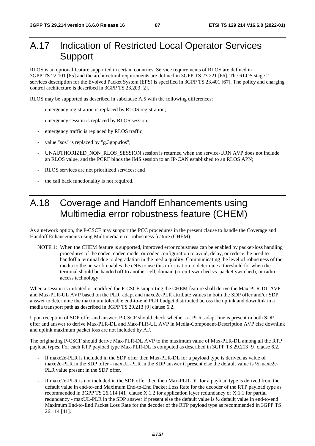# A.17 Indication of Restricted Local Operator Services Support

RLOS is an optional feature supported in certain countries. Service requirements of RLOS are defined in 3GPP TS 22.101 [65] and the architectural requirements are defined in 3GPP TS 23.221 [66]. The RLOS stage 2 services description for the Evolved Packet System (EPS) is specified in 3GPP TS 23.401 [67]. The policy and charging control architecture is described in 3GPP TS 23.203 [2].

RLOS may be supported as described in subclause A.5 with the following differences:

- emergency registration is replaced by RLOS registration;
- emergency session is replaced by RLOS session;
- emergency traffic is replaced by RLOS traffic;
- value "sos" is replaced by "g.3gpp.rlos";
- UNAUTHORIZED\_NON\_RLOS\_SESSION session is returned when the service-URN AVP does not include an RLOS value, and the PCRF binds the IMS session to an IP-CAN established to an RLOS APN;
- RLOS services are not prioritized services; and
- the call back functionality is not required.

## A.18 Coverage and Handoff Enhancements using Multimedia error robustness feature (CHEM)

As a network option, the P-CSCF may support the PCC procedures in the present clause to handle the Coverage and Handoff Enhancements using Multimedia error robustness feature (CHEM)

NOTE 1: When the CHEM feature is supported, improved error robustness can be enabled by packet-loss handling procedures of the codec, codec mode, or codec configuration to avoid, delay, or reduce the need to handoff a terminal due to degradation in the media quality. Communicating the level of robustness of the media to the network enables the eNB to use this information to determine a threshold for when the terminal should be handed off to another cell, domain (circuit-switched vs. packet-switched), or radio access technology.

When a session is initiated or modified the P-CSCF supporting the CHEM feature shall derive the Max-PLR-DL AVP and Max-PLR-UL AVP based on the PLR\_adapt and maxe2e-PLR attribute values in both the SDP offer and/or SDP answer to determine the maximum tolerable end-to-end PLR budget distributed across the uplink and downlink in a media transport path as described in 3GPP TS 29.213 [9] clause 6.2.

Upon reception of SDP offer and answer, P-CSCF should check whether a= PLR adapt line is present in both SDP offer and answer to derive Max-PLR-DL and Max-PLR-UL AVP in Media-Component-Description AVP else downlink and uplink maximum packet loss are not included by AF.

The originating P-CSCF should derive Max-PLR-DL AVP to the maximum value of Max-PLR-DL among all the RTP payload types. For each RTP payload type Max-PLR-DL is computed as described in 3GPP TS 29.213 [9] clause 6.2.

- If maxe2e-PLR is included in the SDP offer then Max-PLR-DL for a payload type is derived as value of maxe2e-PLR in the SDP offer - maxUL-PLR in the SDP answer if present else the default value is ½ maxe2e-PLR value present in the SDP offer.
- If maxe2e-PLR is not included in the SDP offer then then Max-PLR-DL for a payload type is derived from the default value in end-to-end Maximum End-to-End Packet Loss Rate for the decoder of the RTP payload type as recommended in 3GPP TS 26.114 [41] clause X.1.2 for application layer redundancy or X.1.1 for partial redundancy - maxUL-PLR in the SDP answer if present else the default value is ½ default value in end-to-end Maximum End-to-End Packet Loss Rate for the decoder of the RTP payload type as recommended in 3GPP TS 26.114 [41].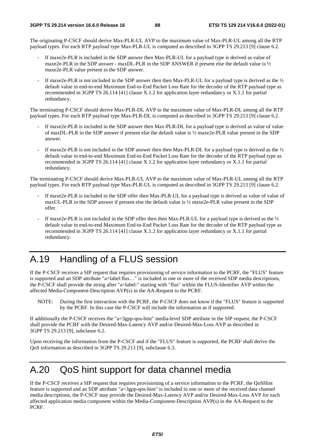The originating P-CSCF should derive Max-PLR-UL AVP to the maximum value of Max-PLR-UL among all the RTP payload types. For each RTP payload type Max-PLR-UL is computed as described in 3GPP TS 29.213 [9] clause 6.2.

- If maxe2e-PLR is included in the SDP answer then Max-PLR-UL for a payload type is derived as value of maxe2e-PLR in the SDP answer - maxDL-PLR in the SDP ANSWER if present else the default value is  $\frac{1}{2}$ maxe2e-PLR value present in the SDP answer.
- If maxe2e-PLR is not included in the SDP answer then then Max-PLR-UL for a payload type is derived as the  $\frac{1}{2}$ default value in end-to-end Maximum End-to-End Packet Loss Rate for the decoder of the RTP payload type as recommended in 3GPP TS 26.114 [41] clause X.1.2 for application layer redundancy or X.1.1 for partial redundancy.

The terminating P-CSCF should derive Max-PLR-DL AVP to the maximum value of Max-PLR-DL among all the RTP payload types. For each RTP payload type Max-PLR-DL is computed as described in 3GPP TS 29.213 [9] clause 6.2.

- If maxe2e-PLR is included in the SDP answer then Max-PLR-DL for a payload type is derived as value of value of maxDL-PLR in the SDP answer if present else the default value is ½ maxe2e-PLR value present in the SDP answer.
- If maxe2e-PLR is not included in the SDP answer then then Max-PLR-DL for a payload type is derived as the  $\frac{1}{2}$ default value in end-to-end Maximum End-to-End Packet Loss Rate for the decoder of the RTP payload type as recommended in 3GPP TS 26.114 [41] clause X.1.2 for application layer redundancy or X.1.1 for partial redundancy.

The terminating P-CSCF should derive Max-PLR-UL AVP to the maximum value of Max-PLR-UL among all the RTP payload types. For each RTP payload type Max-PLR-UL is computed as described in 3GPP TS 29.213 [9] clause 6.2.

- If maxe2e-PLR is included in the SDP offer then Max-PLR-UL for a payload type is derived as value of value of maxUL-PLR in the SDP answer if present else the default value is ½ maxe2e-PLR value present in the SDP offer.
- If maxe2e-PLR is not included in the SDP offer then then Max-PLR-UL for a payload type is derived as the  $\frac{1}{2}$ default value in end-to-end Maximum End-to-End Packet Loss Rate for the decoder of the RTP payload type as recommended in 3GPP TS 26.114 [41] clause X.1.2 for application layer redundancy or X.1.1 for partial redundancy.

# A.19 Handling of a FLUS session

If the P-CSCF receives a SIP request that requires provisioning of service information to the PCRF, the "FLUS" feature is supported and an SDP attribute "a=label:flus…" is included in one or more of the received SDP media descriptions, the P-CSCF shall provide the string after "a=label:" starting with "flus" within the FLUS-Identifier AVP within the affected Media-Component-Description AVP(s) in the AA-Request to the PCRF.

NOTE: During the first interaction with the PCRF, the P-CSCF does not know if the "FLUS" feature is supported by the PCRF. In this case the P-CSCF will include the information as if supported.

If additionally the P-CSCF receives the "a=3gpp-qos-hint" media-level SDP attribute in the SIP request, the P-CSCF shall provide the PCRF with the Desired-Max-Latency AVP and/or Desired-Max-Loss AVP as described in 3GPP TS 29.213 [9], subclause 6.2.

Upon receiving the information from the P-CSCF and if the "FLUS" feature is supported, the PCRF shall derive the QoS information as described in 3GPP TS 29.213 [9], subclause 6.3.

## A.20 QoS hint support for data channel media

If the P-CSCF receives a SIP request that requires provisioning of a service information to the PCRF, the QoSHint feature is supported and an SDP attribute "a=3gpp-qos-hint" is included in one or more of the received data channel media descriptions, the P-CSCF may provide the Desired-Max-Latency AVP and/or Desired-Max-Loss AVP for each affected application media component within the Media-Component-Description AVP(s) in the AA-Request to the PCRF.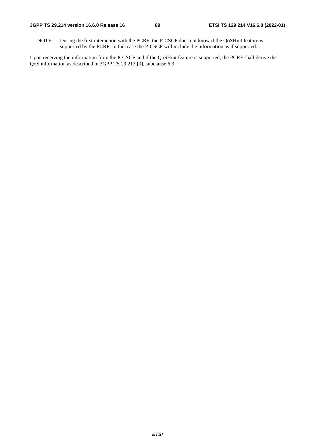NOTE: During the first interaction with the PCRF, the P-CSCF does not know if the QoSHint feature is supported by the PCRF. In this case the P-CSCF will include the information as if supported.

Upon receiving the information from the P-CSCF and if the QoSHint feature is supported, the PCRF shall derive the QoS information as described in 3GPP TS 29.213 [9], subclause 6.3.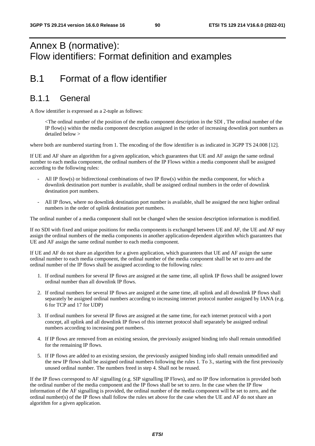## Annex B (normative): Flow identifiers: Format definition and examples

## B.1 Format of a flow identifier

#### B.1.1 General

A flow identifier is expressed as a 2-tuple as follows:

 <The ordinal number of the position of the media component description in the SDI , The ordinal number of the IP flow(s) within the media component description assigned in the order of increasing downlink port numbers as detailed below >

where both are numbered starting from 1. The encoding of the flow identifier is as indicated in 3GPP TS 24.008 [12].

If UE and AF share an algorithm for a given application, which guarantees that UE and AF assign the same ordinal number to each media component, the ordinal numbers of the IP Flows within a media component shall be assigned according to the following rules:

- All IP flow(s) or bidirectional combinations of two IP flow(s) within the media component, for which a downlink destination port number is available, shall be assigned ordinal numbers in the order of downlink destination port numbers.
- All IP flows, where no downlink destination port number is available, shall be assigned the next higher ordinal numbers in the order of uplink destination port numbers.

The ordinal number of a media component shall not be changed when the session description information is modified.

If no SDI with fixed and unique positions for media components is exchanged between UE and AF, the UE and AF may assign the ordinal numbers of the media components in another application-dependent algorithm which guarantees that UE and AF assign the same ordinal number to each media component.

If UE and AF do not share an algorithm for a given application, which guarantees that UE and AF assign the same ordinal number to each media component, the ordinal number of the media component shall be set to zero and the ordinal number of the IP flows shall be assigned according to the following rules:

- 1. If ordinal numbers for several IP flows are assigned at the same time, all uplink IP flows shall be assigned lower ordinal number than all downlink IP flows.
- 2. If ordinal numbers for several IP flows are assigned at the same time, all uplink and all downlink IP flows shall separately be assigned ordinal numbers according to increasing internet protocol number assigned by IANA (e.g. 6 for TCP and 17 for UDP)
- 3. If ordinal numbers for several IP flows are assigned at the same time, for each internet protocol with a port concept, all uplink and all downlink IP flows of this internet protocol shall separately be assigned ordinal numbers according to increasing port numbers.
- 4. If IP flows are removed from an existing session, the previously assigned binding info shall remain unmodified for the remaining IP flows.
- 5. If IP flows are added to an existing session, the previously assigned binding info shall remain unmodified and the new IP flows shall be assigned ordinal numbers following the rules 1. To 3., starting with the first previously unused ordinal number. The numbers freed in step 4. Shall not be reused.

If the IP flows correspond to AF signalling (e.g. SIP signalling IP Flows), and no IP flow information is provided both the ordinal number of the media component and the IP flows shall be set to zero. In the case when the IP flow information of the AF signalling is provided, the ordinal number of the media component will be set to zero, and the ordinal number(s) of the IP flows shall follow the rules set above for the case when the UE and AF do not share an algorithm for a given application.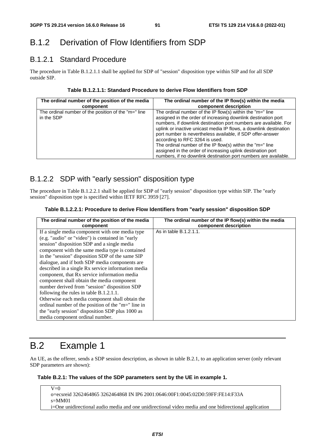## B.1.2 Derivation of Flow Identifiers from SDP

#### B.1.2.1 Standard Procedure

The procedure in Table B.1.2.1.1 shall be applied for SDP of "session" disposition type within SIP and for all SDP outside SIP.

#### **Table B.1.2.1.1: Standard Procedure to derive Flow Identifiers from SDP**

| The ordinal number of the position of the media                   | The ordinal number of the IP flow(s) within the media                                                                                                                                                                                                                                                                                                                                                                                                                                                                                                                       |
|-------------------------------------------------------------------|-----------------------------------------------------------------------------------------------------------------------------------------------------------------------------------------------------------------------------------------------------------------------------------------------------------------------------------------------------------------------------------------------------------------------------------------------------------------------------------------------------------------------------------------------------------------------------|
| component                                                         | component description                                                                                                                                                                                                                                                                                                                                                                                                                                                                                                                                                       |
| The ordinal number of the position of the "m=" line<br>in the SDP | The ordinal number of the IP flow(s) within the " $m=$ " line<br>assigned in the order of increasing downlink destination port<br>numbers, if downlink destination port numbers are available. For<br>uplink or inactive unicast media IP flows, a downlink destination<br>port number is nevertheless available, if SDP offer-answer<br>according to RFC 3264 is used.<br>The ordinal number of the IP flow(s) within the " $m =$ " line<br>assigned in the order of increasing uplink destination port<br>numbers, if no downlink destination port numbers are available. |

#### B.1.2.2 SDP with "early session" disposition type

The procedure in Table B.1.2.2.1 shall be applied for SDP of "early session" disposition type within SIP. The "early session" disposition type is specified within IETF RFC 3959 [27].

#### **Table B.1.2.2.1: Procedure to derive Flow Identifiers from "early session" disposition SDP**

| The ordinal number of the position of the media<br>component | The ordinal number of the IP flow(s) within the media<br>component description |
|--------------------------------------------------------------|--------------------------------------------------------------------------------|
| If a single media component with one media type              | As in table B.1.2.1.1.                                                         |
| (e.g. "audio" or "video") is contained in "early             |                                                                                |
| session" disposition SDP and a single media                  |                                                                                |
| component with the same media type is contained              |                                                                                |
| in the "session" disposition SDP of the same SIP             |                                                                                |
| dialogue, and if both SDP media components are               |                                                                                |
| described in a single Rx service information media           |                                                                                |
| component, that Rx service information media                 |                                                                                |
| component shall obtain the media component                   |                                                                                |
| number derived from "session" disposition SDP                |                                                                                |
| following the rules in table B.1.2.1.1.                      |                                                                                |
| Otherwise each media component shall obtain the              |                                                                                |
| ordinal number of the position of the "m=" line in           |                                                                                |
| the "early session" disposition SDP plus 1000 as             |                                                                                |
| media component ordinal number.                              |                                                                                |

# B.2 Example 1

An UE, as the offerer, sends a SDP session description, as shown in table B.2.1, to an application server (only relevant SDP parameters are shown):

#### **Table B.2.1: The values of the SDP parameters sent by the UE in example 1.**

 $\overline{V=0}$ o=ecsreid 3262464865 3262464868 IN IP6 2001:0646:00F1:0045:02D0:59FF:FE14:F33A s=MM01 i=One unidirectional audio media and one unidirectional video media and one bidirectional application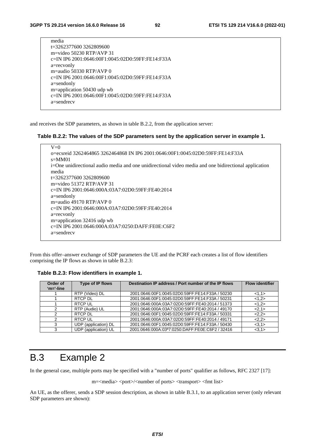| media                                            |
|--------------------------------------------------|
| t=3262377600 3262809600                          |
| m=video 50230 RTP/AVP 31                         |
| c=IN IP6 2001:0646:00F1:0045:02D0:59FF:FE14:F33A |
| a=recvonly                                       |
| m=audio 50330 RTP/AVP $\theta$                   |
| c=IN IP6 2001:0646:00F1:0045:02D0:59FF:FE14:F33A |
| a=sendonly                                       |
| m=application 50430 udp wb                       |
| c=IN IP6 2001:0646:00F1:0045:02D0:59FF:FE14:F33A |
| $a =$ sendrec $v$                                |
|                                                  |

and receives the SDP parameters, as shown in table B.2.2, from the application server:

#### **Table B.2.2: The values of the SDP parameters sent by the application server in example 1.**

| $V=0$                                                                                                 |
|-------------------------------------------------------------------------------------------------------|
| o=ecsreid 3262464865 3262464868 IN IP6 2001:0646:00F1:0045:02D0:59FF:FE14:F33A                        |
| $s = MM01$                                                                                            |
| i=One unidirectional audio media and one unidirectional video media and one bidirectional application |
| media                                                                                                 |
| t=3262377600 3262809600                                                                               |
| m=video $51372$ RTP/AVP 31                                                                            |
| c=IN IP6 2001:0646:000A:03A7:02D0:59FF:FE40:2014                                                      |
| $a =$ sendonly                                                                                        |
| m=audio 49170 RTP/AVP $\theta$                                                                        |
| c=IN IP6 2001:0646:000A:03A7:02D0:59FF:FE40:2014                                                      |
| a=recvonly                                                                                            |
| m=application $32416$ udp wb                                                                          |
| c=IN IP6 2001:0646:000A:03A7:0250:DAFF:FE0E:C6F2                                                      |
| $a =$ sendrec $v$                                                                                     |
|                                                                                                       |

From this offer–answer exchange of SDP parameters the UE and the PCRF each creates a list of flow identifiers comprising the IP flows as shown in table B.2.3:

**Table B.2.3: Flow identifiers in example 1.** 

| Order of<br>$'m='-line$ | Type of IP flows     | Destination IP address / Port number of the IP flows | <b>Flow identifier</b> |
|-------------------------|----------------------|------------------------------------------------------|------------------------|
|                         | RTP (Video) DL       | 2001:0646:00F1:0045:02D0:59FF:FE14:F33A / 50230      | <1,1>                  |
|                         | RTCP DL              | 2001:0646:00F1:0045:02D0:59FF:FE14:F33A / 50231      | <1,2>                  |
|                         | <b>RTCP UL</b>       | 2001:0646:000A:03A7:02D0:59FF:FE40:2014 / 51373      | <1,2>                  |
|                         | RTP (Audio) UL       | 2001:0646:000A:03A7:02D0:59FF:FE40:2014 / 49170      | <2,1>                  |
|                         | RTCP DL              | 2001:0646:00F1:0045:02D0:59FF:FE14:F33A / 50331      | 2,2>                   |
|                         | <b>RTCP UL</b>       | 2001:0646:000A:03A7:02D0:59FF:FE40:2014 / 49171      | 2,2>                   |
| 3                       | UDP (application) DL | 2001:0646:00F1:0045:02D0:59FF:FE14:F33A / 50430      | <3,1>                  |
| 3                       | UDP (application) UL | 2001:0646:000A:03ª7:0250:DAFF:FE0E:C6F2 / 32416      | <3.1>                  |

## B.3 Example 2

In the general case, multiple ports may be specified with a "number of ports" qualifier as follows, RFC 2327 [17]:

m=<media> <port>/<number of ports> <transport> <fmt list>

An UE, as the offerer, sends a SDP session description, as shown in table B.3.1, to an application server (only relevant SDP parameters are shown):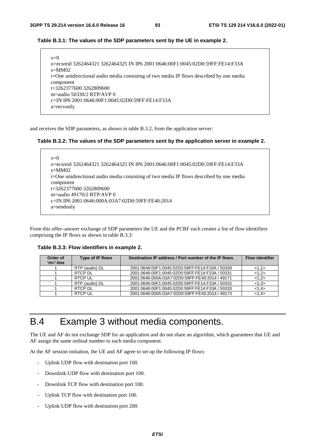#### **Table B.3.1: The values of the SDP parameters sent by the UE in example 2.**

| $v=0$                                                                                    |
|------------------------------------------------------------------------------------------|
| o=ecsreid 3262464321 3262464325 IN IP6 2001:0646:00F1:0045:02D0:59FF:FE14:F33A           |
| $s=MM02$                                                                                 |
| i=One unidirectional audio media consisting of two media IP flows described by one media |
| component                                                                                |
| $t=32623776003262809600$                                                                 |
| m=audio 50330/2 RTP/AVP 0                                                                |
| c=IN IP6 2001:0646:00F1:0045:02D0:59FF:FE14:F33A                                         |
| a=recvonly                                                                               |

and receives the SDP parameters, as shown in table B.3.2, from the application server:

#### **Table B.3.2: The values of the SDP parameters sent by the application server in example 2.**

```
v=0o=ecsreid 3262464321 3262464325 IN IP6 2001:0646:00F1:0045:02D0:59FF:FE14:F33A 
s=MM02 
i=One unidirectional audio media consisting of two media IP flows described by one media 
component 
t=3262377600 3262809600 
m=audio 49170/2 RTP/AVP 0 
c=IN IP6 2001:0646:000A:03A7:02D0:59FF:FE40:2014 
a=sendonly
```
From this offer–answer exchange of SDP parameters the UE and the PCRF each creates a list of flow identifiers comprising the IP flows as shown in table B.3.3:

**Table B.3.3: Flow identifiers in example 2.** 

| Order of<br>$'m='-line$ | Type of IP flows | Destination IP address / Port number of the IP flows | <b>Flow identifier</b> |
|-------------------------|------------------|------------------------------------------------------|------------------------|
|                         | RTP (audio) DL   | 2001:0646:00F1:0045:02D0:59FF:FE14:F33A / 50330      | 1,1>                   |
|                         | RTCP DL          | 2001:0646:00F1:0045:02D0:59FF:FE14:F33A / 50331      | <1,2>                  |
|                         | <b>RTCP UL</b>   | 2001:0646:000A:03A7:02D0:59FF:FE40:2014 / 49171      | <1.2>                  |
|                         | RTP (audio) DL   | 2001:0646:00F1:0045:02D0:59FF:FE14:F33A / 50332      | <1,3>                  |
|                         | RTCP DI          | 2001:0646:00F1:0045:02D0:59FF:FE14:F33A / 50333      | <1.4>                  |
|                         | <b>RTCP UL</b>   | 2001:0646:000A:03A7:02D0:59FF:FE40:2014 / 49173      | <1.4>                  |

## B.4 Example 3 without media components.

The UE and AF do not exchange SDP for an application and do not share an algorithm, which guarantees that UE and AF assign the same ordinal number to each media component.

At the AF session initiation, the UE and AF agree to set up the following IP flows:

- Uplink UDP flow with destination port 100.
- Downlink UDP flow with destination port 100.
- Downlink TCP flow with destination port 100.
- Uplink TCP flow with destination port 100.
- Uplink UDP flow with destination port 200.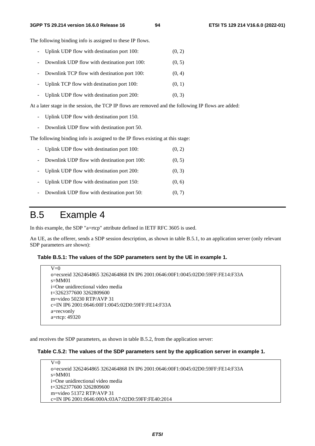#### **3GPP TS 29.214 version 16.6.0 Release 16 94 ETSI TS 129 214 V16.6.0 (2022-01)**

The following binding info is assigned to these IP flows.

- Uplink UDP flow with destination port  $100$ :  $(0, 2)$
- Downlink UDP flow with destination port 100: (0, 5)
- Downlink TCP flow with destination port 100: (0, 4)
- Uplink TCP flow with destination port 100: (0, 1)
- Uplink UDP flow with destination port  $200$ :  $(0, 3)$

At a later stage in the session, the TCP IP flows are removed and the following IP flows are added:

- Uplink UDP flow with destination port 150.
- Downlink UDP flow with destination port 50.

The following binding info is assigned to the IP flows existing at this stage:

|                     | - Uplink UDP flow with destination port 100: | (0, 2) |
|---------------------|----------------------------------------------|--------|
| $\sim$ $^{-1}$      | Downlink UDP flow with destination port 100: | (0, 5) |
|                     | - Uplink UDP flow with destination port 200: | (0, 3) |
|                     | - Uplink UDP flow with destination port 150: | (0, 6) |
| $\omega_{\rm{max}}$ | Downlink UDP flow with destination port 50:  | (0, 7) |

## B.5 Example 4

In this example, the SDP "a=rtcp" attribute defined in IETF RFC 3605 is used.

An UE, as the offerer, sends a SDP session description, as shown in table B.5.1, to an application server (only relevant SDP parameters are shown):

#### **Table B.5.1: The values of the SDP parameters sent by the UE in example 1.**

```
V=0o=ecsreid 3262464865 3262464868 IN IP6 2001:0646:00F1:0045:02D0:59FF:FE14:F33A 
s=MM01 
i=One unidirectional video media 
t=3262377600 3262809600 
m=video 50230 RTP/AVP 31 
c=IN IP6 2001:0646:00F1:0045:02D0:59FF:FE14:F33A 
a=recvonly 
a=rtcp: 49320
```
and receives the SDP parameters, as shown in table B.5.2, from the application server:

#### **Table C.5.2: The values of the SDP parameters sent by the application server in example 1.**

 $V=0$ o=ecsreid 3262464865 3262464868 IN IP6 2001:0646:00F1:0045:02D0:59FF:FE14:F33A  $s=MM01$ i=One unidirectional video media t=3262377600 3262809600 m=video 51372 RTP/AVP 31 c=IN IP6 2001:0646:000A:03A7:02D0:59FF:FE40:2014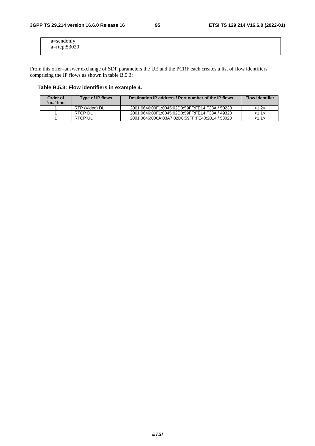| a=sendonly<br>a=rtcp:53020 |  |  |
|----------------------------|--|--|
|                            |  |  |

From this offer–answer exchange of SDP parameters the UE and the PCRF each creates a list of flow identifiers comprising the IP flows as shown in table B.5.3:

#### **Table B.5.3: Flow identifiers in example 4.**

| Order of<br>'m='-line | <b>Type of IP flows</b> | Destination IP address / Port number of the IP flows | <b>Flow identifier</b> |
|-----------------------|-------------------------|------------------------------------------------------|------------------------|
|                       | RTP (Video) DL          | 2001:0646:00F1:0045:02D0:59FF:FE14:F33A / 50230      | <1.2>                  |
|                       | RTCP DL                 | 2001:0646:00F1:0045:02D0:59FF:FE14:F33A / 49320      | <1.1>                  |
|                       | RTCP UL                 | 2001:0646:000A:03A7:02D0:59FF:FE40:2014 / 53020      | <1.1>                  |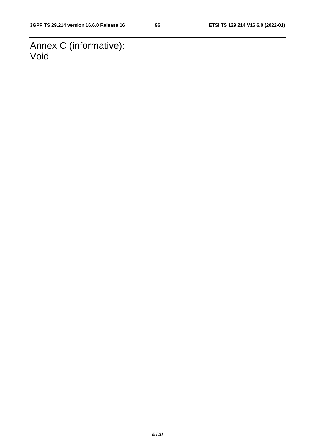Annex C (informative): Void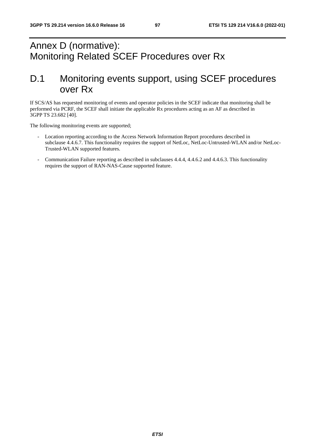# Annex D (normative): Monitoring Related SCEF Procedures over Rx

## D.1 Monitoring events support, using SCEF procedures over Rx

If SCS/AS has requested monitoring of events and operator policies in the SCEF indicate that monitoring shall be performed via PCRF, the SCEF shall initiate the applicable Rx procedures acting as an AF as described in 3GPP TS 23.682 [40].

The following monitoring events are supported;

- Location reporting according to the Access Network Information Report procedures described in subclause 4.4.6.7. This functionality requires the support of NetLoc, NetLoc-Untrusted-WLAN and/or NetLoc-Trusted-WLAN supported features.
- Communication Failure reporting as described in subclauses 4.4.4, 4.4.6.2 and 4.4.6.3. This functionality requires the support of RAN-NAS-Cause supported feature.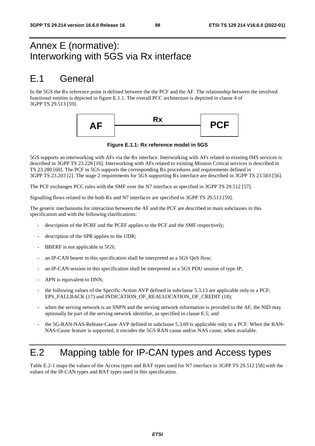## Annex E (normative): Interworking with 5GS via Rx interface

## E.1 General

In the 5GS the Rx reference point is defined between the the PCF and the AF. The relationship between the involved functional entities is depicted in figure E.1.1. The overall PCC architecture is depicted in clause 4 of 3GPP TS 29.513 [59].



**Figure E.1.1: Rx reference model in 5GS** 

5GS supports an interworking with AFs via the Rx interface. Interworking with AFs related to existing IMS services is described in 3GPP TS 23.228 [16]. Interworking with AFs related to existing Mission Critical services is described in TS 23.280 [60]. The PCF in 5GS supports the corresponding Rx procedures and requirements defined in 3GPP TS 23.203 [2]. The stage 2 requirements for 5GS supporting Rx interface are described in 3GPP TS 23.503 [56].

The PCF exchanges PCC rules with the SMF over the N7 interface as specified in 3GPP TS 29.512 [57].

Signalling flows related to the both Rx and N7 interfaces are specified in 3GPP TS 29.513 [59].

The generic mechanisms for interaction between the AF and the PCF are described in main subclauses in this specification and with the following clarifications:

- description of the PCRF and the PCEF applies to the PCF and the SMF respectively;
- description of the SPR applies to the UDR;
- BBERF is not applicable in 5GS;
- an IP-CAN bearer in this specification shall be interpreted as a 5GS QoS flow;
- an IP-CAN session in this specification shall be interpreted as a 5GS PDU session of type IP;
- APN is equivalent to DNN;
- the following values of the Specific-Action AVP defined in subclause 5.3.13 are applicable only to a PCF: EPS\_FALLBACK (17) and INDICATION\_OF\_REALLOCATION\_OF\_CREDIT (18);
- when the serving network is an SNPN and the serving network information is provided to the AF, the NID may optionally be part of the serving network identifier, as specified in clause E.5; and
- the 5G-RAN-NAS-Release-Cause AVP defined in subclause 5.3.69 is applicable only to a PCF. When the RAN-NAS-Cause feature is supported, it encodes the 5GS RAN cause and/or NAS cause, when available.

## E.2 Mapping table for IP-CAN types and Access types

Table E.2-1 maps the values of the Access types and RAT types used for N7 interface in 3GPP TS 29.512 [58] with the values of the IP-CAN types and RAT types used in this specification.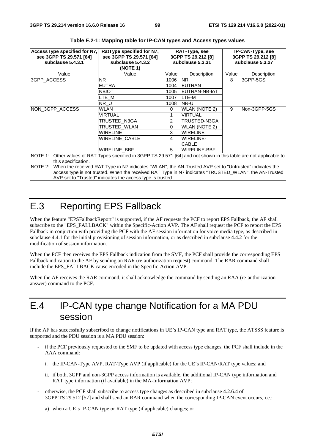| AccessType specified for N7,<br>see 3GPP TS 29.571 [64]<br>subclause 5.4.3.1 | RatType specified for N7,<br>see 3GPP TS 29.571 [64]<br>subclause 5.4.3.2<br>(NOTE 1)                        | RAT-Type, see<br>3GPP TS 29.212 [8]<br>subclause 5.3.31 |                      | <b>IP-CAN-Type, see</b><br>3GPP TS 29.212 [8]<br>subclause 5.3.27 |               |
|------------------------------------------------------------------------------|--------------------------------------------------------------------------------------------------------------|---------------------------------------------------------|----------------------|-------------------------------------------------------------------|---------------|
| Value                                                                        | Value                                                                                                        | Value                                                   | Description          | Value                                                             | Description   |
| 3GPP_ACCESS                                                                  | NR.                                                                                                          | 1006                                                    | <b>NR</b>            | 8                                                                 | 3GPP-5GS      |
|                                                                              | <b>EUTRA</b>                                                                                                 | 1004                                                    | <b>IEUTRAN</b>       |                                                                   |               |
|                                                                              | <b>NBIOT</b>                                                                                                 | 1005                                                    | EUTRAN-NB-IoT        |                                                                   |               |
|                                                                              | LTE M                                                                                                        | 1007                                                    | LTE-M                |                                                                   |               |
|                                                                              | NR U                                                                                                         | 1008                                                    | <b>NR-U</b>          |                                                                   |               |
| NON 3GPP ACCESS                                                              | WLAN                                                                                                         | $\Omega$                                                | <b>WLAN (NOTE 2)</b> | 9                                                                 | lNon-3GPP-5GS |
|                                                                              | VIRTUAL                                                                                                      |                                                         | <b>VIRTUAL</b>       |                                                                   |               |
|                                                                              | TRUSTED_N3GA                                                                                                 | $\mathcal{P}$                                           | TRUSTED-N3GA         |                                                                   |               |
|                                                                              | TRUSTED WLAN                                                                                                 | $\Omega$                                                | WLAN (NOTE 2)        |                                                                   |               |
|                                                                              | <b>WIRELINE</b>                                                                                              | 3                                                       | <b>WIRELINE</b>      |                                                                   |               |
|                                                                              | <b>WIRELINE CABLE</b>                                                                                        | 4                                                       | WIRELINE-            |                                                                   |               |
|                                                                              |                                                                                                              |                                                         | <b>CABLE</b>         |                                                                   |               |
|                                                                              | WIRELINE BBF                                                                                                 | 5                                                       | <b>WIRELINE-BBF</b>  |                                                                   |               |
| NOTE 1:<br>this specification.                                               | Other values of RAT Types specified in 3GPP TS 29.571 [64] and not shown in this table are not applicable to |                                                         |                      |                                                                   |               |
| NOTE 2:                                                                      | When the received RAT Type in N7 indicates "WLAN", the AN-Trusted AVP set to "Untrusted" indicates the       |                                                         |                      |                                                                   |               |
|                                                                              | access type is not trusted. When the received RAT Type in N7 indicates "TRUSTED_WLAN", the AN-Trusted        |                                                         |                      |                                                                   |               |

|  | Table E.2-1: Mapping table for IP-CAN types and Access types values |
|--|---------------------------------------------------------------------|
|  |                                                                     |

AVP set to "Trusted" indicates the access type is trusted.

# E.3 Reporting EPS Fallback

When the feature "EPSFallbackReport" is supported, if the AF requests the PCF to report EPS Fallback, the AF shall subscribe to the "EPS\_FALLBACK" within the Specific-Action AVP. The AF shall request the PCF to report the EPS Fallback in conjuction with providing the PCF with the AF session information for voice media type, as described in subclause 4.4.1 for the initial provisioning of session information, or as described in subclause 4.4.2 for the modification of session information.

When the PCF then receives the EPS Fallback indication from the SMF, the PCF shall provide the corresponding EPS Fallback indication to the AF by sending an RAR (re-authorization request) command. The RAR command shall include the EPS\_FALLBACK cause encoded in the Specific-Action AVP.

When the AF receives the RAR command, it shall acknowledge the command by sending an RAA (re-authorization answer) command to the PCF.

## E.4 IP-CAN type change Notification for a MA PDU session

If the AF has successfully subscribed to change notifications in UE's IP-CAN type and RAT type, the ATSSS feature is supported and the PDU session is a MA PDU session:

- if the PCF previously requested to the SMF to be updated with access type changes, the PCF shall include in the AAA command:
	- i. the IP-CAN-Type AVP, RAT-Type AVP (if applicable) for the UE's IP-CAN/RAT type values; and
	- ii. if both, 3GPP and non-3GPP access information is available, the additional IP-CAN type information and RAT type information (if available) in the MA-Information AVP;
- otherwise, the PCF shall subscribe to access type changes as described in subclause 4.2.6.4 of 3GPP TS 29.512 [57] and shall send an RAR command when the corresponding IP-CAN event occurs, i.e.:
	- a) when a UE's IP-CAN type or RAT type (if applicable) changes; or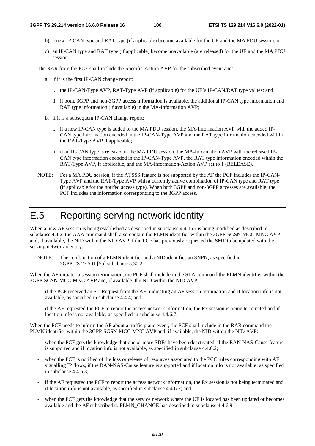- b) a new IP-CAN type and RAT type (if applicable) become available for the UE and the MA PDU session; or
- c) an IP-CAN type and RAT type (if applicable) become unavailable (are released) for the UE and the MA PDU session.

The RAR from the PCF shall include the Specific-Action AVP for the subscribed event and:

- a. if it is the first IP-CAN change report:
	- i. the IP-CAN-Type AVP, RAT-Type AVP (if applicable) for the UE's IP-CAN/RAT type values; and
	- ii. if both, 3GPP and non-3GPP access information is available, the additional IP-CAN type information and RAT type information (if available) in the MA-Information AVP;
- b. if it is a subsequent IP-CAN change report:
	- i. if a new IP-CAN type is added to the MA PDU session, the MA-Information AVP with the added IP-CAN type information encoded in the IP-CAN-Type AVP and the RAT type information encoded within the RAT-Type AVP if applicable;
	- ii. if an IP-CAN type is released in the MA PDU session, the MA-Information AVP with the released IP-CAN type information encoded in the IP-CAN-Type AVP, the RAT type information encoded within the RAT-Type AVP, if applicable, and the MA-Information-Action AVP set to 1 (RELEASE).
- NOTE: For a MA PDU session, if the ATSSS feature is not supported by the AF the PCF includes the IP-CAN-Type AVP and the RAT-Type AVP with a currently active combination of IP-CAN type and RAT type (if applicable for the notifed access type). When both 3GPP and non-3GPP accesses are available, the PCF includes the information corresponding to the 3GPP access.

# E.5 Reporting serving network identity

When a new AF session is being established as described in subclause 4.4.1 or is being modified as described in subclause 4.4.2, the AAA command shall also contain the PLMN identifier within the 3GPP-SGSN-MCC-MNC AVP and, if available, the NID within the NID AVP if the PCF has previously requested the SMF to be updated with the serving network identity.

NOTE: The combination of a PLMN identifier and a NID identifies an SNPN, as specified in 3GPP TS 23.501 [55] subclause 5.30.2.

When the AF initiates a session termination, the PCF shall include in the STA command the PLMN identifier within the 3GPP-SGSN-MCC-MNC AVP and, if available, the NID within the NID AVP:

- if the PCF received an ST-Request from the AF, indicating an AF session termination and if location info is not available, as specified in subclause 4.4.4; and
- if the AF requested the PCF to report the access network information, the Rx session is being terminated and if location info is not available, as specified in subclause 4.4.6.7.

When the PCF needs to inform the AF about a traffic plane event, the PCF shall include in the RAR command the PLMN identifier within the 3GPP-SGSN-MCC-MNC AVP and, if available, the NID within the NID AVP:

- when the PCF gets the knowledge that one or more SDFs have been deactivated, if the RAN-NAS-Cause feature is supported and if location info is not available, as specified in subclause 4.4.6.2;
- when the PCF is notified of the loss or release of resources associated to the PCC rules corresponding with AF signalling IP flows, if the RAN-NAS-Cause feature is supported and if location info is not available, as specified in subclause 4.4.6.3;
- if the AF requested the PCF to report the access network information, the Rx session is not being terminated and if location info is not available, as specified in subclause 4.4.6.7; and
- when the PCF gets the knowledge that the service network where the UE is located has been updated or becomes available and the AF subscribed to PLMN\_CHANGE has described in subclause 4.4.6.9.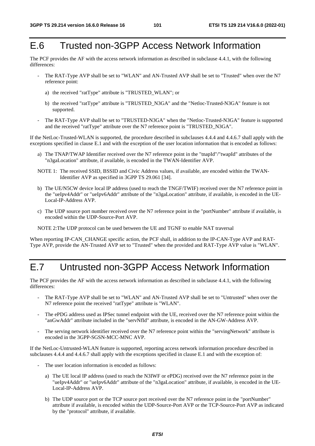# E.6 Trusted non-3GPP Access Network Information

The PCF provides the AF with the access network information as described in subclause 4.4.1, with the following differences:

- The RAT-Type AVP shall be set to "WLAN" and AN-Trusted AVP shall be set to "Trusted" when over the N7 reference point:
	- a) the received "ratType" attribute is "TRUSTED\_WLAN"; or
	- b) the received "ratType" attribute is "TRUSTED\_N3GA" and the "Netloc-Trusted-N3GA" feature is not supported.
- The RAT-Type AVP shall be set to "TRUSTED-N3GA" when the "Netloc-Trusted-N3GA" feature is supported and the received "ratType" attribute over the N7 reference point is "TRUSTED\_N3GA".

If the NetLoc-Trusted-WLAN is supported, the procedure described in subclauses 4.4.4 and 4.4.6.7 shall apply with the exceptions specified in clause E.1 and with the exception of the user location information that is encoded as follows:

- a) The TNAP/TWAP Identifier received over the N7 reference point in the "tnapId"/"twapId" attributes of the "n3gaLocation" attribute, if available, is encoded in the TWAN-Identifier AVP.
- NOTE 1: The received SSID, BSSID and Civic Address values, if available, are encoded within the TWAN-Identifier AVP as specified in 3GPP TS 29.061 [34].
- b) The UE/N5CW device local IP address (used to reach the TNGF/TWIF) received over the N7 reference point in the "ueIpv4Addr" or "ueIpv6Addr" attribute of the "n3gaLocation" attribute, if available, is encoded in the UE-Local-IP-Address AVP.
- c) The UDP source port number received over the N7 reference point in the "portNumber" attribute if available, is encoded within the UDP-Source-Port AVP.
- NOTE 2:The UDP protocol can be used between the UE and TGNF to enable NAT traversal

When reporting IP-CAN\_CHANGE specific action, the PCF shall, in addition to the IP-CAN-Type AVP and RAT-Type AVP, provide the AN-Trusted AVP set to "Trusted" when the provided and RAT-Type AVP value is "WLAN".

# E.7 Untrusted non-3GPP Access Network Information

The PCF provides the AF with the access network information as described in subclause 4.4.1, with the following differences:

- The RAT-Type AVP shall be set to "WLAN" and AN-Trusted AVP shall be set to "Untrusted" when over the N7 reference point the received "ratType" attribute is "WLAN".
- The ePDG address used as IPSec tunnel endpoint with the UE, received over the N7 reference point within the "anGwAddr" attribute included in the "servNfId" attribute, is encoded in the AN-GW-Address AVP.
- The serving network identifier received over the N7 reference point within the "servingNetwork" attribute is encoded in the 3GPP-SGSN-MCC-MNC AVP.

If the NetLoc-Untrusted-WLAN feature is supported, reporting access network information procedure described in subclauses 4.4.4 and 4.4.6.7 shall apply with the exceptions specified in clause E.1 and with the exception of:

- The user location information is encoded as follows:
	- a) The UE local IP address (used to reach the N3IWF or ePDG) received over the N7 reference point in the "ueIpv4Addr" or "ueIpv6Addr" attribute of the "n3gaLocation" attribute, if available, is encoded in the UE-Local-IP-Address AVP.
	- b) The UDP source port or the TCP source port received over the N7 reference point in the "portNumber" attribute if available, is encoded within the UDP-Source-Port AVP or the TCP-Source-Port AVP as indicated by the "protocol" attribute, if available.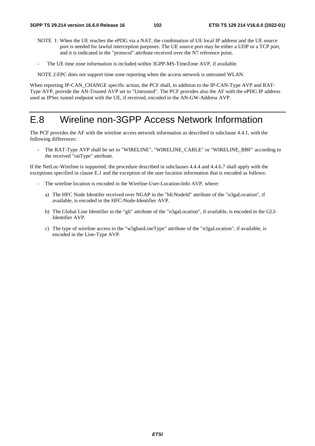- NOTE 1: When the UE reaches the ePDG via a NAT, the combination of UE local IP address and the UE source port is needed for lawful interception purposes. The UE source port may be either a UDP or a TCP port, and it is indicated in the "protocol" attribute received over the N7 reference point.
- The UE time zone information is included within 3GPP-MS-TimeZone AVP, if available.

NOTE 2:EPC does not support time zone reporting when the access network is untrusted WLAN.

When reporting IP-CAN\_CHANGE specific action, the PCF shall, in addition to the IP-CAN-Type AVP and RAT-Type AVP, provide the AN-Trusted AVP set to "Untrusted". The PCF provides also the AF with the ePDG IP address used as IPSec tunnel endpoint with the UE, if received, encoded in the AN-GW-Address AVP.

## E.8 Wireline non-3GPP Access Network Information

The PCF provides the AF with the wireline access network information as described in subclause 4.4.1, with the following differences:

The RAT-Type AVP shall be set to "WIRELINE", "WIRELINE\_CABLE" or "WIRELINE\_BBF" according to the received "ratType" attribute.

If the NetLoc-Wireline is supported, the procedure described in subclauses 4.4.4 and 4.4.6.7 shall apply with the exceptions specified in clause E.1 and the exception of the user location information that is encoded as follows:

- The wireline location is encoded in the Wireline-User-Location-Info AVP, where:
	- a) The HFC Node Identifer received over NGAP in the "hfcNodeId" attribute of the "n3gaLocation", if available, is encoded in the HFC-Node-Identifier AVP.
	- b) The Global Line Identifier in the "gli" attribute of the "n3gaLocation", if available, is encoded in the GLI-Identifier AVP.
	- c) The type of wireline access in the "w5gbanLineType" attribute of the "n3gaLocation", if available, is encoded in the Line-Type AVP.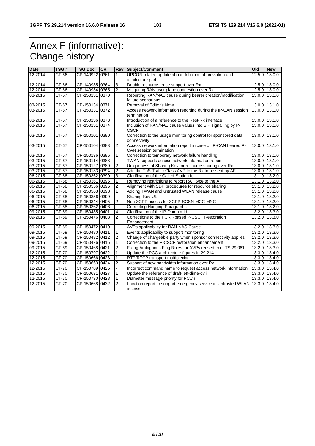# Annex F (informative): Change history

| <b>Date</b> | TSG#    | <b>TSG Doc.</b> | <b>CR</b> | <b>Rev</b>     | Subject/Comment                                                                           | Old           | <b>New</b>    |
|-------------|---------|-----------------|-----------|----------------|-------------------------------------------------------------------------------------------|---------------|---------------|
| 12-2014     | CT-66   | CP-140922 0361  |           | $\mathbf{1}$   | UPCON related update about definition, abbreviation and                                   | 12.5.0 13.0.0 |               |
|             |         |                 |           |                | achitecture part                                                                          |               |               |
| 12-2014     | CT-66   | CP-140935 0364  |           | 3              | Double resource reuse support over Rx                                                     |               | 12.5.0 13.0.0 |
| 12-2014     | CT-66   | CP-140934 0365  |           | $\overline{2}$ | Mitigating RAN user plane congestion over Rx                                              |               | 12.5.0 13.0.0 |
| 03-2015     | CT-67   | CP-150131 0370  |           |                | Reporting RAN/NAS cause during bearer creation/modification                               |               | 13.0.0 13.1.0 |
|             |         |                 |           |                | failure scenarious                                                                        |               |               |
| 03-2015     | CT-67   | CP-150134 0371  |           |                | Removal of Editor's Note                                                                  |               | 13.0.0 13.1.0 |
| 03-2015     | CT-67   | CP-150131 0372  |           |                | Access network information reporting during the IP-CAN session                            | 13.0.0 13.1.0 |               |
|             |         |                 |           |                | termination                                                                               |               |               |
| 03-2015     | CT-67   | CP-150136 0373  |           |                | Introduction of a reference to the Rest-Rx interface                                      | 13.0.0 13.1.0 |               |
| 03-2015     | $CT-67$ | CP-150131 0374  |           |                | Inclusion of RAN/NAS cause values into SIP signalling by P-<br><b>CSCF</b>                |               | 13.0.0 13.1.0 |
| 03-2015     | CT-67   | CP-150101 0380  |           |                | Correction to the usage monitoring control for sponsored data<br>connectivity             | 13.0.0 13.1.0 |               |
| 03-2015     | CT-67   | CP-150104 0383  |           | 2              | Access network information report in case of IP-CAN bearer/IP-<br>CAN session termination | 13.0.0 13.1.0 |               |
| 03-2015     | CT-67   | CP-150136 0386  |           | 1              | Correction to temporary network failure handling                                          | 13.0.0 13.1.0 |               |
| 03-2015     | CT-67   | CP-150114 0388  |           |                | TWAN supports access network information report                                           | 13.0.0 13.1.0 |               |
| 03-2015     | CT-67   | CP-150127 0389  |           | $\overline{2}$ | Uniqueness of Sharing Key for resource sharing over Rx                                    | 13.0.0 13.1.0 |               |
| 03-2015     | $CT-67$ | CP-150133 0394  |           | $\overline{2}$ | Add the ToS-Traffic-Class AVP to the Rx to be sent by AF                                  | 13.0.0 13.1.0 |               |
| 06-2015     | $CT-68$ | CP-150362 0390  |           | 3              | Clarification of the Called-Station-Id                                                    | 13.1.0 13.2.0 |               |
| 06-2015     | CT-68   | CP-150361 0395  |           | 1              | Removing restrictions to report RAT type to the AF                                        | 13.1.0 13.2.0 |               |
| 06-2015     | CT-68   | CP-150356 0396  |           | $\overline{2}$ | Alignment with SDP procedures for resource sharing                                        | 13.1.0 13.2.0 |               |
| 06-2015     | CT-68   | CP-150363 0398  |           | 1              | Adding TWAN and untrusted WLAN release cause                                              | 13.1.0 13.2.0 |               |
| 06-2015     | CT-68   | CP-150356 0399  |           |                | Sharing-Key-UL                                                                            |               | 13.1.0 13.2.0 |
| 06-2015     | CT-68   | CP-150344 0405  |           | 2              | Non-3GPP access for 3GPP-SGSN-MCC-MNC                                                     | 13.1.0 13.2.0 |               |
| 06-2015     | $CT-68$ | CP-150362 0406  |           |                | <b>Correcting Hanging Paragraphs</b>                                                      | 13.1.0 13.2.0 |               |
| 09-2015     | CT-69   | CP-150485 0401  |           | 4              | Clarification of the IP-Domain-Id                                                         |               | 13.2.0 13.3.0 |
| 09-2015     | CT-69   | CP-150476 0408  |           | $\overline{2}$ | Corrections to the PCRF-based P-CSCF Restoration                                          | 13.2.0 13.3.0 |               |
|             |         |                 |           |                | Enhancement                                                                               |               |               |
| 09-2015     | $CT-69$ | CP-150472 0410  |           |                | AVPs applicability for RAN-NAS-Cause                                                      | 13.2.0 13.3.0 |               |
| 09-2015     | CT-69   | CP-150480 0411  |           | 1              | Events applicability to support monitoring                                                | 13.2.0 13.3.0 |               |
| 09-2015     | $CT-69$ | CP-150482 0412  |           | $\overline{2}$ | Change of chargeable party when sponsor connectivity applies                              | 13.2.0 13.3.0 |               |
| $09 - 2015$ | CT-69   | CP-150476 0415  |           | $\mathbf{1}$   | Correction to the P-CSCF restoration enhancement                                          | 13.2.0 13.3.0 |               |
| 09-2015     | CT-69   | CP-150468 0421  |           | $\overline{2}$ | Fixing Ambiguous Flag Rules for AVPs reused from TS 29.061                                | 13.2.0 13.3.0 |               |
| 12-2015     | CT-70   | CP-150797 0422  |           | 1              | Update the PCC architecture figures in 29.214                                             | 13.3.0 13.4.0 |               |
| 12-2015     | $CT-70$ | CP-150666 0423  |           | $\mathbf{1}$   | RTP/RTCP transport multiplexing                                                           | 13.3.0 13.4.0 |               |
| 12-2015     | $CT-70$ | CP-150663 0424  |           | $\overline{2}$ | Support of new bandwidth information over Rx                                              | 13.3.0 13.4.0 |               |
| 12-2015     | $CT-70$ | CP-150789 0425  |           |                | Incorrect command name to request access network information                              | 13.3.0 13.4.0 |               |
| 12-2015     | $CT-70$ | CP-150631 0427  |           | 1              | Update the reference of draft-ietf-dime-ovli                                              | 13.3.0 13.4.0 |               |
| 12-2015     | $CT-70$ | CP-150730 0428  |           | $\mathbf{1}$   | Diameter message priority for PCC i                                                       |               | 13.3.0 13.4.0 |
| 12-2015     | $CT-70$ | CP-150668 0432  |           | $\overline{2}$ | Location report to support emergency service in Untrusted WLAN 13.3.0 13.4.0<br>access    |               |               |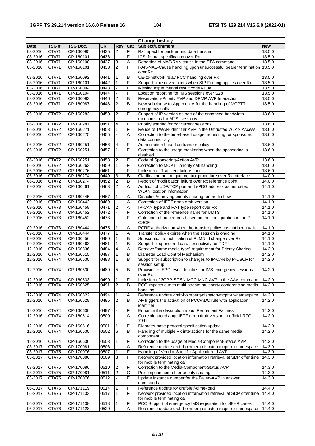| <b>Change history</b> |       |                 |           |                |                |                                                                            |            |
|-----------------------|-------|-----------------|-----------|----------------|----------------|----------------------------------------------------------------------------|------------|
| <b>Date</b>           | TSG#  | <b>TSG Doc.</b> | <b>CR</b> | Rev            | Cat            | Subject/Comment                                                            | <b>New</b> |
| 03-2016               | CT#71 | CP-160095       | 0435      | 2              | F              | Rx impact for background data transfer                                     | 13.5.0     |
| 03-2016               | CT#71 | CP-160101       | 0436      |                | F              | ICSI format specification over Rx                                          | 13.5.0     |
| 03-2016               | CT#71 | CP-160100       | 0437      | 3              | Α              | Reporting of NAS/RAN cause in the STA command                              | 13.5.0     |
| 03-2016               | CT#71 | CP-160101       | 0438      | $\overline{2}$ | F              | RAN-NAS-Cause handling upon unsuccessful bearer termination 13.5.0         |            |
|                       |       |                 |           |                |                | over Rx                                                                    |            |
| 03-2016               | CT#71 | CP-160092       | 0441      |                | В              | UE-to-network relay PCC handling over Rx                                   | 13.5.0     |
| 03-2016               | CT#71 | CP-160101       | 0442      | 1              | F              | Support of removed filters when SIP Forking applies over Rx                | 13.5.0     |
| 03-2016               | CT#71 | CP-160094       | 0443      |                | F              | Missing experimental result code value                                     | 13.5.0     |
| 03-2016               | CT#71 | CP-160104       | 0444      |                | F              | Location reporting for IMS sessions over S2b                               | 13.5.0     |
| 03-2016               | CT#71 | CP-160093       | 0446      | $\overline{c}$ | B              | Reservation-Priority AVP and DRMP AVP Interaction                          | 13.5.0     |
|                       |       |                 |           |                | B              |                                                                            |            |
| 03-2016               | CT#71 | CP-160087       | 0448      | $\overline{2}$ |                | New subclause to Appendix A for the handling of MCPTT                      | 13.5.0     |
|                       | CT#72 | CP-160282       | 0450      | $\overline{2}$ | F              | emergency calls<br>Support of IP version as part of the enhanced bandwidth | 13.6.0     |
| 06-2016               |       |                 |           |                |                |                                                                            |            |
|                       |       |                 |           | 4              |                | mechanisms for MTSI sessions                                               |            |
| 06-2016               | CT#72 | CP-160287       | 0451      |                | F<br>F         | Priority sharing for concurrent sessions                                   | 13.6.0     |
| 06-2016               | CT#72 | CP-160271       | 0453      | $\mathbf{1}$   |                | Reuse of TWAN-Identifier AVP in the Untrusted WLAN Access                  | 13.6.0     |
| 06-2016               | CT#72 | CP-160275       | 0455      |                | Α              | Correction to the time-based usage monitoring for sponsored                | 13.6.0     |
|                       |       |                 |           |                |                | data connectivity                                                          |            |
| 06-2016               | CT#72 | CP-160251       | 0456      | 4              | F              | Authorization based on transfer policy                                     | 13.6.0     |
| 06-2016               | CT#72 | CP-160251       | 0457      | $\mathbf{1}$   | F              | Correction to the usage monitoring when the sponsoring is                  | 13.6.0     |
|                       |       |                 |           |                |                | disabled                                                                   |            |
| 06-2016               | CT#72 | CP-160251       | 0458      | $\overline{2}$ | F              | Code of Sponsoring-Action AVP                                              | 13.6.0     |
| 06-2016               | CT#72 | CP-160263       | 0459      | 1              | F              | Correction to MCPTT priority call handling                                 | 13.6.0     |
| 06-2016               | CT#72 | CP-160276       | 0461      |                | F              | Inclusion of Transient failure code                                        | 13.6.0     |
| 06-2016               | CT#72 | CP-160274       | 0449      | 3              | B              | Clarification on the gate control procedure over Rx interface              | 14.0.0     |
| 06-2016               | CT#72 | CP-160274       | 0452      | $\overline{2}$ | $\overline{B}$ | Report of modification failure over Rx reference point                     | 14.0.0     |
| 09-2016               | CT#73 | CP-160461       | 0463      | $\overline{2}$ | $\overline{A}$ | Addition of UDP/TCP port and ePDG address as untrusted                     | 14.1.0     |
|                       |       |                 |           |                |                | <b>WLAN</b> location information                                           |            |
| 09-2016               | CT#73 | CP-160445       | 0467      | $\mathbf{1}$   | Α              | Disabling/removing priority sharing for media flow                         | 14.1.0     |
| 09-2016               | CT#73 | CP-160442       | 0469      |                | Α              | Correction of IETF drmp draft version                                      | 14.1.0     |
| 09-2016               | CT#73 | CP-160458       | 0471      | $\overline{2}$ | Α              | IP-CAN type and RAT type report over Rx                                    | 14.1.0     |
| 09-2016               | CT#73 | CP-160452       | 0472      |                | F              | Correction of the reference name for UMTS                                  | 14.1.0     |
| 09-2016               | CT#73 | CP-160452       | 0473      |                | F              | Gate control procedures based on the configuration in the P-               | 14.1.0     |
|                       |       |                 |           |                |                | <b>CSCF</b>                                                                |            |
| 09-2016               | CT#73 | CP-160444       | 0475      | 1              | Α              | PCRF authorization when the transfer policy has not been valid             | 14.1.0     |
| 09-2016               | CT#73 | CP-160444       | 0477      | 1              | Α              | Transfer policy expires when the session is ongoing                        | 14.1.0     |
| 09-2016               | CT#73 | CP-160456       | 0480      | 1              | $\overline{B}$ | Subscription to notification of PLMN id change over Rx                     | 14.1.0     |
| 09-2016               | CT#73 | CP-160463       | 0481      | $\mathbf{1}$   | B              | Support of sponsored data connectivity for TDF                             | 14.1.0     |
| 12-2016               | CT#74 | CP-160636       | 0484      | 4              | Α              | Remove "same media type" requirement for Priority Sharing                  | 14.2.0     |
| 12-2016               | CT#74 | CP-160615       | 0487      | 1              | B              | Diameter Load Control Mechanism                                            | 14.2.0     |
| 12-2016               | CT#74 | CP-160630       | 0488      | $\mathbf{1}$   | B              | Support for subscription to changes to IP-CAN by P-CSCF for                | 14.2.0     |
|                       |       |                 |           |                |                | session setup                                                              |            |
| 12-2016               | CT#74 | CP-160630       | 0489      | 5              | B              | Provision of EPC-level identities for IMS emergency sessions               | 14.2.0     |
|                       |       |                 |           |                |                | over Rx                                                                    |            |
| 12-2016               | CT#74 | CP-160633       | 0490      | $\mathbf{1}$   | F              | Inclusion of 3GPP-SGSN-MCC-MNC AVP in the AAA command                      | 14.2.0     |
| 12-2016               | CT#74 | CP-160625       | 0491      | 2              | B              | PCC impacts due to multi-stream multiparty conferencing media              | 14.2.0     |
|                       |       |                 |           |                |                | handling                                                                   |            |
| 12-2016               | CT#74 | CP-160622       | 0494      | $\mathbf{1}$   | Α              | Reference update draft-holmberg-dispatch-mcptt-rp-namespace                | 14.2.0     |
| 12-2016               | CT#74 | CP-160628       | 0495      | $\overline{2}$ | B              | AF triggers the activation of PCC/ADC rule with application                | 14.2.0     |
|                       |       |                 |           |                |                | identifier                                                                 |            |
| 12-2016               | CT#74 | CP-160630       | 0497      |                | F              | Enhance the description about Permanent Failures                           | 14.2.0     |
| 12-2016               | CT#74 | CP-160614       | 0500      |                | А              | Correction to change IETF drmp draft version to official RFC               | 14.2.0     |
|                       |       |                 |           |                |                | 7944                                                                       |            |
| 12-2016               | CT#74 | CP-160616       | 0501      | $\mathbf{1}$   | F              | Diameter base protocol specification update                                | 14.2.0     |
| 12-2016               | CT#74 | CP-160630       | 0502      | 6              | В              | Handling of multiple Rx interactions for the same media                    | 14.2.0     |
|                       |       |                 |           |                |                | component                                                                  |            |
| 12-2016               | CT#74 | CP-160630       | 0503      | 1              | F              | Correction to the usage of Media-Component-Status AVP                      | 14.2.0     |
| 03-2017               | CT#75 | CP-170081       | 0506      |                | Α              | Reference update draft-holmberg-dispatch-mcptt-rp-namespace                | 14.3.0     |
| 03-2017               | CT#75 | CP-170076       | 0507      | $\mathbf{1}$   | F              | Handling of Vendor-Specific-Application-Id AVP                             | 14.3.0     |
| 03-2017               | CT#75 | CP-170086       | 0509      | $\mathbf{3}$   | F              | Network provided location information retrieval at SDP offer time          | 14.3.0     |
|                       |       |                 |           |                |                | for mobile terminating call                                                |            |
| 03-2017               | CT#75 | CP-170086       | 0510      | $\overline{2}$ | F              | Correction to the Media-Component-Status AVP                               | 14.3.0     |
| 03-2017               | CT#75 | CP-170081       | 0511      | $\overline{2}$ | $\overline{c}$ | Pre-emption control for priority sharing                                   | 14.3.0     |
| 03-2017               | CT#75 | CP-170076       | 0512      |                | F              | Update instance number for the Failed-AVP in answer                        | 14.3.0     |
|                       |       |                 |           |                |                | commands                                                                   |            |
| 06-2017               | CT#76 | CP-171119       | 0514      |                | F              | Reference update for draft-ietf-dime-load                                  | 14.4.0     |
| 06-2017               | CT#76 | CP-171133       | 0517      | $\mathbf{1}$   | F              | Network provided location information retrieval at SDP offer time          | 14.4.0     |
|                       |       |                 |           |                |                | for mobile terminating call                                                |            |
| 06-2017               | CT#76 | CP-171138       | 0518      | 1              | F              | PCC Support of emergency IMS registration for S8HR cases                   | 14.4.0     |
| 06-2017               | CT#76 | CP-171128       | 0520      |                | A              | Reference update draft-holmberg-dispatch-mcptt-rp-namespace                | 14.4.0     |
|                       |       |                 |           |                |                |                                                                            |            |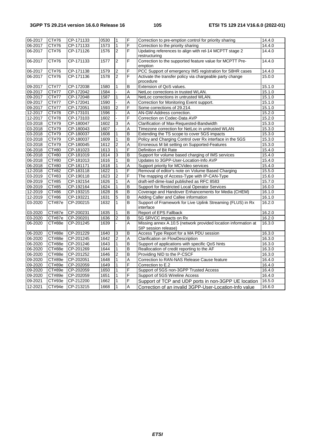| 06-2017 | CT#76         | CP-171133 | 0530 | $\mathbf{1}$   | F              | Correction to pre-emption control for priority sharing                                 | 14.4.0 |
|---------|---------------|-----------|------|----------------|----------------|----------------------------------------------------------------------------------------|--------|
| 06-2017 | CT#76         | CP-171133 | 1573 | $\mathbf{1}$   | F              | Correction to the priority sharing                                                     | 14.4.0 |
| 06-2017 | CT#76         | CP-171126 | 1576 | 2              | F              | Updating references to align with rel-14 MCPTT stage 2<br>restructuring                | 14.4.0 |
| 06-2017 | CT#76         | CP-171133 | 1577 | $\overline{2}$ | F              | Correction to the supported feature value for MCPTT Pre-<br>emption                    | 14.4.0 |
| 06-2017 | CT#76         | CP-171138 | 1579 | $\overline{2}$ | F              | PCC Support of emergency IMS registration for S8HR cases                               | 14.4.0 |
| 06-2017 | CT#76         | CP-171136 | 1578 | $\overline{2}$ | F              | Activate the transfer policy via chargeable party change                               | 15.0.0 |
|         |               |           |      |                |                | procedure                                                                              |        |
| 09-2017 | CT#77         | CP-172038 | 1580 | $\mathbf{1}$   | $\overline{B}$ | Extension of QoS values.                                                               | 15.1.0 |
| 09-2017 | CT#77         | CP-172042 | 1584 |                | A              | NetLoc corrections in trusted WLAN.                                                    | 15.1.0 |
| 09-2017 | CT#77         | CP-172048 | 1587 | $\mathbf{1}$   | A              | NetLoc corrections in untrusted WLAN.                                                  | 15.1.0 |
| 09-2017 | CT#77         | CP-172041 | 1590 |                | Α              | Correction for Monitoring Event support.                                               | 15.1.0 |
| 09-2017 | CT#77         | CP-172051 | 1593 | $\overline{2}$ | F              | Some corrections of 29.214.                                                            | 15.1.0 |
| 12-2017 | <b>CT#78</b>  | CP-173101 | 1596 |                | Α              | AN-GW-Address correction.                                                              | 15.2.0 |
| 12-2017 | <b>CT#78</b>  | CP-173103 | 1602 |                | F              | Correction on Codec-Data AVP                                                           | 15.2.0 |
| 03-2018 | CT#79         | CP-180047 | 1602 | 3              | Α              | Clarification of Max-Requested-Bandwidth                                               | 15.3.0 |
| 03-2018 | CT#79         | CP-180043 | 1607 | ÷.             | A              | Timezone correction for NetLoc in untrusted WLAN                                       | 15.3.0 |
| 03-2018 | CT#79         | CP-180037 | 1608 | $\mathbf{1}$   | $\overline{B}$ | Extending the TS scope to cover 5GS impacts                                            | 15.3.0 |
| 03-2018 | CT#79         | CP-180037 | 1609 | $\mathbf{1}$   | $\overline{B}$ | Policy and Charging Control over Rx interface in the 5GS                               | 15.3.0 |
| 03-2018 | CT#79         | CP-180045 | 1612 | $\overline{2}$ | A              | Erroneous M bit setting on Supported-Features                                          | 15.3.0 |
| 06-2018 | CT#80         | CP-181023 | 1613 | $\mathbf{1}$   | F              | Definition of Bit Rate                                                                 | 15.4.0 |
| 06-2018 | CT#80         | CP-181019 | 1614 | 3              | B              | Support for volume based charging of IMS services                                      | 15.4.0 |
| 06-2018 | CT#80         | CP-181013 | 1616 | $\mathbf{1}$   | B              | Updates to 3GPP-User-Location-Info AVP                                                 | 15.4.0 |
| 06-2018 | CT#80         | CP-181171 | 1618 | $\mathbf{1}$   | A              | Support priority for MCVideo services                                                  | 15.4.0 |
| 12-2018 | CT#82         | CP-183118 | 1622 | $\mathbf{1}$   | F              | Removal of editor's note on Volume Based Charging                                      | 15.5.0 |
| 03-2019 | CT#83         | CP-190118 | 1623 | $\overline{2}$ | F              | The mapping of Access-Type with IP-CAN-Type                                            | 15.6.0 |
| 09-2019 | CT#85         | CP-192154 | 1626 | $\mathbf{1}$   | Α              | draft-ietf-dime-load published as RFC 8583                                             | 15.7.0 |
| 09-2019 | CT#85         | CP-192164 | 1624 | $\mathbf{1}$   | B              | Support for Restricted Local Operator Services                                         | 16.0.0 |
| 12-2019 | CT#86         | CP-193215 | 1628 | 6              | B              | Coverage and Handover Enhancements for Media (CHEM)                                    | 16.1.0 |
| 12-2019 | CT#86         | CP-193221 | 1631 | 5              | $\overline{B}$ | Adding Caller and Callee information                                                   | 16.1.0 |
| 03-2020 | CT#87e        | CP-200215 | 1632 | $\mathbf{1}$   | B              | Support of Framework for Live Uplink Streaming (FLUS) in Rx<br>interface               | 16.2.0 |
| 03-2020 | CT#87e        | CP-200231 | 1635 | $\mathbf{1}$   | B              | Report of EPS Fallback                                                                 | 16.2.0 |
| 03-2020 | CT#87e        | CP-200201 | 1636 | $\overline{2}$ | B              | 5G SRVCC impacts on Rx                                                                 | 16.2.0 |
| 06-2020 | CT#88e        | CP-201245 | 1639 |                | A              | Missing annex A.10.5 (network provided location information at<br>SIP session release) | 16.3.0 |
| 06-2020 | CT#88e        | CP-201229 | 1640 | 3              | B              | Access Type Report for a MA PDU session                                                | 16.3.0 |
| 06-2020 | CT#88e        | CP-201245 | 1642 | $\overline{2}$ | A              | Clarification on FlowDescription                                                       | 16.3.0 |
| 06-2020 | CT#88e        | CP-201246 | 1643 | $\mathbf{1}$   | B              | Support of applications with specific QoS hints                                        | 16.3.0 |
| 06-2020 | CT#88e        | CP-201269 | 1644 | $\mathbf{1}$   | B              | Reallocation of credit reporting to the AF                                             | 16.3.0 |
| 06-2020 | CT#88e        | CP-201252 | 1646 | $\overline{2}$ | B              | Providing NID to the P-CSCF                                                            | 16.3.0 |
| 09-2020 | CT#89e        | CP-202051 | 1648 | $\mathbf{1}$   | Α              | Correction to RAN-NAS Release Cause feature                                            | 16.4.0 |
| 09-2020 | CT#89e        | CP-202059 | 1649 | $\mathbf{1}$   | F              | Correction to E.2                                                                      | 16.4.0 |
| 09-2020 | CT#89e        | CP-202059 | 1650 | $\mathbf{1}$   | F              | Support of 5GS non-3GPP Trusted Access                                                 | 16.4.0 |
| 09-2020 | CT#89e        | CP-202059 | 1651 | $\mathbf{1}$   | F              | Support of 5GS Wireline Access                                                         | 16.4.0 |
| 09-2021 | CT#93e        | CP-212200 | 1662 | $\mathbf{1}$   | $\overline{F}$ | Support of TCP and UDP ports in non-3GPP UE location                                   | 16.5.0 |
| 12-2021 | <b>CT#94e</b> | CP-213215 | 1668 | $\overline{1}$ | A              | Correction of an invalid 3GPP-User-Location-Info value                                 | 16.6.0 |